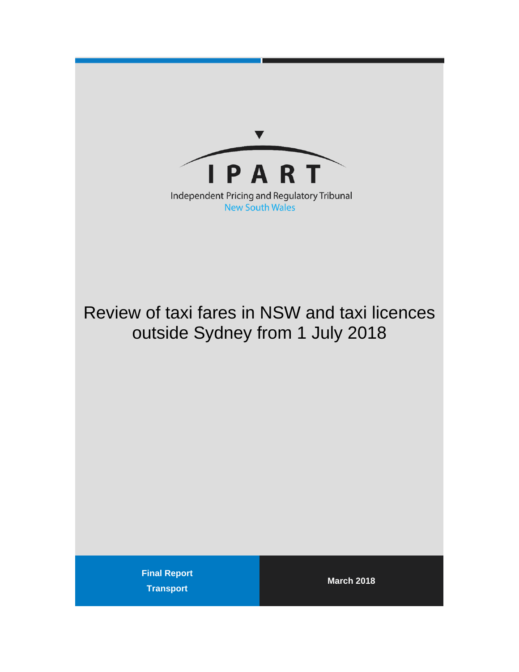

# Review of taxi fares in NSW and taxi licences outside Sydney from 1 July 2018

**Final Report Transport** 

**March 2018**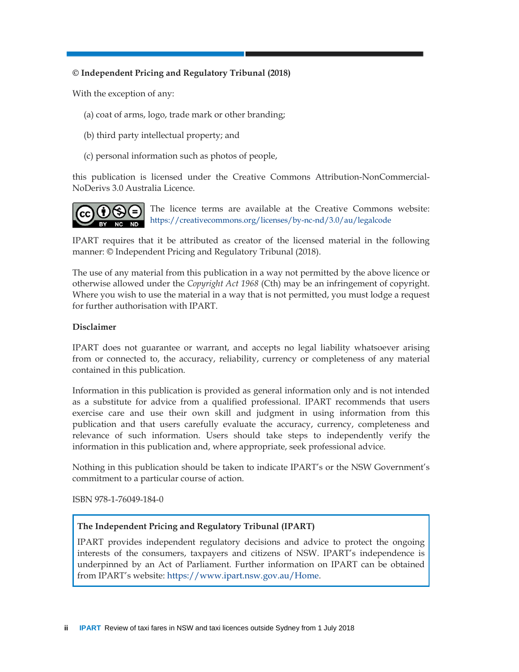#### **© Independent Pricing and Regulatory Tribunal (2018)**

With the exception of any:

- (a) coat of arms, logo, trade mark or other branding;
- (b) third party intellectual property; and
- (c) personal information such as photos of people,

this publication is licensed under the Creative Commons Attribution-NonCommercial-NoDerivs 3.0 Australia Licence.



The licence terms are available at the Creative Commons website: https://creativecommons.org/licenses/by-nc-nd/3.0/au/legalcode

IPART requires that it be attributed as creator of the licensed material in the following manner: © Independent Pricing and Regulatory Tribunal (2018).

The use of any material from this publication in a way not permitted by the above licence or otherwise allowed under the *Copyright Act 1968* (Cth) may be an infringement of copyright. Where you wish to use the material in a way that is not permitted, you must lodge a request for further authorisation with IPART.

#### **Disclaimer**

IPART does not guarantee or warrant, and accepts no legal liability whatsoever arising from or connected to, the accuracy, reliability, currency or completeness of any material contained in this publication.

Information in this publication is provided as general information only and is not intended as a substitute for advice from a qualified professional. IPART recommends that users exercise care and use their own skill and judgment in using information from this publication and that users carefully evaluate the accuracy, currency, completeness and relevance of such information. Users should take steps to independently verify the information in this publication and, where appropriate, seek professional advice.

Nothing in this publication should be taken to indicate IPART's or the NSW Government's commitment to a particular course of action.

ISBN 978-1-76049-184-0

#### **The Independent Pricing and Regulatory Tribunal (IPART)**

IPART provides independent regulatory decisions and advice to protect the ongoing interests of the consumers, taxpayers and citizens of NSW. IPART's independence is underpinned by an Act of Parliament. Further information on IPART can be obtained from IPART's website: https://www.ipart.nsw.gov.au/Home.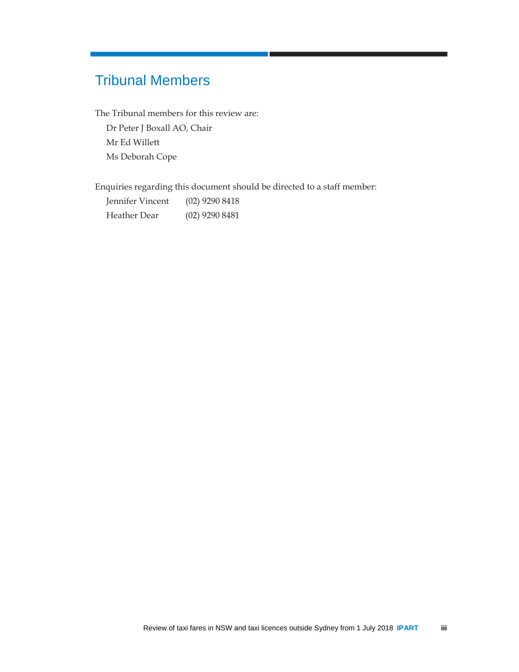## Tribunal Members

The Tribunal members for this review are:

Dr Peter J Boxall AO, Chair Mr Ed Willett Ms Deborah Cope

Enquiries regarding this document should be directed to a staff member:

| Jennifer Vincent | $(02)$ 9290 8418 |
|------------------|------------------|
| Heather Dear     | $(02)$ 9290 8481 |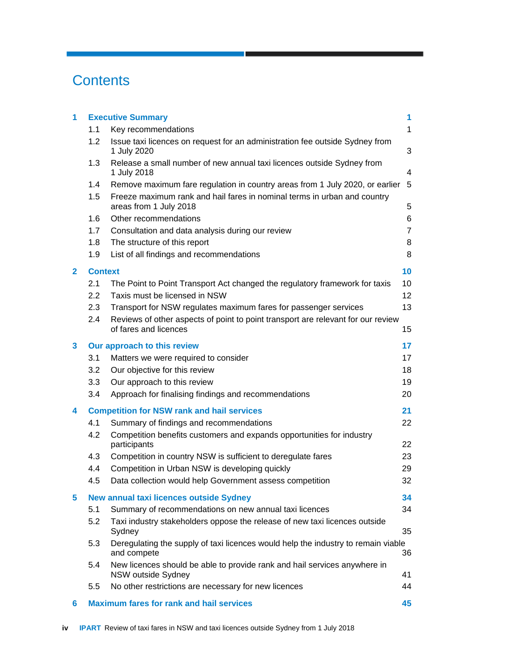## **Contents**

| 1            | <b>Executive Summary</b><br>1 |                                                                                                    |                |  |  |
|--------------|-------------------------------|----------------------------------------------------------------------------------------------------|----------------|--|--|
|              | 1.1                           | Key recommendations                                                                                | $\mathbf{1}$   |  |  |
|              | 1.2                           | Issue taxi licences on request for an administration fee outside Sydney from<br>1 July 2020        | 3              |  |  |
|              | 1.3                           | Release a small number of new annual taxi licences outside Sydney from<br>1 July 2018              | 4              |  |  |
|              | 1.4                           | Remove maximum fare regulation in country areas from 1 July 2020, or earlier 5                     |                |  |  |
|              | 1.5                           | Freeze maximum rank and hail fares in nominal terms in urban and country<br>areas from 1 July 2018 | 5              |  |  |
|              | 1.6                           | Other recommendations                                                                              | 6              |  |  |
|              | 1.7                           | Consultation and data analysis during our review                                                   | $\overline{7}$ |  |  |
|              | 1.8                           | The structure of this report                                                                       | 8              |  |  |
|              | 1.9                           | List of all findings and recommendations                                                           | 8              |  |  |
| $\mathbf{2}$ | <b>Context</b>                |                                                                                                    | 10             |  |  |
|              | 2.1                           | The Point to Point Transport Act changed the regulatory framework for taxis                        | 10             |  |  |
|              | 2.2                           | Taxis must be licensed in NSW                                                                      | 12             |  |  |
|              | 2.3                           | Transport for NSW regulates maximum fares for passenger services                                   | 13             |  |  |
|              | 2.4                           | Reviews of other aspects of point to point transport are relevant for our review                   |                |  |  |
|              |                               | of fares and licences                                                                              | 15             |  |  |
| 3            |                               | Our approach to this review                                                                        | 17             |  |  |
|              | 3.1                           | Matters we were required to consider                                                               | 17             |  |  |
|              | 3.2                           | Our objective for this review                                                                      | 18             |  |  |
|              | 3.3                           | Our approach to this review                                                                        | 19             |  |  |
|              | 3.4                           | Approach for finalising findings and recommendations                                               | 20             |  |  |
| 4            |                               | <b>Competition for NSW rank and hail services</b>                                                  | 21             |  |  |
|              | 4.1                           | Summary of findings and recommendations                                                            | 22             |  |  |
|              | 4.2                           | Competition benefits customers and expands opportunities for industry<br>participants              | 22             |  |  |
|              | 4.3                           | Competition in country NSW is sufficient to deregulate fares                                       | 23             |  |  |
|              | 4.4                           | Competition in Urban NSW is developing quickly                                                     | 29             |  |  |
|              | 4.5                           | Data collection would help Government assess competition                                           | 32             |  |  |
| 5            |                               | New annual taxi licences outside Sydney                                                            | 34             |  |  |
|              | 5.1                           | Summary of recommendations on new annual taxi licences                                             | 34             |  |  |
|              | 5.2                           | Taxi industry stakeholders oppose the release of new taxi licences outside<br>Sydney               | 35             |  |  |
|              | 5.3                           | Deregulating the supply of taxi licences would help the industry to remain viable<br>and compete   | 36             |  |  |
|              | 5.4                           | New licences should be able to provide rank and hail services anywhere in<br>NSW outside Sydney    | 41             |  |  |
|              | 5.5                           | No other restrictions are necessary for new licences                                               | 44             |  |  |
| 6            |                               | <b>Maximum fares for rank and hail services</b>                                                    | 45             |  |  |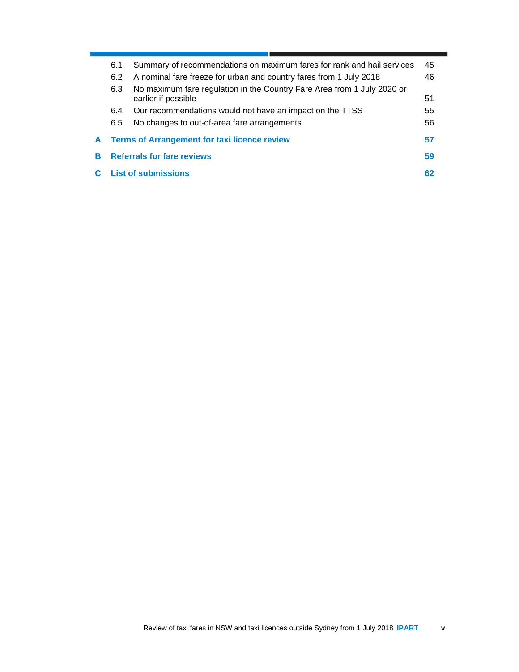|   | 6.1 | Summary of recommendations on maximum fares for rank and hail services  | 45 |
|---|-----|-------------------------------------------------------------------------|----|
|   | 6.2 | A nominal fare freeze for urban and country fares from 1 July 2018      | 46 |
|   | 6.3 | No maximum fare regulation in the Country Fare Area from 1 July 2020 or |    |
|   |     | earlier if possible                                                     | 51 |
|   | 6.4 | Our recommendations would not have an impact on the TTSS                | 55 |
|   | 6.5 | No changes to out-of-area fare arrangements                             | 56 |
| A |     | <b>Terms of Arrangement for taxi licence review</b>                     | 57 |
| В |     | <b>Referrals for fare reviews</b>                                       | 59 |
|   |     | <b>C</b> List of submissions                                            | 62 |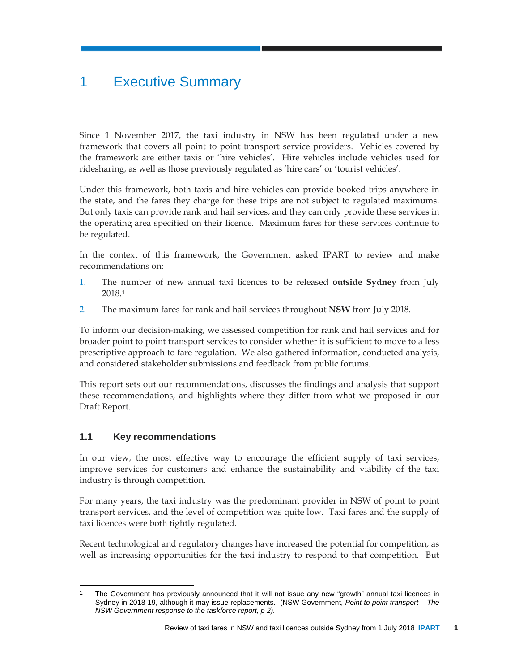## 1 Executive Summary

Since 1 November 2017, the taxi industry in NSW has been regulated under a new framework that covers all point to point transport service providers. Vehicles covered by the framework are either taxis or 'hire vehicles'. Hire vehicles include vehicles used for ridesharing, as well as those previously regulated as 'hire cars' or 'tourist vehicles'.

Under this framework, both taxis and hire vehicles can provide booked trips anywhere in the state, and the fares they charge for these trips are not subject to regulated maximums. But only taxis can provide rank and hail services, and they can only provide these services in the operating area specified on their licence. Maximum fares for these services continue to be regulated.

In the context of this framework, the Government asked IPART to review and make recommendations on:

- 1. The number of new annual taxi licences to be released **outside Sydney** from July 2018.<sup>1</sup>
- 2. The maximum fares for rank and hail services throughout **NSW** from July 2018.

To inform our decision-making, we assessed competition for rank and hail services and for broader point to point transport services to consider whether it is sufficient to move to a less prescriptive approach to fare regulation. We also gathered information, conducted analysis, and considered stakeholder submissions and feedback from public forums.

This report sets out our recommendations, discusses the findings and analysis that support these recommendations, and highlights where they differ from what we proposed in our Draft Report.

## **1.1 Key recommendations**

In our view, the most effective way to encourage the efficient supply of taxi services, improve services for customers and enhance the sustainability and viability of the taxi industry is through competition.

For many years, the taxi industry was the predominant provider in NSW of point to point transport services, and the level of competition was quite low. Taxi fares and the supply of taxi licences were both tightly regulated.

Recent technological and regulatory changes have increased the potential for competition, as well as increasing opportunities for the taxi industry to respond to that competition. But

l 1 The Government has previously announced that it will not issue any new "growth" annual taxi licences in Sydney in 2018-19, although it may issue replacements. (NSW Government, *Point to point transport – The NSW Government response to the taskforce report, p 2).*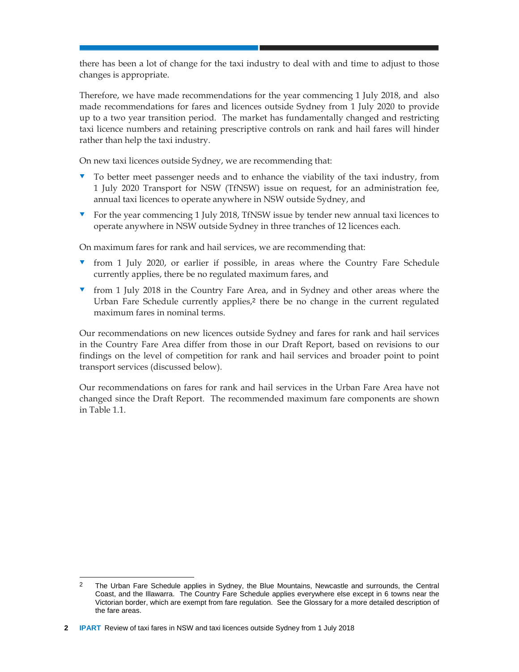there has been a lot of change for the taxi industry to deal with and time to adjust to those changes is appropriate.

Therefore, we have made recommendations for the year commencing 1 July 2018, and also made recommendations for fares and licences outside Sydney from 1 July 2020 to provide up to a two year transition period. The market has fundamentally changed and restricting taxi licence numbers and retaining prescriptive controls on rank and hail fares will hinder rather than help the taxi industry.

On new taxi licences outside Sydney, we are recommending that:

- To better meet passenger needs and to enhance the viability of the taxi industry, from 1 July 2020 Transport for NSW (TfNSW) issue on request, for an administration fee, annual taxi licences to operate anywhere in NSW outside Sydney, and
- For the year commencing 1 July 2018, TfNSW issue by tender new annual taxi licences to operate anywhere in NSW outside Sydney in three tranches of 12 licences each.

On maximum fares for rank and hail services, we are recommending that:

- from 1 July 2020, or earlier if possible, in areas where the Country Fare Schedule currently applies, there be no regulated maximum fares, and
- from 1 July 2018 in the Country Fare Area, and in Sydney and other areas where the Urban Fare Schedule currently applies,2 there be no change in the current regulated maximum fares in nominal terms.

Our recommendations on new licences outside Sydney and fares for rank and hail services in the Country Fare Area differ from those in our Draft Report, based on revisions to our findings on the level of competition for rank and hail services and broader point to point transport services (discussed below).

Our recommendations on fares for rank and hail services in the Urban Fare Area have not changed since the Draft Report. The recommended maximum fare components are shown in Table 1.1.

l <sup>2</sup> The Urban Fare Schedule applies in Sydney, the Blue Mountains, Newcastle and surrounds, the Central Coast, and the Illawarra. The Country Fare Schedule applies everywhere else except in 6 towns near the Victorian border, which are exempt from fare regulation. See the Glossary for a more detailed description of the fare areas.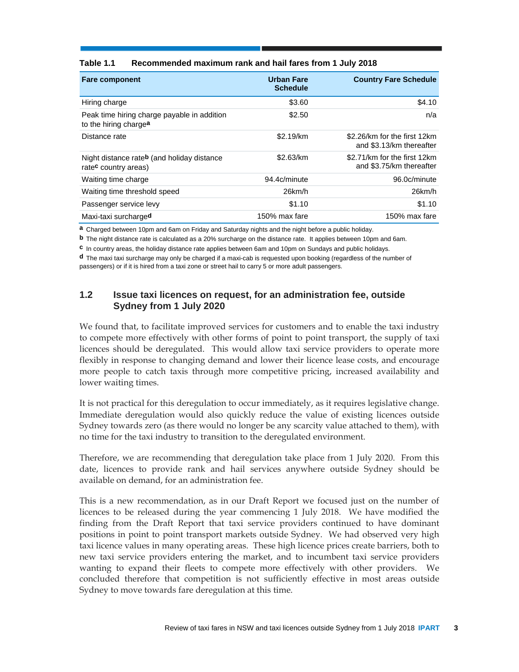| <b>Fare component</b>                                                          | <b>Urban Fare</b><br><b>Schedule</b> | <b>Country Fare Schedule</b>                             |
|--------------------------------------------------------------------------------|--------------------------------------|----------------------------------------------------------|
| Hiring charge                                                                  | \$3.60                               | \$4.10                                                   |
| Peak time hiring charge payable in addition<br>to the hiring chargea           | \$2.50                               | n/a                                                      |
| Distance rate                                                                  | \$2.19/km                            | \$2.26/km for the first 12km<br>and \$3.13/km thereafter |
| Night distance rateb (and holiday distance<br>rate <sup>c</sup> country areas) | \$2.63/km                            | \$2.71/km for the first 12km<br>and \$3.75/km thereafter |
| Waiting time charge                                                            | 94.4c/minute                         | 96.0c/minute                                             |
| Waiting time threshold speed                                                   | $26$ km/h                            | $26$ km/h                                                |
| Passenger service levy                                                         | \$1.10                               | \$1.10                                                   |
| Maxi-taxi surcharged                                                           | 150% max fare                        | 150% max fare                                            |

#### **Table 1.1 Recommended maximum rank and hail fares from 1 July 2018**

**a** Charged between 10pm and 6am on Friday and Saturday nights and the night before a public holiday.

**b** The night distance rate is calculated as a 20% surcharge on the distance rate. It applies between 10pm and 6am.

**c** In country areas, the holiday distance rate applies between 6am and 10pm on Sundays and public holidays.

**d** The maxi taxi surcharge may only be charged if a maxi-cab is requested upon booking (regardless of the number of passengers) or if it is hired from a taxi zone or street hail to carry 5 or more adult passengers.

## **1.2 Issue taxi licences on request, for an administration fee, outside Sydney from 1 July 2020**

We found that, to facilitate improved services for customers and to enable the taxi industry to compete more effectively with other forms of point to point transport, the supply of taxi licences should be deregulated. This would allow taxi service providers to operate more flexibly in response to changing demand and lower their licence lease costs, and encourage more people to catch taxis through more competitive pricing, increased availability and lower waiting times.

It is not practical for this deregulation to occur immediately, as it requires legislative change. Immediate deregulation would also quickly reduce the value of existing licences outside Sydney towards zero (as there would no longer be any scarcity value attached to them), with no time for the taxi industry to transition to the deregulated environment.

Therefore, we are recommending that deregulation take place from 1 July 2020. From this date, licences to provide rank and hail services anywhere outside Sydney should be available on demand, for an administration fee.

This is a new recommendation, as in our Draft Report we focused just on the number of licences to be released during the year commencing 1 July 2018. We have modified the finding from the Draft Report that taxi service providers continued to have dominant positions in point to point transport markets outside Sydney. We had observed very high taxi licence values in many operating areas. These high licence prices create barriers, both to new taxi service providers entering the market, and to incumbent taxi service providers wanting to expand their fleets to compete more effectively with other providers. We concluded therefore that competition is not sufficiently effective in most areas outside Sydney to move towards fare deregulation at this time.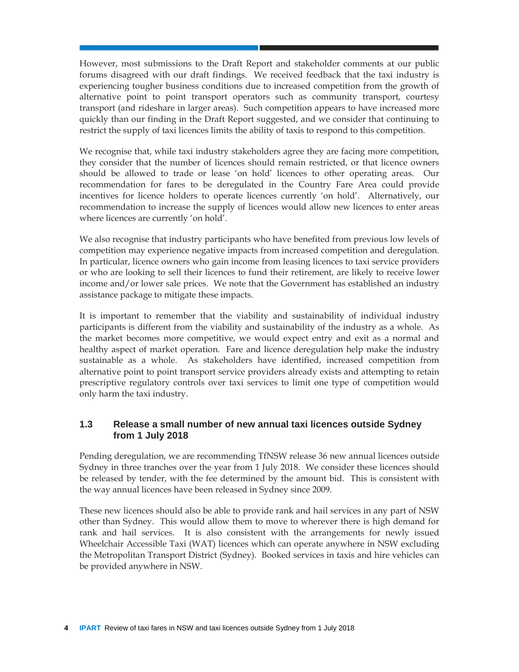However, most submissions to the Draft Report and stakeholder comments at our public forums disagreed with our draft findings. We received feedback that the taxi industry is experiencing tougher business conditions due to increased competition from the growth of alternative point to point transport operators such as community transport, courtesy transport (and rideshare in larger areas). Such competition appears to have increased more quickly than our finding in the Draft Report suggested, and we consider that continuing to restrict the supply of taxi licences limits the ability of taxis to respond to this competition.

We recognise that, while taxi industry stakeholders agree they are facing more competition, they consider that the number of licences should remain restricted, or that licence owners should be allowed to trade or lease 'on hold' licences to other operating areas. Our recommendation for fares to be deregulated in the Country Fare Area could provide incentives for licence holders to operate licences currently 'on hold'. Alternatively, our recommendation to increase the supply of licences would allow new licences to enter areas where licences are currently 'on hold'.

We also recognise that industry participants who have benefited from previous low levels of competition may experience negative impacts from increased competition and deregulation. In particular, licence owners who gain income from leasing licences to taxi service providers or who are looking to sell their licences to fund their retirement, are likely to receive lower income and/or lower sale prices. We note that the Government has established an industry assistance package to mitigate these impacts.

It is important to remember that the viability and sustainability of individual industry participants is different from the viability and sustainability of the industry as a whole. As the market becomes more competitive, we would expect entry and exit as a normal and healthy aspect of market operation. Fare and licence deregulation help make the industry sustainable as a whole. As stakeholders have identified, increased competition from alternative point to point transport service providers already exists and attempting to retain prescriptive regulatory controls over taxi services to limit one type of competition would only harm the taxi industry.

## **1.3 Release a small number of new annual taxi licences outside Sydney from 1 July 2018**

Pending deregulation, we are recommending TfNSW release 36 new annual licences outside Sydney in three tranches over the year from 1 July 2018. We consider these licences should be released by tender, with the fee determined by the amount bid. This is consistent with the way annual licences have been released in Sydney since 2009.

These new licences should also be able to provide rank and hail services in any part of NSW other than Sydney. This would allow them to move to wherever there is high demand for rank and hail services. It is also consistent with the arrangements for newly issued Wheelchair Accessible Taxi (WAT) licences which can operate anywhere in NSW excluding the Metropolitan Transport District (Sydney). Booked services in taxis and hire vehicles can be provided anywhere in NSW.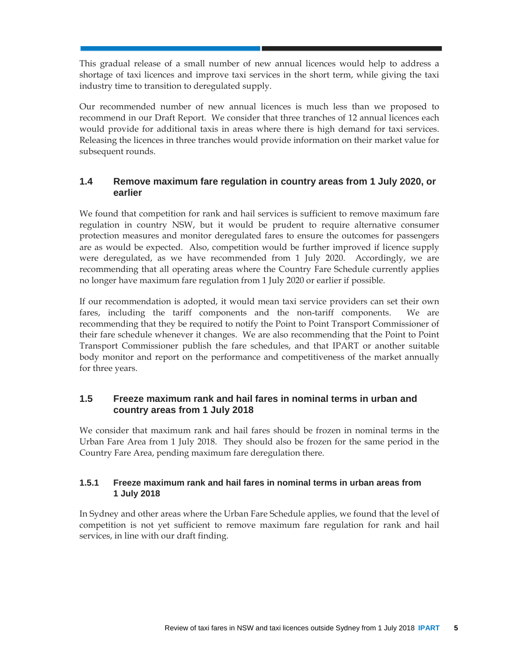This gradual release of a small number of new annual licences would help to address a shortage of taxi licences and improve taxi services in the short term, while giving the taxi industry time to transition to deregulated supply.

Our recommended number of new annual licences is much less than we proposed to recommend in our Draft Report. We consider that three tranches of 12 annual licences each would provide for additional taxis in areas where there is high demand for taxi services. Releasing the licences in three tranches would provide information on their market value for subsequent rounds.

## **1.4 Remove maximum fare regulation in country areas from 1 July 2020, or earlier**

We found that competition for rank and hail services is sufficient to remove maximum fare regulation in country NSW, but it would be prudent to require alternative consumer protection measures and monitor deregulated fares to ensure the outcomes for passengers are as would be expected. Also, competition would be further improved if licence supply were deregulated, as we have recommended from 1 July 2020. Accordingly, we are recommending that all operating areas where the Country Fare Schedule currently applies no longer have maximum fare regulation from 1 July 2020 or earlier if possible.

If our recommendation is adopted, it would mean taxi service providers can set their own fares, including the tariff components and the non-tariff components. We are recommending that they be required to notify the Point to Point Transport Commissioner of their fare schedule whenever it changes. We are also recommending that the Point to Point Transport Commissioner publish the fare schedules, and that IPART or another suitable body monitor and report on the performance and competitiveness of the market annually for three years.

## **1.5 Freeze maximum rank and hail fares in nominal terms in urban and country areas from 1 July 2018**

We consider that maximum rank and hail fares should be frozen in nominal terms in the Urban Fare Area from 1 July 2018. They should also be frozen for the same period in the Country Fare Area, pending maximum fare deregulation there.

## **1.5.1 Freeze maximum rank and hail fares in nominal terms in urban areas from 1 July 2018**

In Sydney and other areas where the Urban Fare Schedule applies, we found that the level of competition is not yet sufficient to remove maximum fare regulation for rank and hail services, in line with our draft finding.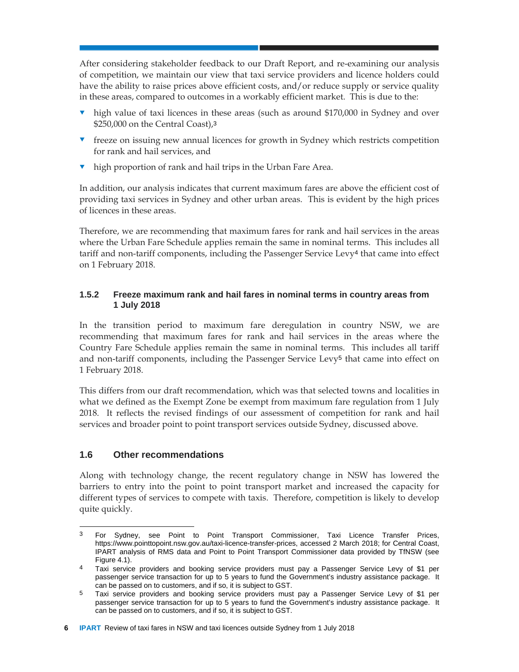After considering stakeholder feedback to our Draft Report, and re-examining our analysis of competition, we maintain our view that taxi service providers and licence holders could have the ability to raise prices above efficient costs, and/or reduce supply or service quality in these areas, compared to outcomes in a workably efficient market. This is due to the:

- high value of taxi licences in these areas (such as around \$170,000 in Sydney and over \$250,000 on the Central Coast),<sup>3</sup>
- **Figure 1** freeze on issuing new annual licences for growth in Sydney which restricts competition for rank and hail services, and
- **v** high proportion of rank and hail trips in the Urban Fare Area.

In addition, our analysis indicates that current maximum fares are above the efficient cost of providing taxi services in Sydney and other urban areas. This is evident by the high prices of licences in these areas.

Therefore, we are recommending that maximum fares for rank and hail services in the areas where the Urban Fare Schedule applies remain the same in nominal terms. This includes all tariff and non-tariff components, including the Passenger Service Levy4 that came into effect on 1 February 2018.

## **1.5.2 Freeze maximum rank and hail fares in nominal terms in country areas from 1 July 2018**

In the transition period to maximum fare deregulation in country NSW, we are recommending that maximum fares for rank and hail services in the areas where the Country Fare Schedule applies remain the same in nominal terms. This includes all tariff and non-tariff components, including the Passenger Service Levy5 that came into effect on 1 February 2018.

This differs from our draft recommendation, which was that selected towns and localities in what we defined as the Exempt Zone be exempt from maximum fare regulation from 1 July 2018. It reflects the revised findings of our assessment of competition for rank and hail services and broader point to point transport services outside Sydney, discussed above.

## **1.6 Other recommendations**

Along with technology change, the recent regulatory change in NSW has lowered the barriers to entry into the point to point transport market and increased the capacity for different types of services to compete with taxis. Therefore, competition is likely to develop quite quickly.

l 3 For Sydney, see Point to Point Transport Commissioner, Taxi Licence Transfer Prices, https://www.pointtopoint.nsw.gov.au/taxi-licence-transfer-prices, accessed 2 March 2018; for Central Coast, IPART analysis of RMS data and Point to Point Transport Commissioner data provided by TfNSW (see Figure 4.1).

<sup>4</sup> Taxi service providers and booking service providers must pay a Passenger Service Levy of \$1 per passenger service transaction for up to 5 years to fund the Government's industry assistance package. It can be passed on to customers, and if so, it is subject to GST.

<sup>5</sup> Taxi service providers and booking service providers must pay a Passenger Service Levy of \$1 per passenger service transaction for up to 5 years to fund the Government's industry assistance package. It can be passed on to customers, and if so, it is subject to GST.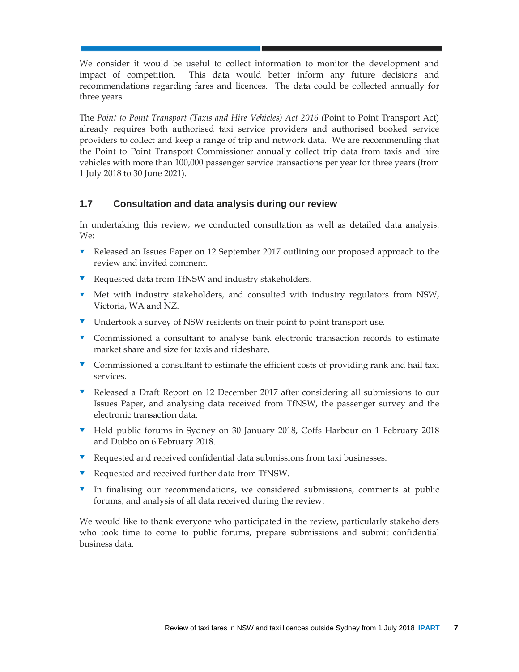We consider it would be useful to collect information to monitor the development and impact of competition. This data would better inform any future decisions and recommendations regarding fares and licences. The data could be collected annually for three years.

The *Point to Point Transport (Taxis and Hire Vehicles) Act 2016 (*Point to Point Transport Act) already requires both authorised taxi service providers and authorised booked service providers to collect and keep a range of trip and network data. We are recommending that the Point to Point Transport Commissioner annually collect trip data from taxis and hire vehicles with more than 100,000 passenger service transactions per year for three years (from 1 July 2018 to 30 June 2021).

## **1.7 Consultation and data analysis during our review**

In undertaking this review, we conducted consultation as well as detailed data analysis. We:

- Released an Issues Paper on 12 September 2017 outlining our proposed approach to the review and invited comment.
- Requested data from TfNSW and industry stakeholders.
- Met with industry stakeholders, and consulted with industry regulators from NSW, Victoria, WA and NZ.
- **v** Undertook a survey of NSW residents on their point to point transport use.
- Commissioned a consultant to analyse bank electronic transaction records to estimate market share and size for taxis and rideshare.
- **v** Commissioned a consultant to estimate the efficient costs of providing rank and hail taxi services.
- Released a Draft Report on 12 December 2017 after considering all submissions to our Issues Paper, and analysing data received from TfNSW, the passenger survey and the electronic transaction data.
- Held public forums in Sydney on 30 January 2018, Coffs Harbour on 1 February 2018 and Dubbo on 6 February 2018.
- Requested and received confidential data submissions from taxi businesses.
- Requested and received further data from TfNSW.
- In finalising our recommendations, we considered submissions, comments at public forums, and analysis of all data received during the review.

We would like to thank everyone who participated in the review, particularly stakeholders who took time to come to public forums, prepare submissions and submit confidential business data.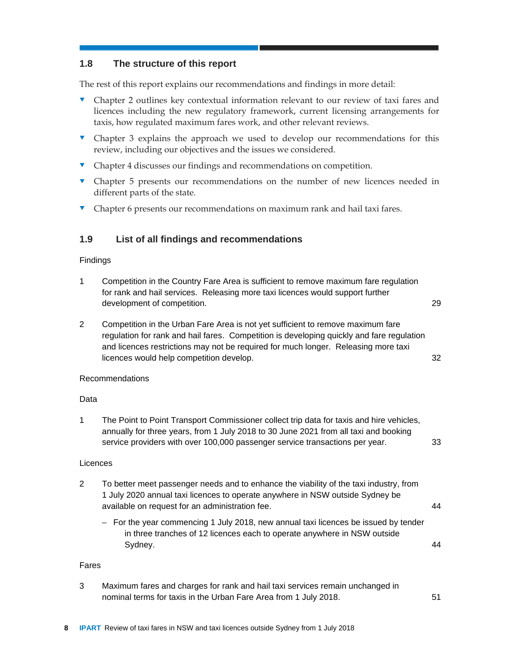## **1.8 The structure of this report**

The rest of this report explains our recommendations and findings in more detail:

- Chapter 2 outlines key contextual information relevant to our review of taxi fares and licences including the new regulatory framework, current licensing arrangements for taxis, how regulated maximum fares work, and other relevant reviews.
- Chapter 3 explains the approach we used to develop our recommendations for this review, including our objectives and the issues we considered.
- **v** Chapter 4 discusses our findings and recommendations on competition.
- Chapter 5 presents our recommendations on the number of new licences needed in different parts of the state.
- The Chapter 6 presents our recommendations on maximum rank and hail taxi fares.

## **1.9 List of all findings and recommendations**

#### Findings

- 1 Competition in the Country Fare Area is sufficient to remove maximum fare regulation for rank and hail services. Releasing more taxi licences would support further development of competition. 29
- 2 Competition in the Urban Fare Area is not yet sufficient to remove maximum fare regulation for rank and hail fares. Competition is developing quickly and fare regulation and licences restrictions may not be required for much longer. Releasing more taxi licences would help competition develop. 32

#### Recommendations

#### Data

1 The Point to Point Transport Commissioner collect trip data for taxis and hire vehicles, annually for three years, from 1 July 2018 to 30 June 2021 from all taxi and booking service providers with over 100,000 passenger service transactions per year. 33

#### Licences

- 2 To better meet passenger needs and to enhance the viability of the taxi industry, from 1 July 2020 annual taxi licences to operate anywhere in NSW outside Sydney be available on request for an administration fee. 44
	- For the year commencing 1 July 2018, new annual taxi licences be issued by tender in three tranches of 12 licences each to operate anywhere in NSW outside Sydney. 44

#### Fares

3 Maximum fares and charges for rank and hail taxi services remain unchanged in nominal terms for taxis in the Urban Fare Area from 1 July 2018. **51**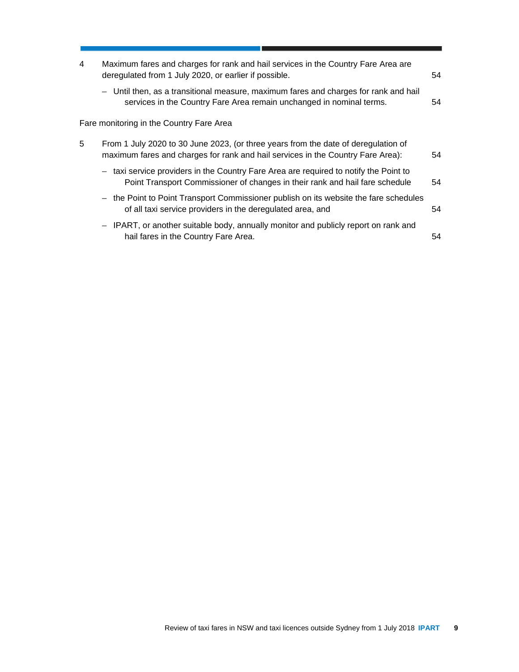| 4 | Maximum fares and charges for rank and hail services in the Country Fare Area are<br>deregulated from 1 July 2020, or earlier if possible.                            | 54 |
|---|-----------------------------------------------------------------------------------------------------------------------------------------------------------------------|----|
|   | - Until then, as a transitional measure, maximum fares and charges for rank and hail<br>services in the Country Fare Area remain unchanged in nominal terms.          | 54 |
|   | Fare monitoring in the Country Fare Area                                                                                                                              |    |
| 5 | From 1 July 2020 to 30 June 2023, (or three years from the date of deregulation of<br>maximum fares and charges for rank and hail services in the Country Fare Area): | 54 |
|   | - taxi service providers in the Country Fare Area are required to notify the Point to<br>Point Transport Commissioner of changes in their rank and hail fare schedule | 54 |
|   | - the Point to Point Transport Commissioner publish on its website the fare schedules<br>of all taxi service providers in the deregulated area, and                   | 54 |
|   | - IPART, or another suitable body, annually monitor and publicly report on rank and<br>hail fares in the Country Fare Area.                                           | 54 |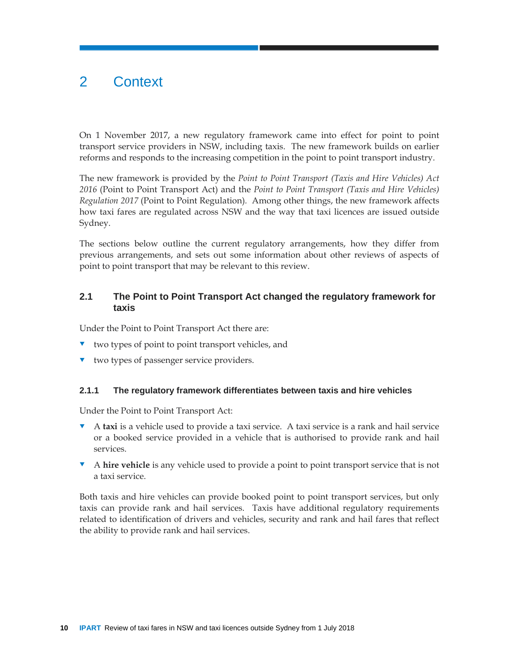## 2 Context

On 1 November 2017, a new regulatory framework came into effect for point to point transport service providers in NSW, including taxis. The new framework builds on earlier reforms and responds to the increasing competition in the point to point transport industry.

The new framework is provided by the *Point to Point Transport (Taxis and Hire Vehicles) Act 2016* (Point to Point Transport Act) and the *Point to Point Transport (Taxis and Hire Vehicles) Regulation 2017* (Point to Point Regulation)*.* Among other things, the new framework affects how taxi fares are regulated across NSW and the way that taxi licences are issued outside Sydney.

The sections below outline the current regulatory arrangements, how they differ from previous arrangements, and sets out some information about other reviews of aspects of point to point transport that may be relevant to this review.

## **2.1 The Point to Point Transport Act changed the regulatory framework for taxis**

Under the Point to Point Transport Act there are:

- two types of point to point transport vehicles, and
- **v** two types of passenger service providers.

#### **2.1.1 The regulatory framework differentiates between taxis and hire vehicles**

Under the Point to Point Transport Act:

- A **taxi** is a vehicle used to provide a taxi service. A taxi service is a rank and hail service or a booked service provided in a vehicle that is authorised to provide rank and hail services.
- A **hire vehicle** is any vehicle used to provide a point to point transport service that is not a taxi service.

Both taxis and hire vehicles can provide booked point to point transport services, but only taxis can provide rank and hail services. Taxis have additional regulatory requirements related to identification of drivers and vehicles, security and rank and hail fares that reflect the ability to provide rank and hail services.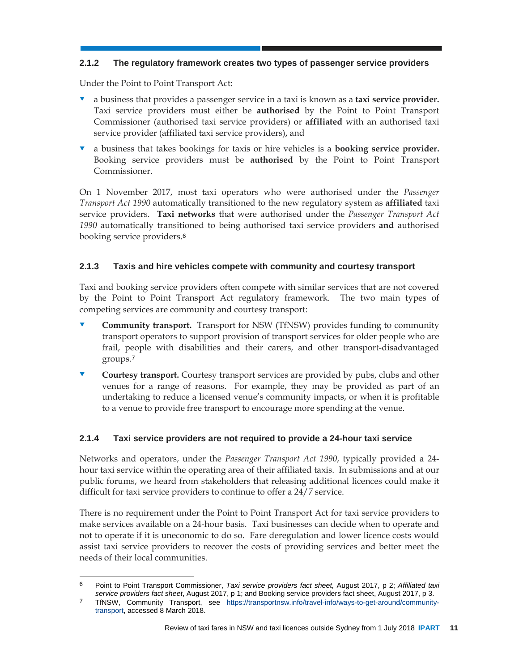## **2.1.2 The regulatory framework creates two types of passenger service providers**

Under the Point to Point Transport Act:

 $\overline{a}$ 

- a business that provides a passenger service in a taxi is known as a **taxi service provider.**  Taxi service providers must either be **authorised** by the Point to Point Transport Commissioner (authorised taxi service providers) or **affiliated** with an authorised taxi service provider (affiliated taxi service providers)**,** and
- a business that takes bookings for taxis or hire vehicles is a **booking service provider.**  Booking service providers must be **authorised** by the Point to Point Transport Commissioner.

On 1 November 2017, most taxi operators who were authorised under the *Passenger Transport Act 1990* automatically transitioned to the new regulatory system as **affiliated** taxi service providers. **Taxi networks** that were authorised under the *Passenger Transport Act 1990* automatically transitioned to being authorised taxi service providers **and** authorised booking service providers.<sup>6</sup>

## **2.1.3 Taxis and hire vehicles compete with community and courtesy transport**

Taxi and booking service providers often compete with similar services that are not covered by the Point to Point Transport Act regulatory framework. The two main types of competing services are community and courtesy transport:

- **Community transport.** Transport for NSW (TfNSW) provides funding to community transport operators to support provision of transport services for older people who are frail, people with disabilities and their carers, and other transport-disadvantaged groups.<sup>7</sup>
- **Courtesy transport.** Courtesy transport services are provided by pubs, clubs and other venues for a range of reasons. For example, they may be provided as part of an undertaking to reduce a licensed venue's community impacts, or when it is profitable to a venue to provide free transport to encourage more spending at the venue.

## **2.1.4 Taxi service providers are not required to provide a 24-hour taxi service**

Networks and operators, under the *Passenger Transport Act 1990*, typically provided a 24 hour taxi service within the operating area of their affiliated taxis. In submissions and at our public forums, we heard from stakeholders that releasing additional licences could make it difficult for taxi service providers to continue to offer a 24/7 service.

There is no requirement under the Point to Point Transport Act for taxi service providers to make services available on a 24-hour basis. Taxi businesses can decide when to operate and not to operate if it is uneconomic to do so. Fare deregulation and lower licence costs would assist taxi service providers to recover the costs of providing services and better meet the needs of their local communities.

<sup>6</sup> Point to Point Transport Commissioner, *Taxi service providers fact sheet,* August 2017, p 2; *Affiliated taxi service providers fact sheet*, August 2017, p 1; and Booking service providers fact sheet, August 2017, p 3.

<sup>7</sup> TfNSW, Community Transport, see https://transportnsw.info/travel-info/ways-to-get-around/communitytransport, accessed 8 March 2018.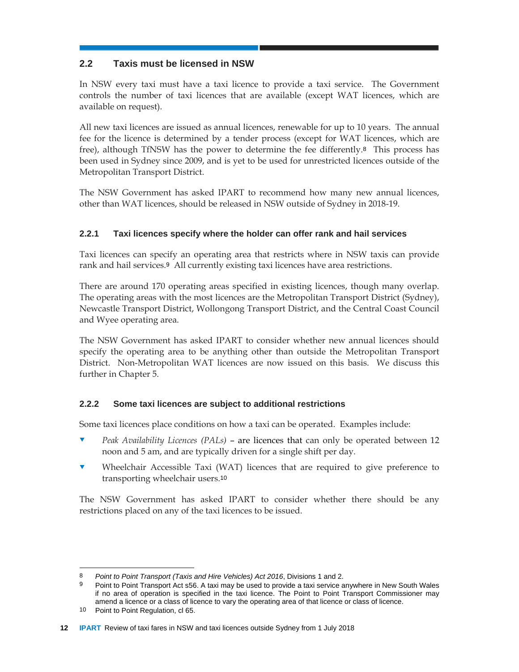## **2.2 Taxis must be licensed in NSW**

In NSW every taxi must have a taxi licence to provide a taxi service. The Government controls the number of taxi licences that are available (except WAT licences, which are available on request).

All new taxi licences are issued as annual licences, renewable for up to 10 years. The annual fee for the licence is determined by a tender process (except for WAT licences, which are free), although TfNSW has the power to determine the fee differently.8 This process has been used in Sydney since 2009, and is yet to be used for unrestricted licences outside of the Metropolitan Transport District.

The NSW Government has asked IPART to recommend how many new annual licences, other than WAT licences, should be released in NSW outside of Sydney in 2018-19.

## **2.2.1 Taxi licences specify where the holder can offer rank and hail services**

Taxi licences can specify an operating area that restricts where in NSW taxis can provide rank and hail services.9 All currently existing taxi licences have area restrictions.

There are around 170 operating areas specified in existing licences, though many overlap. The operating areas with the most licences are the Metropolitan Transport District (Sydney), Newcastle Transport District, Wollongong Transport District, and the Central Coast Council and Wyee operating area.

The NSW Government has asked IPART to consider whether new annual licences should specify the operating area to be anything other than outside the Metropolitan Transport District. Non-Metropolitan WAT licences are now issued on this basis. We discuss this further in Chapter 5.

## **2.2.2 Some taxi licences are subject to additional restrictions**

Some taxi licences place conditions on how a taxi can be operated. Examples include:

- *Peak Availability Licences (PALs)* are licences that can only be operated between 12 noon and 5 am, and are typically driven for a single shift per day.
- Wheelchair Accessible Taxi (WAT) licences that are required to give preference to transporting wheelchair users.<sup>10</sup>

The NSW Government has asked IPART to consider whether there should be any restrictions placed on any of the taxi licences to be issued.

l

<sup>8</sup> *Point to Point Transport (Taxis and Hire Vehicles) Act 2016*, Divisions 1 and 2.

<sup>9</sup> Point to Point Transport Act s56. A taxi may be used to provide a taxi service anywhere in New South Wales if no area of operation is specified in the taxi licence. The Point to Point Transport Commissioner may amend a licence or a class of licence to vary the operating area of that licence or class of licence.

<sup>10</sup> Point to Point Regulation, cl 65.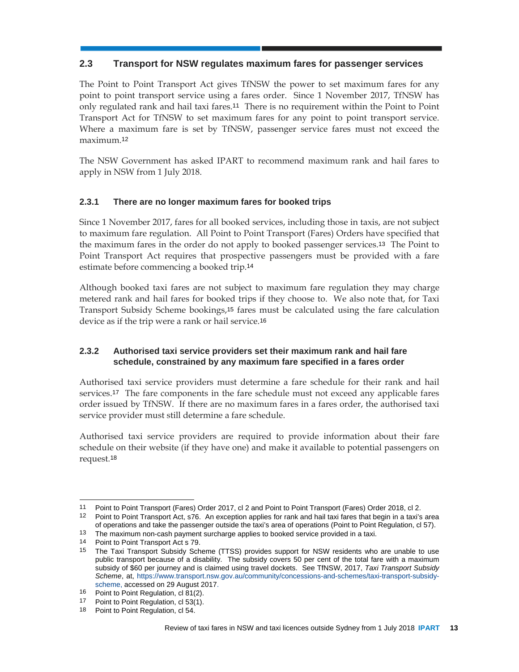## **2.3 Transport for NSW regulates maximum fares for passenger services**

The Point to Point Transport Act gives TfNSW the power to set maximum fares for any point to point transport service using a fares order. Since 1 November 2017, TfNSW has only regulated rank and hail taxi fares.11 There is no requirement within the Point to Point Transport Act for TfNSW to set maximum fares for any point to point transport service. Where a maximum fare is set by TfNSW, passenger service fares must not exceed the maximum.<sup>12</sup>

The NSW Government has asked IPART to recommend maximum rank and hail fares to apply in NSW from 1 July 2018.

## **2.3.1 There are no longer maximum fares for booked trips**

Since 1 November 2017, fares for all booked services, including those in taxis, are not subject to maximum fare regulation. All Point to Point Transport (Fares) Orders have specified that the maximum fares in the order do not apply to booked passenger services.13 The Point to Point Transport Act requires that prospective passengers must be provided with a fare estimate before commencing a booked trip.<sup>14</sup>

Although booked taxi fares are not subject to maximum fare regulation they may charge metered rank and hail fares for booked trips if they choose to. We also note that, for Taxi Transport Subsidy Scheme bookings,15 fares must be calculated using the fare calculation device as if the trip were a rank or hail service.<sup>16</sup>

## **2.3.2 Authorised taxi service providers set their maximum rank and hail fare schedule, constrained by any maximum fare specified in a fares order**

Authorised taxi service providers must determine a fare schedule for their rank and hail services.17 The fare components in the fare schedule must not exceed any applicable fares order issued by TfNSW. If there are no maximum fares in a fares order, the authorised taxi service provider must still determine a fare schedule.

Authorised taxi service providers are required to provide information about their fare schedule on their website (if they have one) and make it available to potential passengers on request.<sup>18</sup>

l

<sup>11</sup> Point to Point Transport (Fares) Order 2017, cl 2 and Point to Point Transport (Fares) Order 2018, cl 2.

<sup>12</sup> Point to Point Transport Act, s76. An exception applies for rank and hail taxi fares that begin in a taxi's area of operations and take the passenger outside the taxi's area of operations (Point to Point Regulation, cl 57).

<sup>13</sup> The maximum non-cash payment surcharge applies to booked service provided in a taxi.

<sup>14</sup> Point to Point Transport Act s 79.<br>15 The Taxi Transport Subsidy Sch

<sup>15</sup> The Taxi Transport Subsidy Scheme (TTSS) provides support for NSW residents who are unable to use public transport because of a disability. The subsidy covers 50 per cent of the total fare with a maximum subsidy of \$60 per journey and is claimed using travel dockets. See TfNSW, 2017, *Taxi Transport Subsidy Scheme*, at, https://www.transport.nsw.gov.au/community/concessions-and-schemes/taxi-transport-subsidyscheme, accessed on 29 August 2017.

<sup>16</sup> Point to Point Regulation, cl 81(2).

<sup>17</sup> Point to Point Regulation, cl 53(1).

<sup>18</sup> Point to Point Regulation, cl 54.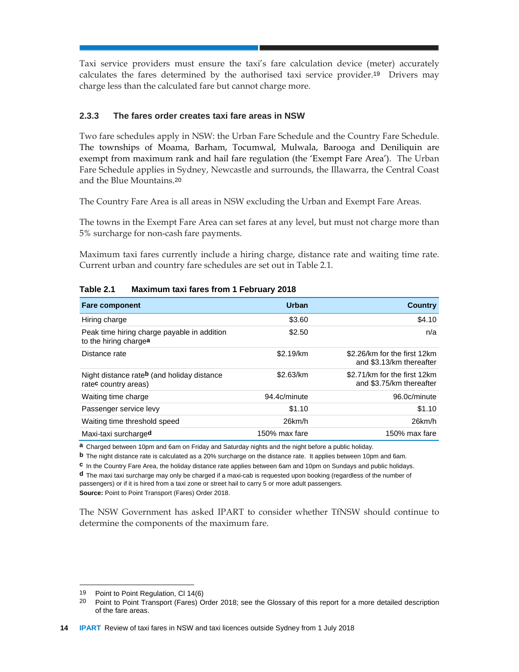Taxi service providers must ensure the taxi's fare calculation device (meter) accurately calculates the fares determined by the authorised taxi service provider.19 Drivers may charge less than the calculated fare but cannot charge more.

#### **2.3.3 The fares order creates taxi fare areas in NSW**

Two fare schedules apply in NSW: the Urban Fare Schedule and the Country Fare Schedule. The townships of Moama, Barham, Tocumwal, Mulwala, Barooga and Deniliquin are exempt from maximum rank and hail fare regulation (the 'Exempt Fare Area'). The Urban Fare Schedule applies in Sydney, Newcastle and surrounds, the Illawarra, the Central Coast and the Blue Mountains.<sup>20</sup>

The Country Fare Area is all areas in NSW excluding the Urban and Exempt Fare Areas.

The towns in the Exempt Fare Area can set fares at any level, but must not charge more than 5% surcharge for non-cash fare payments.

Maximum taxi fares currently include a hiring charge, distance rate and waiting time rate. Current urban and country fare schedules are set out in Table 2.1.

| <b>Fare component</b>                                                          | Urban         | <b>Country</b>                                           |
|--------------------------------------------------------------------------------|---------------|----------------------------------------------------------|
| Hiring charge                                                                  | \$3.60        | \$4.10                                                   |
| Peak time hiring charge payable in addition<br>to the hiring chargea           | \$2.50        | n/a                                                      |
| Distance rate                                                                  | \$2.19/km     | \$2.26/km for the first 12km<br>and \$3.13/km thereafter |
| Night distance rateb (and holiday distance<br>rate <sup>c</sup> country areas) | \$2.63/km     | \$2.71/km for the first 12km<br>and \$3.75/km thereafter |
| Waiting time charge                                                            | 94.4c/minute  | 96.0c/minute                                             |
| Passenger service levy                                                         | \$1.10        | \$1.10                                                   |
| Waiting time threshold speed                                                   | 26km/h        | $26$ km/h                                                |
| Maxi-taxi surcharged                                                           | 150% max fare | 150% max fare                                            |

#### **Table 2.1 Maximum taxi fares from 1 February 2018**

**a** Charged between 10pm and 6am on Friday and Saturday nights and the night before a public holiday.

**b** The night distance rate is calculated as a 20% surcharge on the distance rate. It applies between 10pm and 6am.

**c** In the Country Fare Area, the holiday distance rate applies between 6am and 10pm on Sundays and public holidays. **d** The maxi taxi surcharge may only be charged if a maxi-cab is requested upon booking (regardless of the number of passengers) or if it is hired from a taxi zone or street hail to carry 5 or more adult passengers.

**Source:** Point to Point Transport (Fares) Order 2018.

The NSW Government has asked IPART to consider whether TfNSW should continue to determine the components of the maximum fare.

 $\overline{a}$ 

<sup>19</sup> Point to Point Regulation, CI 14(6)<br>20 Point to Point Transport (Earos) C

<sup>20</sup> Point to Point Transport (Fares) Order 2018; see the Glossary of this report for a more detailed description of the fare areas.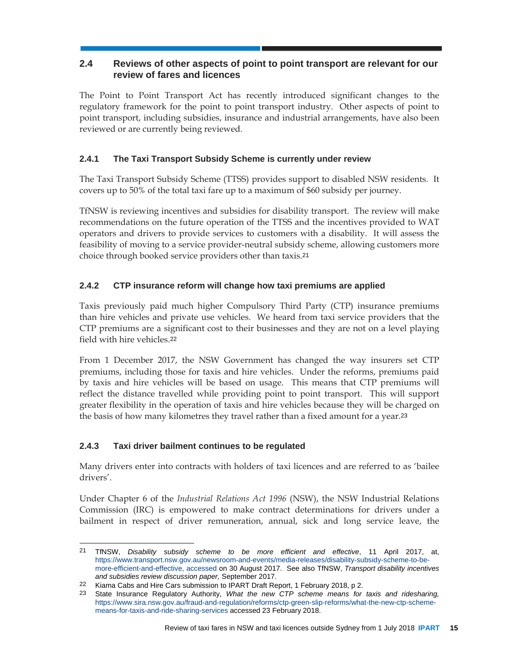## **2.4 Reviews of other aspects of point to point transport are relevant for our review of fares and licences**

The Point to Point Transport Act has recently introduced significant changes to the regulatory framework for the point to point transport industry. Other aspects of point to point transport, including subsidies, insurance and industrial arrangements, have also been reviewed or are currently being reviewed.

## **2.4.1 The Taxi Transport Subsidy Scheme is currently under review**

The Taxi Transport Subsidy Scheme (TTSS) provides support to disabled NSW residents. It covers up to 50% of the total taxi fare up to a maximum of \$60 subsidy per journey.

TfNSW is reviewing incentives and subsidies for disability transport. The review will make recommendations on the future operation of the TTSS and the incentives provided to WAT operators and drivers to provide services to customers with a disability. It will assess the feasibility of moving to a service provider-neutral subsidy scheme, allowing customers more choice through booked service providers other than taxis.<sup>21</sup>

## **2.4.2 CTP insurance reform will change how taxi premiums are applied**

Taxis previously paid much higher Compulsory Third Party (CTP) insurance premiums than hire vehicles and private use vehicles. We heard from taxi service providers that the CTP premiums are a significant cost to their businesses and they are not on a level playing field with hire vehicles.<sup>22</sup>

From 1 December 2017, the NSW Government has changed the way insurers set CTP premiums, including those for taxis and hire vehicles. Under the reforms, premiums paid by taxis and hire vehicles will be based on usage. This means that CTP premiums will reflect the distance travelled while providing point to point transport. This will support greater flexibility in the operation of taxis and hire vehicles because they will be charged on the basis of how many kilometres they travel rather than a fixed amount for a year.<sup>23</sup>

## **2.4.3 Taxi driver bailment continues to be regulated**

l

Many drivers enter into contracts with holders of taxi licences and are referred to as 'bailee drivers'.

Under Chapter 6 of the *Industrial Relations Act 1996* (NSW), the NSW Industrial Relations Commission (IRC) is empowered to make contract determinations for drivers under a bailment in respect of driver remuneration, annual, sick and long service leave, the

<sup>21</sup> TfNSW, *Disability subsidy scheme to be more efficient and effective*, 11 April 2017, at, https://www.transport.nsw.gov.au/newsroom-and-events/media-releases/disability-subsidy-scheme-to-bemore-efficient-and-effective, accessed on 30 August 2017. See also TfNSW, *Transport disability incentives and subsidies review discussion paper,* September 2017.

<sup>22</sup> Kiama Cabs and Hire Cars submission to IPART Draft Report, 1 February 2018, p 2.

<sup>23</sup> State Insurance Regulatory Authority, *What the new CTP scheme means for taxis and ridesharing,*  https://www.sira.nsw.gov.au/fraud-and-regulation/reforms/ctp-green-slip-reforms/what-the-new-ctp-schememeans-for-taxis-and-ride-sharing-services accessed 23 February 2018.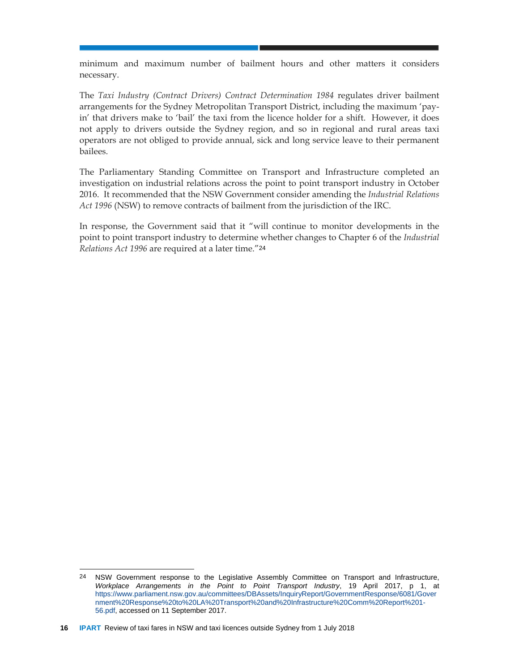minimum and maximum number of bailment hours and other matters it considers necessary.

The *Taxi Industry (Contract Drivers) Contract Determination 1984* regulates driver bailment arrangements for the Sydney Metropolitan Transport District, including the maximum 'payin' that drivers make to 'bail' the taxi from the licence holder for a shift. However, it does not apply to drivers outside the Sydney region, and so in regional and rural areas taxi operators are not obliged to provide annual, sick and long service leave to their permanent bailees.

The Parliamentary Standing Committee on Transport and Infrastructure completed an investigation on industrial relations across the point to point transport industry in October 2016. It recommended that the NSW Government consider amending the *Industrial Relations Act 1996* (NSW) to remove contracts of bailment from the jurisdiction of the IRC.

In response, the Government said that it "will continue to monitor developments in the point to point transport industry to determine whether changes to Chapter 6 of the *Industrial Relations Act 1996* are required at a later time."<sup>24</sup>

l

<sup>24</sup> NSW Government response to the Legislative Assembly Committee on Transport and Infrastructure, *Workplace Arrangements in the Point to Point Transport Industry*, 19 April 2017, p 1, at https://www.parliament.nsw.gov.au/committees/DBAssets/InquiryReport/GovernmentResponse/6081/Gover nment%20Response%20to%20LA%20Transport%20and%20Infrastructure%20Comm%20Report%201- 56.pdf, accessed on 11 September 2017.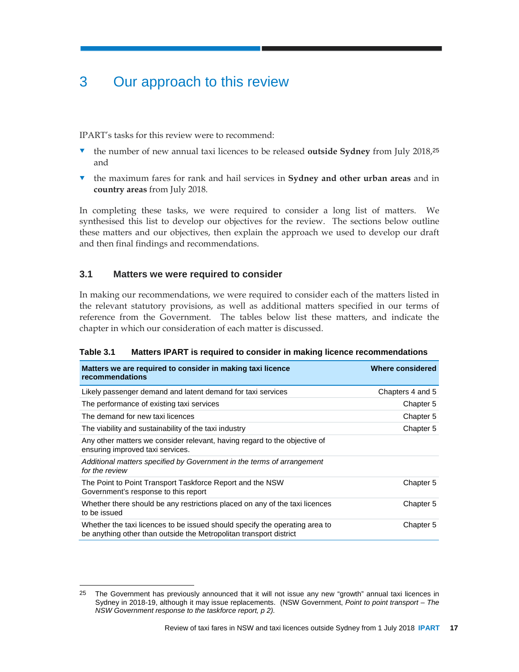## 3 Our approach to this review

IPART's tasks for this review were to recommend:

- the number of new annual taxi licences to be released **outside Sydney** from July 2018,<sup>25</sup> and
- the maximum fares for rank and hail services in **Sydney and other urban areas** and in **country areas** from July 2018.

In completing these tasks, we were required to consider a long list of matters. We synthesised this list to develop our objectives for the review. The sections below outline these matters and our objectives, then explain the approach we used to develop our draft and then final findings and recommendations.

## **3.1 Matters we were required to consider**

l

In making our recommendations, we were required to consider each of the matters listed in the relevant statutory provisions, as well as additional matters specified in our terms of reference from the Government. The tables below list these matters, and indicate the chapter in which our consideration of each matter is discussed.

| Matters we are required to consider in making taxi licence<br>recommendations                                                                     | Where considered |
|---------------------------------------------------------------------------------------------------------------------------------------------------|------------------|
| Likely passenger demand and latent demand for taxi services                                                                                       | Chapters 4 and 5 |
| The performance of existing taxi services                                                                                                         | Chapter 5        |
| The demand for new taxi licences                                                                                                                  | Chapter 5        |
| The viability and sustainability of the taxi industry                                                                                             | Chapter 5        |
| Any other matters we consider relevant, having regard to the objective of<br>ensuring improved taxi services.                                     |                  |
| Additional matters specified by Government in the terms of arrangement<br>for the review                                                          |                  |
| The Point to Point Transport Taskforce Report and the NSW<br>Government's response to this report                                                 | Chapter 5        |
| Whether there should be any restrictions placed on any of the taxi licences<br>to be issued                                                       | Chapter 5        |
| Whether the taxi licences to be issued should specify the operating area to<br>be anything other than outside the Metropolitan transport district | Chapter 5        |

**Table 3.1 Matters IPART is required to consider in making licence recommendations** 

<sup>25</sup> The Government has previously announced that it will not issue any new "growth" annual taxi licences in Sydney in 2018-19, although it may issue replacements. (NSW Government, *Point to point transport – The NSW Government response to the taskforce report, p 2).*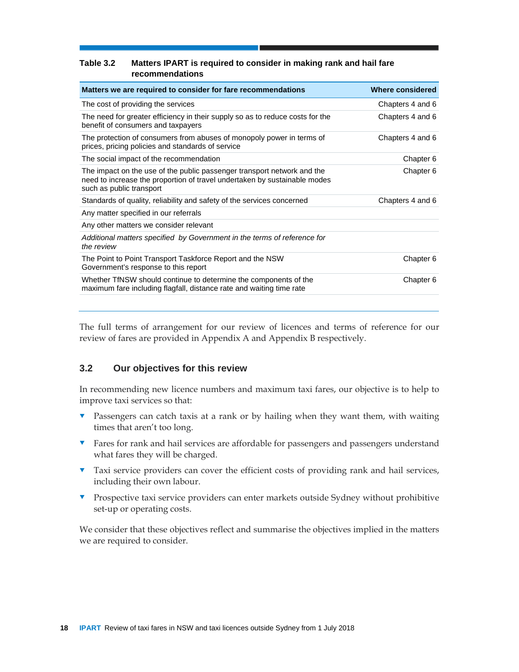#### **Table 3.2 Matters IPART is required to consider in making rank and hail fare recommendations**

| Matters we are required to consider for fare recommendations                                                                                                                     | Where considered |
|----------------------------------------------------------------------------------------------------------------------------------------------------------------------------------|------------------|
| The cost of providing the services                                                                                                                                               | Chapters 4 and 6 |
| The need for greater efficiency in their supply so as to reduce costs for the<br>benefit of consumers and taxpayers                                                              | Chapters 4 and 6 |
| The protection of consumers from abuses of monopoly power in terms of<br>prices, pricing policies and standards of service                                                       | Chapters 4 and 6 |
| The social impact of the recommendation                                                                                                                                          | Chapter 6        |
| The impact on the use of the public passenger transport network and the<br>need to increase the proportion of travel undertaken by sustainable modes<br>such as public transport | Chapter 6        |
| Standards of quality, reliability and safety of the services concerned                                                                                                           | Chapters 4 and 6 |
| Any matter specified in our referrals                                                                                                                                            |                  |
| Any other matters we consider relevant                                                                                                                                           |                  |
| Additional matters specified by Government in the terms of reference for<br>the review                                                                                           |                  |
| The Point to Point Transport Taskforce Report and the NSW<br>Government's response to this report                                                                                | Chapter 6        |
| Whether TfNSW should continue to determine the components of the<br>maximum fare including flagfall, distance rate and waiting time rate                                         | Chapter 6        |

The full terms of arrangement for our review of licences and terms of reference for our review of fares are provided in Appendix A and Appendix B respectively.

## **3.2 Our objectives for this review**

In recommending new licence numbers and maximum taxi fares, our objective is to help to improve taxi services so that:

- **•** Passengers can catch taxis at a rank or by hailing when they want them, with waiting times that aren't too long.
- **T** Fares for rank and hail services are affordable for passengers and passengers understand what fares they will be charged.
- Taxi service providers can cover the efficient costs of providing rank and hail services, including their own labour.
- Prospective taxi service providers can enter markets outside Sydney without prohibitive set-up or operating costs.

We consider that these objectives reflect and summarise the objectives implied in the matters we are required to consider.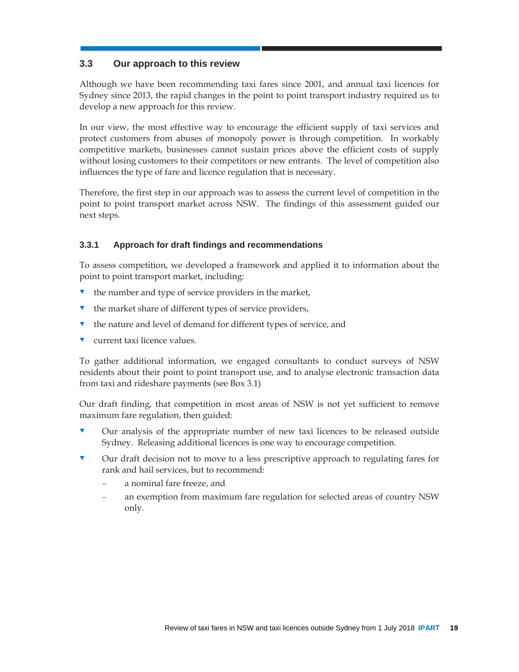## **3.3 Our approach to this review**

Although we have been recommending taxi fares since 2001, and annual taxi licences for Sydney since 2013, the rapid changes in the point to point transport industry required us to develop a new approach for this review.

In our view, the most effective way to encourage the efficient supply of taxi services and protect customers from abuses of monopoly power is through competition. In workably competitive markets, businesses cannot sustain prices above the efficient costs of supply without losing customers to their competitors or new entrants. The level of competition also influences the type of fare and licence regulation that is necessary.

Therefore, the first step in our approach was to assess the current level of competition in the point to point transport market across NSW. The findings of this assessment guided our next steps.

## **3.3.1 Approach for draft findings and recommendations**

To assess competition, we developed a framework and applied it to information about the point to point transport market, including:

- the number and type of service providers in the market,
- the market share of different types of service providers,
- the nature and level of demand for different types of service, and
- current taxi licence values.

To gather additional information, we engaged consultants to conduct surveys of NSW residents about their point to point transport use, and to analyse electronic transaction data from taxi and rideshare payments (see Box 3.1)

Our draft finding, that competition in most areas of NSW is not yet sufficient to remove maximum fare regulation, then guided:

- Our analysis of the appropriate number of new taxi licences to be released outside Sydney. Releasing additional licences is one way to encourage competition.
- Our draft decision not to move to a less prescriptive approach to regulating fares for rank and hail services, but to recommend:
	- a nominal fare freeze, and
	- an exemption from maximum fare regulation for selected areas of country NSW only.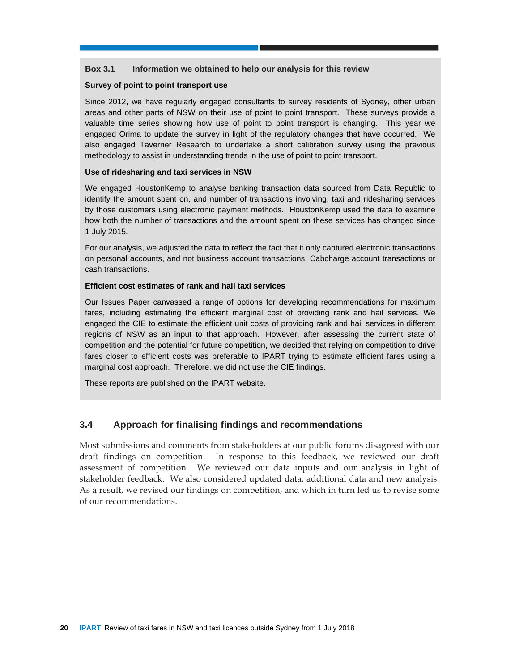#### **Box 3.1 Information we obtained to help our analysis for this review**

#### **Survey of point to point transport use**

Since 2012, we have regularly engaged consultants to survey residents of Sydney, other urban areas and other parts of NSW on their use of point to point transport. These surveys provide a valuable time series showing how use of point to point transport is changing. This year we engaged Orima to update the survey in light of the regulatory changes that have occurred. We also engaged Taverner Research to undertake a short calibration survey using the previous methodology to assist in understanding trends in the use of point to point transport.

#### **Use of ridesharing and taxi services in NSW**

We engaged HoustonKemp to analyse banking transaction data sourced from Data Republic to identify the amount spent on, and number of transactions involving, taxi and ridesharing services by those customers using electronic payment methods. HoustonKemp used the data to examine how both the number of transactions and the amount spent on these services has changed since 1 July 2015.

For our analysis, we adjusted the data to reflect the fact that it only captured electronic transactions on personal accounts, and not business account transactions, Cabcharge account transactions or cash transactions.

#### **Efficient cost estimates of rank and hail taxi services**

Our Issues Paper canvassed a range of options for developing recommendations for maximum fares, including estimating the efficient marginal cost of providing rank and hail services. We engaged the CIE to estimate the efficient unit costs of providing rank and hail services in different regions of NSW as an input to that approach. However, after assessing the current state of competition and the potential for future competition, we decided that relying on competition to drive fares closer to efficient costs was preferable to IPART trying to estimate efficient fares using a marginal cost approach. Therefore, we did not use the CIE findings.

These reports are published on the IPART website.

## **3.4 Approach for finalising findings and recommendations**

Most submissions and comments from stakeholders at our public forums disagreed with our draft findings on competition. In response to this feedback, we reviewed our draft assessment of competition. We reviewed our data inputs and our analysis in light of stakeholder feedback. We also considered updated data, additional data and new analysis. As a result, we revised our findings on competition, and which in turn led us to revise some of our recommendations.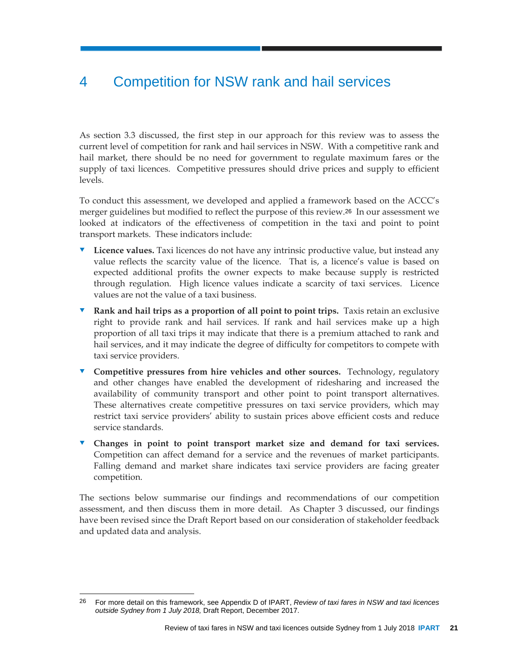## 4 Competition for NSW rank and hail services

As section 3.3 discussed, the first step in our approach for this review was to assess the current level of competition for rank and hail services in NSW. With a competitive rank and hail market, there should be no need for government to regulate maximum fares or the supply of taxi licences. Competitive pressures should drive prices and supply to efficient levels.

To conduct this assessment, we developed and applied a framework based on the ACCC's merger guidelines but modified to reflect the purpose of this review.26 In our assessment we looked at indicators of the effectiveness of competition in the taxi and point to point transport markets. These indicators include:

- **Licence values.** Taxi licences do not have any intrinsic productive value, but instead any value reflects the scarcity value of the licence. That is, a licence's value is based on expected additional profits the owner expects to make because supply is restricted through regulation. High licence values indicate a scarcity of taxi services. Licence values are not the value of a taxi business.
- **Rank and hail trips as a proportion of all point to point trips.** Taxis retain an exclusive right to provide rank and hail services. If rank and hail services make up a high proportion of all taxi trips it may indicate that there is a premium attached to rank and hail services, and it may indicate the degree of difficulty for competitors to compete with taxi service providers.
- **Competitive pressures from hire vehicles and other sources.** Technology, regulatory and other changes have enabled the development of ridesharing and increased the availability of community transport and other point to point transport alternatives. These alternatives create competitive pressures on taxi service providers, which may restrict taxi service providers' ability to sustain prices above efficient costs and reduce service standards.
- **Changes in point to point transport market size and demand for taxi services.** Competition can affect demand for a service and the revenues of market participants. Falling demand and market share indicates taxi service providers are facing greater competition.

The sections below summarise our findings and recommendations of our competition assessment, and then discuss them in more detail. As Chapter 3 discussed, our findings have been revised since the Draft Report based on our consideration of stakeholder feedback and updated data and analysis.

l 26 For more detail on this framework, see Appendix D of IPART, *Review of taxi fares in NSW and taxi licences outside Sydney from 1 July 2018,* Draft Report, December 2017.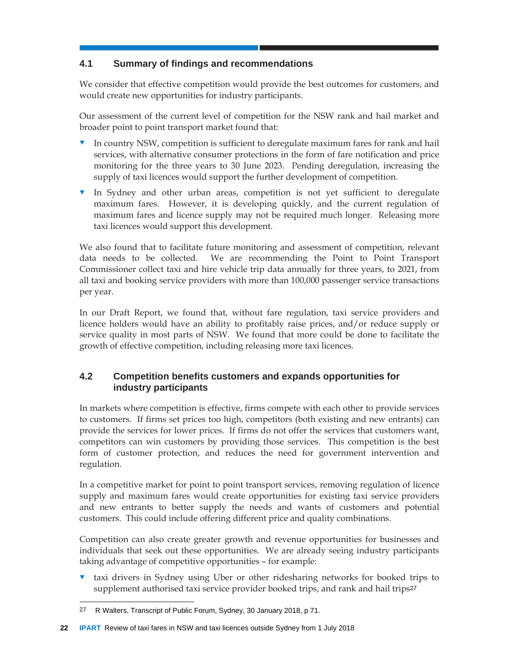## **4.1 Summary of findings and recommendations**

We consider that effective competition would provide the best outcomes for customers, and would create new opportunities for industry participants.

Our assessment of the current level of competition for the NSW rank and hail market and broader point to point transport market found that:

- In country NSW, competition is sufficient to deregulate maximum fares for rank and hail services, with alternative consumer protections in the form of fare notification and price monitoring for the three years to 30 June 2023. Pending deregulation, increasing the supply of taxi licences would support the further development of competition.
- In Sydney and other urban areas, competition is not yet sufficient to deregulate maximum fares. However, it is developing quickly, and the current regulation of maximum fares and licence supply may not be required much longer. Releasing more taxi licences would support this development.

We also found that to facilitate future monitoring and assessment of competition, relevant data needs to be collected. We are recommending the Point to Point Transport Commissioner collect taxi and hire vehicle trip data annually for three years, to 2021, from all taxi and booking service providers with more than 100,000 passenger service transactions per year.

In our Draft Report, we found that, without fare regulation, taxi service providers and licence holders would have an ability to profitably raise prices, and/or reduce supply or service quality in most parts of NSW. We found that more could be done to facilitate the growth of effective competition, including releasing more taxi licences.

## **4.2 Competition benefits customers and expands opportunities for industry participants**

In markets where competition is effective, firms compete with each other to provide services to customers. If firms set prices too high, competitors (both existing and new entrants) can provide the services for lower prices. If firms do not offer the services that customers want, competitors can win customers by providing those services. This competition is the best form of customer protection, and reduces the need for government intervention and regulation.

In a competitive market for point to point transport services, removing regulation of licence supply and maximum fares would create opportunities for existing taxi service providers and new entrants to better supply the needs and wants of customers and potential customers. This could include offering different price and quality combinations.

Competition can also create greater growth and revenue opportunities for businesses and individuals that seek out these opportunities. We are already seeing industry participants taking advantage of competitive opportunities – for example:

 taxi drivers in Sydney using Uber or other ridesharing networks for booked trips to supplement authorised taxi service provider booked trips, and rank and hail trips<sup>27</sup>

l 27 R Walters, Transcript of Public Forum, Sydney, 30 January 2018, p 71.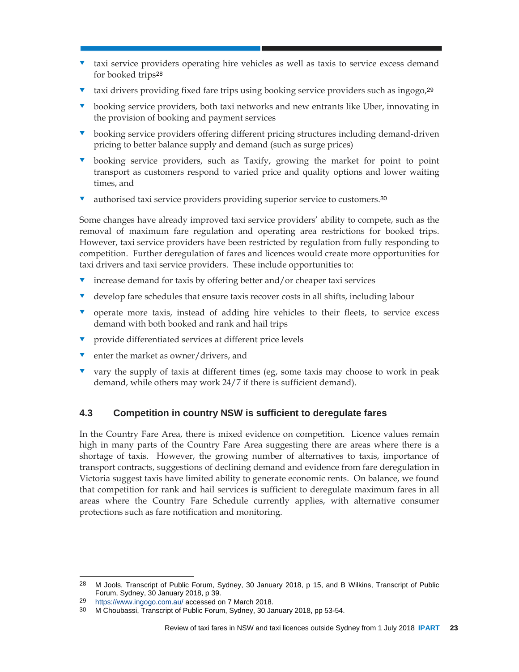- taxi service providers operating hire vehicles as well as taxis to service excess demand for booked trips<sup>28</sup>
- taxi drivers providing fixed fare trips using booking service providers such as ingogo,<sup>29</sup>
- booking service providers, both taxi networks and new entrants like Uber, innovating in the provision of booking and payment services
- **v** booking service providers offering different pricing structures including demand-driven pricing to better balance supply and demand (such as surge prices)
- booking service providers, such as Taxify, growing the market for point to point transport as customers respond to varied price and quality options and lower waiting times, and
- authorised taxi service providers providing superior service to customers.<sup>30</sup>

Some changes have already improved taxi service providers' ability to compete, such as the removal of maximum fare regulation and operating area restrictions for booked trips. However, taxi service providers have been restricted by regulation from fully responding to competition. Further deregulation of fares and licences would create more opportunities for taxi drivers and taxi service providers. These include opportunities to:

- increase demand for taxis by offering better and/or cheaper taxi services
- develop fare schedules that ensure taxis recover costs in all shifts, including labour
- **v** operate more taxis, instead of adding hire vehicles to their fleets, to service excess demand with both booked and rank and hail trips
- **v** provide differentiated services at different price levels
- **v** enter the market as owner/drivers, and
- $\bullet$  vary the supply of taxis at different times (eg, some taxis may choose to work in peak demand, while others may work 24/7 if there is sufficient demand).

## **4.3 Competition in country NSW is sufficient to deregulate fares**

In the Country Fare Area, there is mixed evidence on competition. Licence values remain high in many parts of the Country Fare Area suggesting there are areas where there is a shortage of taxis. However, the growing number of alternatives to taxis, importance of transport contracts, suggestions of declining demand and evidence from fare deregulation in Victoria suggest taxis have limited ability to generate economic rents. On balance, we found that competition for rank and hail services is sufficient to deregulate maximum fares in all areas where the Country Fare Schedule currently applies, with alternative consumer protections such as fare notification and monitoring.

l

<sup>28</sup> M Jools, Transcript of Public Forum, Sydney, 30 January 2018, p 15, and B Wilkins, Transcript of Public Forum, Sydney, 30 January 2018, p 39.

<sup>29</sup> https://www.ingogo.com.au/ accessed on 7 March 2018.

<sup>30</sup> M Choubassi, Transcript of Public Forum, Sydney, 30 January 2018, pp 53-54.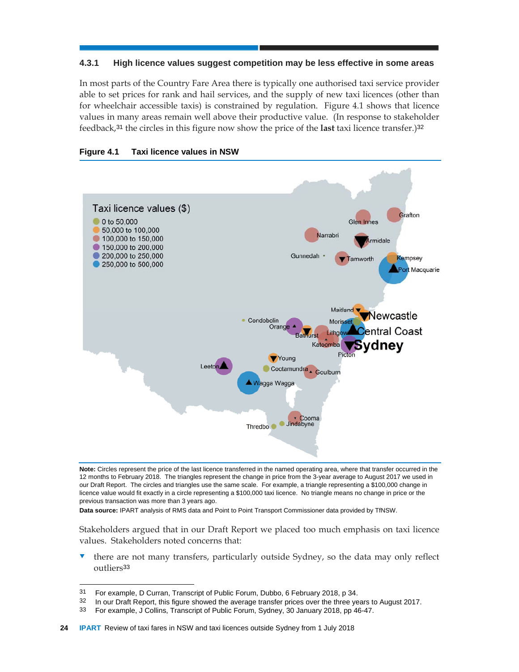#### **4.3.1 High licence values suggest competition may be less effective in some areas**

In most parts of the Country Fare Area there is typically one authorised taxi service provider able to set prices for rank and hail services, and the supply of new taxi licences (other than for wheelchair accessible taxis) is constrained by regulation. Figure 4.1 shows that licence values in many areas remain well above their productive value. (In response to stakeholder feedback,31 the circles in this figure now show the price of the **last** taxi licence transfer.)<sup>32</sup>





**Note:** Circles represent the price of the last licence transferred in the named operating area, where that transfer occurred in the 12 months to February 2018. The triangles represent the change in price from the 3-year average to August 2017 we used in our Draft Report. The circles and triangles use the same scale. For example, a triangle representing a \$100,000 change in licence value would fit exactly in a circle representing a \$100,000 taxi licence. No triangle means no change in price or the previous transaction was more than 3 years ago.

**Data source:** IPART analysis of RMS data and Point to Point Transport Commissioner data provided by TfNSW.

Stakeholders argued that in our Draft Report we placed too much emphasis on taxi licence values. Stakeholders noted concerns that:

 $\blacktriangledown$  there are not many transfers, particularly outside Sydney, so the data may only reflect outliers<sup>33</sup>

l

<sup>31</sup> For example, D Curran, Transcript of Public Forum, Dubbo, 6 February 2018, p 34.<br>32 Ja our Droft Beport, this figure showed the overage transfer prices over the three values.

In our Draft Report, this figure showed the average transfer prices over the three years to August 2017.

<sup>33</sup> For example, J Collins, Transcript of Public Forum, Sydney, 30 January 2018, pp 46-47.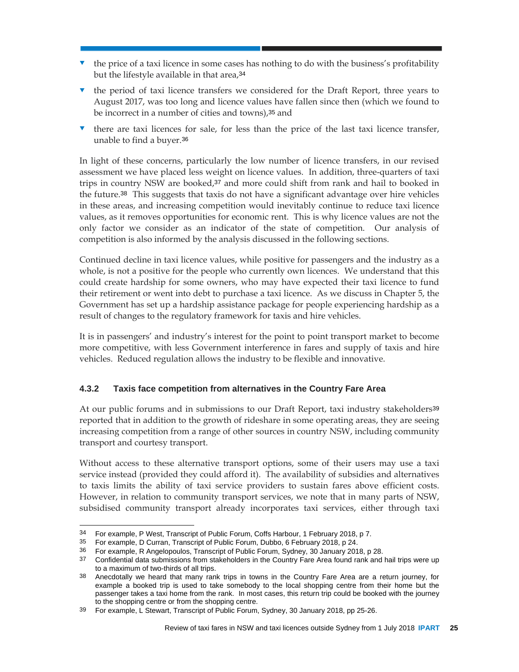- $\bullet$  the price of a taxi licence in some cases has nothing to do with the business's profitability but the lifestyle available in that area, 34
- $\bullet$  the period of taxi licence transfers we considered for the Draft Report, three years to August 2017, was too long and licence values have fallen since then (which we found to be incorrect in a number of cities and towns),35 and
- there are taxi licences for sale, for less than the price of the last taxi licence transfer, unable to find a buyer.<sup>36</sup>

In light of these concerns, particularly the low number of licence transfers, in our revised assessment we have placed less weight on licence values. In addition, three-quarters of taxi trips in country NSW are booked,<sup>37</sup> and more could shift from rank and hail to booked in the future.38 This suggests that taxis do not have a significant advantage over hire vehicles in these areas, and increasing competition would inevitably continue to reduce taxi licence values, as it removes opportunities for economic rent. This is why licence values are not the only factor we consider as an indicator of the state of competition. Our analysis of competition is also informed by the analysis discussed in the following sections.

Continued decline in taxi licence values, while positive for passengers and the industry as a whole, is not a positive for the people who currently own licences. We understand that this could create hardship for some owners, who may have expected their taxi licence to fund their retirement or went into debt to purchase a taxi licence. As we discuss in Chapter 5, the Government has set up a hardship assistance package for people experiencing hardship as a result of changes to the regulatory framework for taxis and hire vehicles.

It is in passengers' and industry's interest for the point to point transport market to become more competitive, with less Government interference in fares and supply of taxis and hire vehicles. Reduced regulation allows the industry to be flexible and innovative.

## **4.3.2 Taxis face competition from alternatives in the Country Fare Area**

At our public forums and in submissions to our Draft Report, taxi industry stakeholders<sup>39</sup> reported that in addition to the growth of rideshare in some operating areas, they are seeing increasing competition from a range of other sources in country NSW, including community transport and courtesy transport.

Without access to these alternative transport options, some of their users may use a taxi service instead (provided they could afford it). The availability of subsidies and alternatives to taxis limits the ability of taxi service providers to sustain fares above efficient costs. However, in relation to community transport services, we note that in many parts of NSW, subsidised community transport already incorporates taxi services, either through taxi

 $\overline{a}$ 34 For example, P West, Transcript of Public Forum, Coffs Harbour, 1 February 2018, p 7.<br>35 For example, D Curran, Transcript of Public Forum, Dubbo, 6 February 2018, p 24.

<sup>35</sup> For example, D Curran, Transcript of Public Forum, Dubbo, 6 February 2018, p 24.

<sup>36</sup> For example, R Angelopoulos, Transcript of Public Forum, Sydney, 30 January 2018, p 28.

<sup>37</sup> Confidential data submissions from stakeholders in the Country Fare Area found rank and hail trips were up to a maximum of two-thirds of all trips.

<sup>38</sup> Anecdotally we heard that many rank trips in towns in the Country Fare Area are a return journey, for example a booked trip is used to take somebody to the local shopping centre from their home but the passenger takes a taxi home from the rank. In most cases, this return trip could be booked with the journey to the shopping centre or from the shopping centre.

<sup>39</sup> For example, L Stewart, Transcript of Public Forum, Sydney, 30 January 2018, pp 25-26.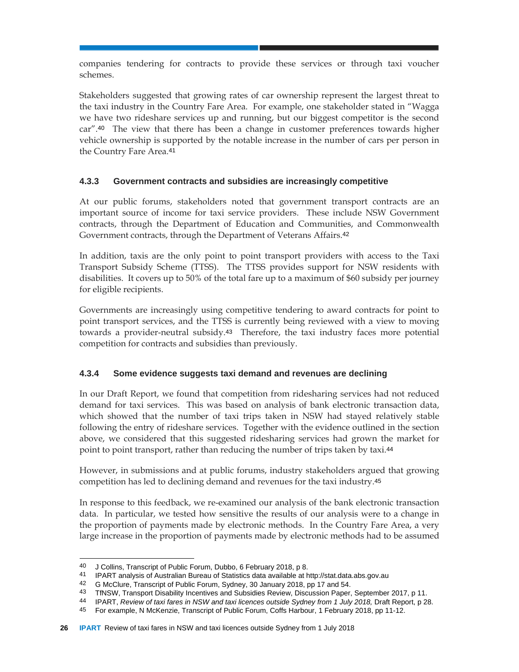companies tendering for contracts to provide these services or through taxi voucher schemes.

Stakeholders suggested that growing rates of car ownership represent the largest threat to the taxi industry in the Country Fare Area. For example, one stakeholder stated in "Wagga we have two rideshare services up and running, but our biggest competitor is the second car".40 The view that there has been a change in customer preferences towards higher vehicle ownership is supported by the notable increase in the number of cars per person in the Country Fare Area.<sup>41</sup>

## **4.3.3 Government contracts and subsidies are increasingly competitive**

At our public forums, stakeholders noted that government transport contracts are an important source of income for taxi service providers. These include NSW Government contracts, through the Department of Education and Communities, and Commonwealth Government contracts, through the Department of Veterans Affairs.<sup>42</sup>

In addition, taxis are the only point to point transport providers with access to the Taxi Transport Subsidy Scheme (TTSS). The TTSS provides support for NSW residents with disabilities. It covers up to 50% of the total fare up to a maximum of \$60 subsidy per journey for eligible recipients.

Governments are increasingly using competitive tendering to award contracts for point to point transport services, and the TTSS is currently being reviewed with a view to moving towards a provider-neutral subsidy.43 Therefore, the taxi industry faces more potential competition for contracts and subsidies than previously.

## **4.3.4 Some evidence suggests taxi demand and revenues are declining**

In our Draft Report, we found that competition from ridesharing services had not reduced demand for taxi services. This was based on analysis of bank electronic transaction data, which showed that the number of taxi trips taken in NSW had stayed relatively stable following the entry of rideshare services. Together with the evidence outlined in the section above, we considered that this suggested ridesharing services had grown the market for point to point transport, rather than reducing the number of trips taken by taxi.<sup>44</sup>

However, in submissions and at public forums, industry stakeholders argued that growing competition has led to declining demand and revenues for the taxi industry.<sup>45</sup>

In response to this feedback, we re-examined our analysis of the bank electronic transaction data. In particular, we tested how sensitive the results of our analysis were to a change in the proportion of payments made by electronic methods. In the Country Fare Area, a very large increase in the proportion of payments made by electronic methods had to be assumed

 $\overline{a}$ 40 J Collins, Transcript of Public Forum, Dubbo, 6 February 2018, p 8.

<sup>41</sup> IPART analysis of Australian Bureau of Statistics data available at http://stat.data.abs.gov.au

<sup>42</sup> G McClure, Transcript of Public Forum, Sydney, 30 January 2018, pp 17 and 54.

<sup>43</sup> TfNSW, Transport Disability Incentives and Subsidies Review, Discussion Paper, September 2017, p 11.

<sup>44</sup> IPART, *Review of taxi fares in NSW and taxi licences outside Sydney from 1 July 2018*, Draft Report, p 28.

<sup>45</sup> For example, N McKenzie, Transcript of Public Forum, Coffs Harbour, 1 February 2018, pp 11-12.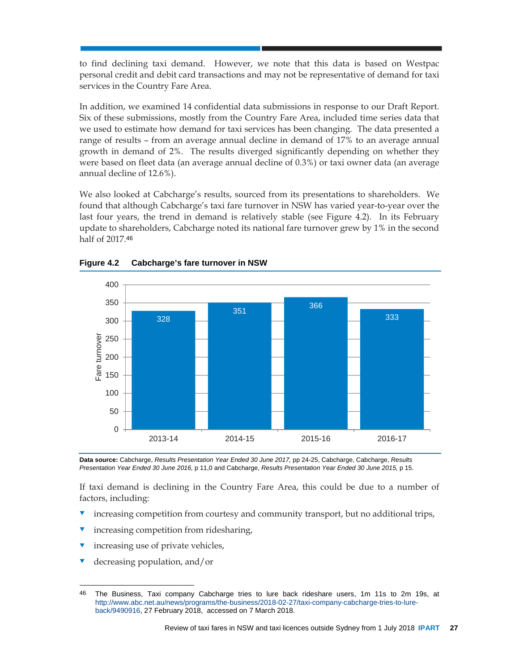to find declining taxi demand. However, we note that this data is based on Westpac personal credit and debit card transactions and may not be representative of demand for taxi services in the Country Fare Area.

In addition, we examined 14 confidential data submissions in response to our Draft Report. Six of these submissions, mostly from the Country Fare Area, included time series data that we used to estimate how demand for taxi services has been changing. The data presented a range of results – from an average annual decline in demand of 17% to an average annual growth in demand of 2%. The results diverged significantly depending on whether they were based on fleet data (an average annual decline of 0.3%) or taxi owner data (an average annual decline of 12.6%).

We also looked at Cabcharge's results, sourced from its presentations to shareholders. We found that although Cabcharge's taxi fare turnover in NSW has varied year-to-year over the last four years, the trend in demand is relatively stable (see Figure 4.2). In its February update to shareholders, Cabcharge noted its national fare turnover grew by 1% in the second half of 2017.<sup>46</sup>





Data source: Cabcharge, *Results Presentation Year Ended 30 June 2017*, pp 24-25, Cabcharge, Cabcharge, *Results Presentation Year Ended 30 June 2016,* p 11,0 and Cabcharge, *Results Presentation Year Ended 30 June 2015,* p 15.

If taxi demand is declining in the Country Fare Area, this could be due to a number of factors, including:

- increasing competition from courtesy and community transport, but no additional trips,
- increasing competition from ridesharing,
- increasing use of private vehicles,
- decreasing population, and/or

l

<sup>46</sup> The Business, Taxi company Cabcharge tries to lure back rideshare users, 1m 11s to 2m 19s, at http://www.abc.net.au/news/programs/the-business/2018-02-27/taxi-company-cabcharge-tries-to-lureback/9490916, 27 February 2018, accessed on 7 March 2018.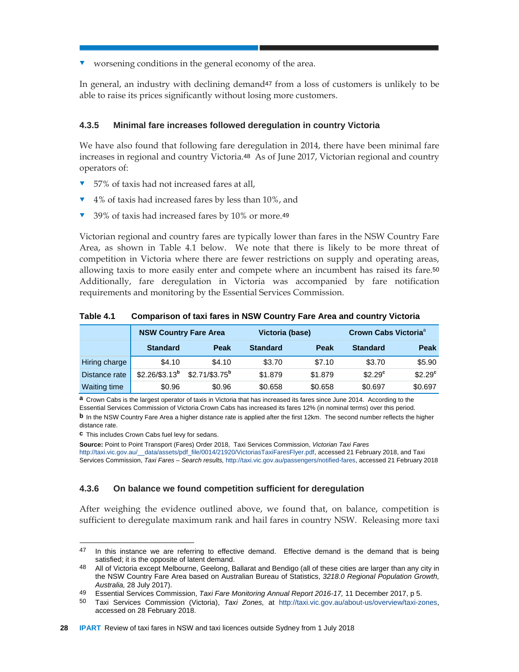worsening conditions in the general economy of the area.

In general, an industry with declining demand47 from a loss of customers is unlikely to be able to raise its prices significantly without losing more customers.

#### **4.3.5 Minimal fare increases followed deregulation in country Victoria**

We have also found that following fare deregulation in 2014, there have been minimal fare increases in regional and country Victoria.48 As of June 2017, Victorian regional and country operators of:

- 57% of taxis had not increased fares at all,
- 4% of taxis had increased fares by less than 10%, and
- 39% of taxis had increased fares by 10% or more.<sup>49</sup>

Victorian regional and country fares are typically lower than fares in the NSW Country Fare Area, as shown in Table 4.1 below. We note that there is likely to be more threat of competition in Victoria where there are fewer restrictions on supply and operating areas, allowing taxis to more easily enter and compete where an incumbent has raised its fare.<sup>50</sup> Additionally, fare deregulation in Victoria was accompanied by fare notification requirements and monitoring by the Essential Services Commission.

|                     | <b>NSW Country Fare Area</b> |                  |                 | Victoria (base) |                 | Crown Cabs Victoria <sup>a</sup> |  |
|---------------------|------------------------------|------------------|-----------------|-----------------|-----------------|----------------------------------|--|
|                     | <b>Standard</b>              | Peak             | <b>Standard</b> | Peak            | <b>Standard</b> | Peak                             |  |
| Hiring charge       | \$4.10                       | \$4.10           | \$3.70          | \$7.10          | \$3.70          | \$5.90                           |  |
| Distance rate       | $$2.26/\$3.13^{b}$           | $$2.71/\$3.75^b$ | \$1,879         | \$1,879         | $$2.29^\circ$   | $$2.29$ <sup>c</sup>             |  |
| <b>Waiting time</b> | \$0.96                       | \$0.96           | \$0.658         | \$0.658         | \$0.697         | \$0.697                          |  |

**Table 4.1 Comparison of taxi fares in NSW Country Fare Area and country Victoria** 

**a** Crown Cabs is the largest operator of taxis in Victoria that has increased its fares since June 2014. According to the Essential Services Commission of Victoria Crown Cabs has increased its fares 12% (in nominal terms) over this period.

**c** This includes Crown Cabs fuel levy for sedans.

**Source:** Point to Point Transport (Fares) Order 2018, Taxi Services Commission, *Victorian Taxi Fares*  http://taxi.vic.gov.au/\_\_data/assets/pdf\_file/0014/21920/VictoriasTaxiFaresFlyer.pdf, accessed 21 February 2018, and Taxi Services Commission, *Taxi Fares – Search results,* http://taxi.vic.gov.au/passengers/notified-fares, accessed 21 February 2018

#### **4.3.6 On balance we found competition sufficient for deregulation**

After weighing the evidence outlined above, we found that, on balance, competition is sufficient to deregulate maximum rank and hail fares in country NSW. Releasing more taxi

**b** In the NSW Country Fare Area a higher distance rate is applied after the first 12km. The second number reflects the higher distance rate.

 $\overline{a}$ 47 In this instance we are referring to effective demand. Effective demand is the demand that is being satisfied; it is the opposite of latent demand.

<sup>48</sup> All of Victoria except Melbourne, Geelong, Ballarat and Bendigo (all of these cities are larger than any city in the NSW Country Fare Area based on Australian Bureau of Statistics, *3218.0 Regional Population Growth, Australia,* 28 July 2017).

<sup>49</sup> Essential Services Commission, *Taxi Fare Monitoring Annual Report 2016-17,* 11 December 2017, p 5.

<sup>50</sup> Taxi Services Commission (Victoria), *Taxi Zones,* at http://taxi.vic.gov.au/about-us/overview/taxi-zones, accessed on 28 February 2018.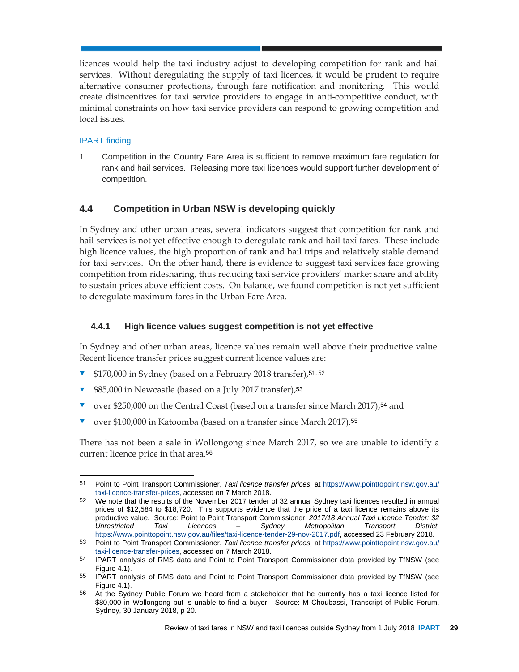licences would help the taxi industry adjust to developing competition for rank and hail services. Without deregulating the supply of taxi licences, it would be prudent to require alternative consumer protections, through fare notification and monitoring. This would create disincentives for taxi service providers to engage in anti-competitive conduct, with minimal constraints on how taxi service providers can respond to growing competition and local issues.

## IPART finding

l

1 Competition in the Country Fare Area is sufficient to remove maximum fare regulation for rank and hail services. Releasing more taxi licences would support further development of competition.

## **4.4 Competition in Urban NSW is developing quickly**

In Sydney and other urban areas, several indicators suggest that competition for rank and hail services is not yet effective enough to deregulate rank and hail taxi fares. These include high licence values, the high proportion of rank and hail trips and relatively stable demand for taxi services. On the other hand, there is evidence to suggest taxi services face growing competition from ridesharing, thus reducing taxi service providers' market share and ability to sustain prices above efficient costs. On balance, we found competition is not yet sufficient to deregulate maximum fares in the Urban Fare Area.

## **4.4.1 High licence values suggest competition is not yet effective**

In Sydney and other urban areas, licence values remain well above their productive value. Recent licence transfer prices suggest current licence values are:

- \$170,000 in Sydney (based on a February 2018 transfer),<sup>51</sup>, <sup>52</sup>
- \$85,000 in Newcastle (based on a July 2017 transfer),<sup>53</sup>
- over \$250,000 on the Central Coast (based on a transfer since March 2017),<sup>54</sup> and
- v over \$100,000 in Katoomba (based on a transfer since March 2017).<sup>55</sup>

There has not been a sale in Wollongong since March 2017, so we are unable to identify a current licence price in that area.<sup>56</sup>

<sup>51</sup> Point to Point Transport Commissioner, *Taxi licence transfer prices,* at https://www.pointtopoint.nsw.gov.au/ taxi-licence-transfer-prices, accessed on 7 March 2018.

<sup>52</sup> We note that the results of the November 2017 tender of 32 annual Sydney taxi licences resulted in annual prices of \$12,584 to \$18,720. This supports evidence that the price of a taxi licence remains above its productive value. Source: Point to Point Transport Commissioner, *2017/18 Annual Taxi Licence Tender: 32 Unrestricted Taxi Licences – Sydney Metropolitan Transport District,*  https://www.pointtopoint.nsw.gov.au/files/taxi-licence-tender-29-nov-2017.pdf, accessed 23 February 2018.

<sup>53</sup> Point to Point Transport Commissioner, *Taxi licence transfer prices,* at https://www.pointtopoint.nsw.gov.au/ taxi-licence-transfer-prices, accessed on 7 March 2018.

<sup>54</sup> IPART analysis of RMS data and Point to Point Transport Commissioner data provided by TfNSW (see Figure 4.1).

<sup>55</sup> IPART analysis of RMS data and Point to Point Transport Commissioner data provided by TfNSW (see Figure 4.1).

<sup>56</sup> At the Sydney Public Forum we heard from a stakeholder that he currently has a taxi licence listed for \$80,000 in Wollongong but is unable to find a buyer. Source: M Choubassi, Transcript of Public Forum, Sydney, 30 January 2018, p 20.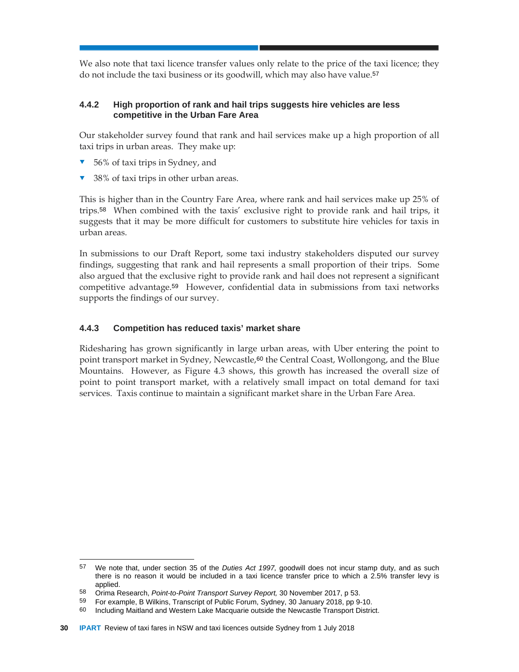We also note that taxi licence transfer values only relate to the price of the taxi licence; they do not include the taxi business or its goodwill, which may also have value.<sup>57</sup>

## **4.4.2 High proportion of rank and hail trips suggests hire vehicles are less competitive in the Urban Fare Area**

Our stakeholder survey found that rank and hail services make up a high proportion of all taxi trips in urban areas. They make up:

- 56% of taxi trips in Sydney, and
- 38% of taxi trips in other urban areas.

This is higher than in the Country Fare Area, where rank and hail services make up 25% of trips.58 When combined with the taxis' exclusive right to provide rank and hail trips, it suggests that it may be more difficult for customers to substitute hire vehicles for taxis in urban areas.

In submissions to our Draft Report, some taxi industry stakeholders disputed our survey findings, suggesting that rank and hail represents a small proportion of their trips. Some also argued that the exclusive right to provide rank and hail does not represent a significant competitive advantage.59 However, confidential data in submissions from taxi networks supports the findings of our survey.

## **4.4.3 Competition has reduced taxis' market share**

Ridesharing has grown significantly in large urban areas, with Uber entering the point to point transport market in Sydney, Newcastle,60 the Central Coast, Wollongong, and the Blue Mountains. However, as Figure 4.3 shows, this growth has increased the overall size of point to point transport market, with a relatively small impact on total demand for taxi services. Taxis continue to maintain a significant market share in the Urban Fare Area.

 $\overline{a}$ 

<sup>57</sup> We note that, under section 35 of the *Duties Act 1997,* goodwill does not incur stamp duty, and as such there is no reason it would be included in a taxi licence transfer price to which a 2.5% transfer levy is applied.

<sup>58</sup> Orima Research, *Point-to-Point Transport Survey Report,* 30 November 2017, p 53.

<sup>59</sup> For example, B Wilkins, Transcript of Public Forum, Sydney, 30 January 2018, pp 9-10.

<sup>60</sup> Including Maitland and Western Lake Macquarie outside the Newcastle Transport District.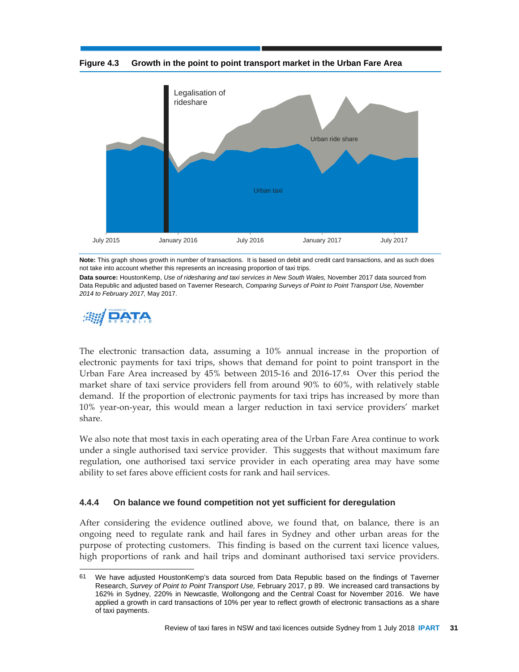**Figure 4.3 Growth in the point to point transport market in the Urban Fare Area** 



**Note:** This graph shows growth in number of transactions. It is based on debit and credit card transactions, and as such does not take into account whether this represents an increasing proportion of taxi trips.

**Data source:** HoustonKemp, *Use of ridesharing and taxi services in New South Wales,* November 2017 data sourced from Data Republic and adjusted based on Taverner Research, *Comparing Surveys of Point to Point Transport Use, November 2014 to February 2017,* May 2017.



l

The electronic transaction data, assuming a 10% annual increase in the proportion of electronic payments for taxi trips, shows that demand for point to point transport in the Urban Fare Area increased by 45% between 2015-16 and 2016-17.61 Over this period the market share of taxi service providers fell from around 90% to 60%, with relatively stable demand. If the proportion of electronic payments for taxi trips has increased by more than 10% year-on-year, this would mean a larger reduction in taxi service providers' market share.

We also note that most taxis in each operating area of the Urban Fare Area continue to work under a single authorised taxi service provider. This suggests that without maximum fare regulation, one authorised taxi service provider in each operating area may have some ability to set fares above efficient costs for rank and hail services.

#### **4.4.4 On balance we found competition not yet sufficient for deregulation**

After considering the evidence outlined above, we found that, on balance, there is an ongoing need to regulate rank and hail fares in Sydney and other urban areas for the purpose of protecting customers. This finding is based on the current taxi licence values, high proportions of rank and hail trips and dominant authorised taxi service providers.

<sup>61</sup> We have adjusted HoustonKemp's data sourced from Data Republic based on the findings of Taverner Research, *Survey of Point to Point Transport Use,* February 2017, p 89. We increased card transactions by 162% in Sydney, 220% in Newcastle, Wollongong and the Central Coast for November 2016. We have applied a growth in card transactions of 10% per year to reflect growth of electronic transactions as a share of taxi payments.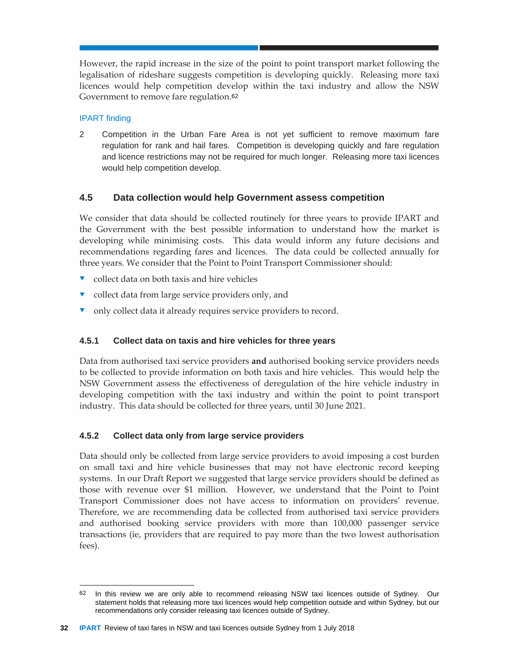However, the rapid increase in the size of the point to point transport market following the legalisation of rideshare suggests competition is developing quickly. Releasing more taxi licences would help competition develop within the taxi industry and allow the NSW Government to remove fare regulation.<sup>62</sup>

## IPART finding

2 Competition in the Urban Fare Area is not yet sufficient to remove maximum fare regulation for rank and hail fares. Competition is developing quickly and fare regulation and licence restrictions may not be required for much longer. Releasing more taxi licences would help competition develop.

## **4.5 Data collection would help Government assess competition**

We consider that data should be collected routinely for three years to provide IPART and the Government with the best possible information to understand how the market is developing while minimising costs. This data would inform any future decisions and recommendations regarding fares and licences. The data could be collected annually for three years. We consider that the Point to Point Transport Commissioner should:

- collect data on both taxis and hire vehicles
- v collect data from large service providers only, and
- only collect data it already requires service providers to record.

## **4.5.1 Collect data on taxis and hire vehicles for three years**

Data from authorised taxi service providers **and** authorised booking service providers needs to be collected to provide information on both taxis and hire vehicles. This would help the NSW Government assess the effectiveness of deregulation of the hire vehicle industry in developing competition with the taxi industry and within the point to point transport industry. This data should be collected for three years, until 30 June 2021.

## **4.5.2 Collect data only from large service providers**

Data should only be collected from large service providers to avoid imposing a cost burden on small taxi and hire vehicle businesses that may not have electronic record keeping systems. In our Draft Report we suggested that large service providers should be defined as those with revenue over \$1 million. However, we understand that the Point to Point Transport Commissioner does not have access to information on providers' revenue. Therefore, we are recommending data be collected from authorised taxi service providers and authorised booking service providers with more than 100,000 passenger service transactions (ie, providers that are required to pay more than the two lowest authorisation fees).

l 62 In this review we are only able to recommend releasing NSW taxi licences outside of Sydney. Our statement holds that releasing more taxi licences would help competition outside and within Sydney, but our recommendations only consider releasing taxi licences outside of Sydney.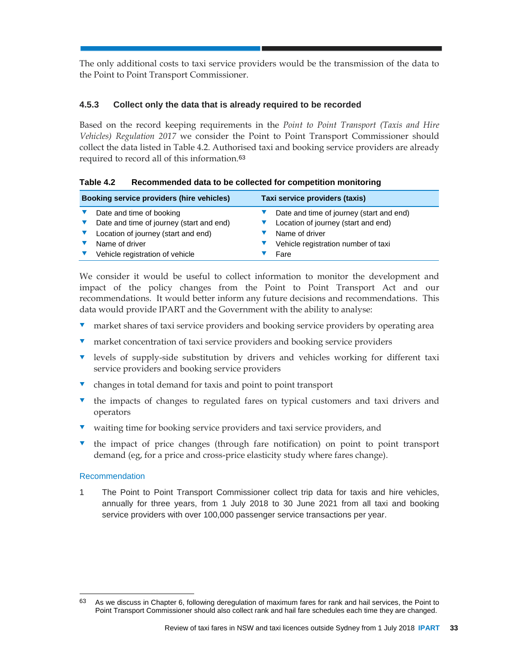The only additional costs to taxi service providers would be the transmission of the data to the Point to Point Transport Commissioner.

## **4.5.3 Collect only the data that is already required to be recorded**

Based on the record keeping requirements in the *Point to Point Transport (Taxis and Hire Vehicles) Regulation 2017* we consider the Point to Point Transport Commissioner should collect the data listed in Table 4.2. Authorised taxi and booking service providers are already required to record all of this information.<sup>63</sup>

| Booking service providers (hire vehicles) |                                          | Taxi service providers (taxis) |                                          |
|-------------------------------------------|------------------------------------------|--------------------------------|------------------------------------------|
|                                           | Date and time of booking                 |                                | Date and time of journey (start and end) |
|                                           | Date and time of journey (start and end) |                                | Location of journey (start and end)      |
|                                           | Location of journey (start and end)      |                                | Name of driver                           |
|                                           | Name of driver                           |                                | Vehicle registration number of taxi      |
|                                           | Vehicle registration of vehicle          |                                | Fare                                     |

We consider it would be useful to collect information to monitor the development and impact of the policy changes from the Point to Point Transport Act and our recommendations. It would better inform any future decisions and recommendations. This data would provide IPART and the Government with the ability to analyse:

- market shares of taxi service providers and booking service providers by operating area
- **v** market concentration of taxi service providers and booking service providers
- **v** levels of supply-side substitution by drivers and vehicles working for different taxi service providers and booking service providers
- $\bullet$  changes in total demand for taxis and point to point transport
- the impacts of changes to regulated fares on typical customers and taxi drivers and operators
- waiting time for booking service providers and taxi service providers, and
- the impact of price changes (through fare notification) on point to point transport demand (eg, for a price and cross-price elasticity study where fares change).

#### Recommendation

l

1 The Point to Point Transport Commissioner collect trip data for taxis and hire vehicles, annually for three years, from 1 July 2018 to 30 June 2021 from all taxi and booking service providers with over 100,000 passenger service transactions per year.

<sup>63</sup> As we discuss in Chapter 6, following deregulation of maximum fares for rank and hail services, the Point to Point Transport Commissioner should also collect rank and hail fare schedules each time they are changed.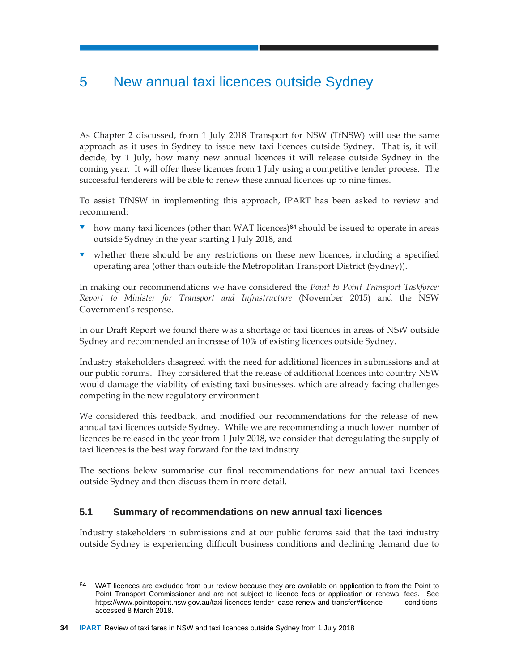# 5 New annual taxi licences outside Sydney

As Chapter 2 discussed, from 1 July 2018 Transport for NSW (TfNSW) will use the same approach as it uses in Sydney to issue new taxi licences outside Sydney. That is, it will decide, by 1 July, how many new annual licences it will release outside Sydney in the coming year. It will offer these licences from 1 July using a competitive tender process. The successful tenderers will be able to renew these annual licences up to nine times.

To assist TfNSW in implementing this approach, IPART has been asked to review and recommend:

- $\bullet$  how many taxi licences (other than WAT licences)<sup>64</sup> should be issued to operate in areas outside Sydney in the year starting 1 July 2018, and
- whether there should be any restrictions on these new licences, including a specified operating area (other than outside the Metropolitan Transport District (Sydney)).

In making our recommendations we have considered the *Point to Point Transport Taskforce: Report to Minister for Transport and Infrastructure* (November 2015) and the NSW Government's response.

In our Draft Report we found there was a shortage of taxi licences in areas of NSW outside Sydney and recommended an increase of 10% of existing licences outside Sydney.

Industry stakeholders disagreed with the need for additional licences in submissions and at our public forums. They considered that the release of additional licences into country NSW would damage the viability of existing taxi businesses, which are already facing challenges competing in the new regulatory environment.

We considered this feedback, and modified our recommendations for the release of new annual taxi licences outside Sydney. While we are recommending a much lower number of licences be released in the year from 1 July 2018, we consider that deregulating the supply of taxi licences is the best way forward for the taxi industry.

The sections below summarise our final recommendations for new annual taxi licences outside Sydney and then discuss them in more detail.

## **5.1 Summary of recommendations on new annual taxi licences**

Industry stakeholders in submissions and at our public forums said that the taxi industry outside Sydney is experiencing difficult business conditions and declining demand due to

<sup>64</sup> WAT licences are excluded from our review because they are available on application to from the Point to Point Transport Commissioner and are not subject to licence fees or application or renewal fees. See https://www.pointtopoint.nsw.gov.au/taxi-licences-tender-lease-renew-and-transfer#licence conditions, accessed 8 March 2018.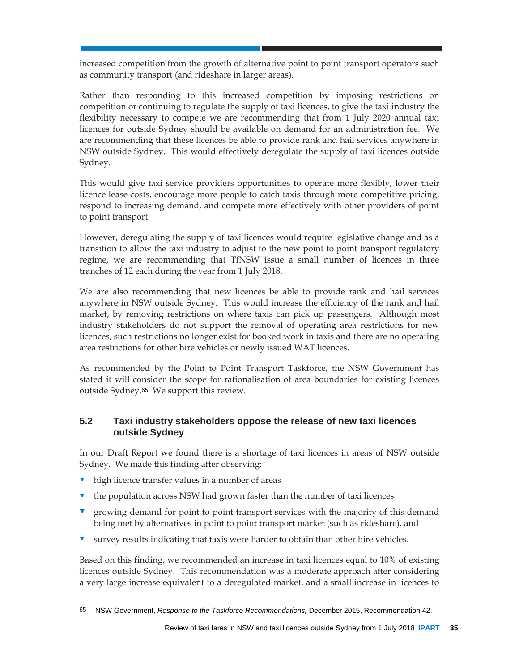increased competition from the growth of alternative point to point transport operators such as community transport (and rideshare in larger areas).

Rather than responding to this increased competition by imposing restrictions on competition or continuing to regulate the supply of taxi licences, to give the taxi industry the flexibility necessary to compete we are recommending that from 1 July 2020 annual taxi licences for outside Sydney should be available on demand for an administration fee. We are recommending that these licences be able to provide rank and hail services anywhere in NSW outside Sydney. This would effectively deregulate the supply of taxi licences outside Sydney.

This would give taxi service providers opportunities to operate more flexibly, lower their licence lease costs, encourage more people to catch taxis through more competitive pricing, respond to increasing demand, and compete more effectively with other providers of point to point transport.

However, deregulating the supply of taxi licences would require legislative change and as a transition to allow the taxi industry to adjust to the new point to point transport regulatory regime, we are recommending that TfNSW issue a small number of licences in three tranches of 12 each during the year from 1 July 2018.

We are also recommending that new licences be able to provide rank and hail services anywhere in NSW outside Sydney. This would increase the efficiency of the rank and hail market, by removing restrictions on where taxis can pick up passengers. Although most industry stakeholders do not support the removal of operating area restrictions for new licences, such restrictions no longer exist for booked work in taxis and there are no operating area restrictions for other hire vehicles or newly issued WAT licences.

As recommended by the Point to Point Transport Taskforce, the NSW Government has stated it will consider the scope for rationalisation of area boundaries for existing licences outside Sydney.65 We support this review.

## **5.2 Taxi industry stakeholders oppose the release of new taxi licences outside Sydney**

In our Draft Report we found there is a shortage of taxi licences in areas of NSW outside Sydney. We made this finding after observing:

high licence transfer values in a number of areas

l

- $\bullet$  the population across NSW had grown faster than the number of taxi licences
- **v** growing demand for point to point transport services with the majority of this demand being met by alternatives in point to point transport market (such as rideshare), and
- survey results indicating that taxis were harder to obtain than other hire vehicles.

Based on this finding, we recommended an increase in taxi licences equal to 10% of existing licences outside Sydney. This recommendation was a moderate approach after considering a very large increase equivalent to a deregulated market, and a small increase in licences to

<sup>65</sup> NSW Government, *Response to the Taskforce Recommendations,* December 2015, Recommendation 42.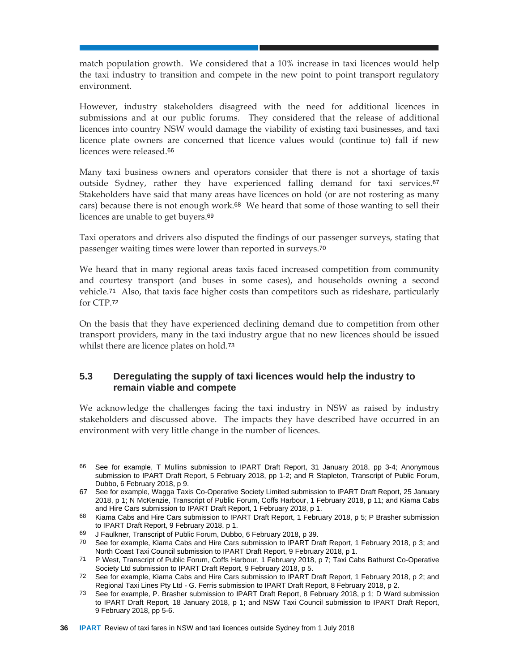match population growth. We considered that a 10% increase in taxi licences would help the taxi industry to transition and compete in the new point to point transport regulatory environment.

However, industry stakeholders disagreed with the need for additional licences in submissions and at our public forums. They considered that the release of additional licences into country NSW would damage the viability of existing taxi businesses, and taxi licence plate owners are concerned that licence values would (continue to) fall if new licences were released.<sup>66</sup>

Many taxi business owners and operators consider that there is not a shortage of taxis outside Sydney, rather they have experienced falling demand for taxi services.<sup>67</sup> Stakeholders have said that many areas have licences on hold (or are not rostering as many cars) because there is not enough work.68 We heard that some of those wanting to sell their licences are unable to get buyers.<sup>69</sup>

Taxi operators and drivers also disputed the findings of our passenger surveys, stating that passenger waiting times were lower than reported in surveys.<sup>70</sup>

We heard that in many regional areas taxis faced increased competition from community and courtesy transport (and buses in some cases), and households owning a second vehicle.71 Also, that taxis face higher costs than competitors such as rideshare, particularly for CTP.<sup>72</sup>

On the basis that they have experienced declining demand due to competition from other transport providers, many in the taxi industry argue that no new licences should be issued whilst there are licence plates on hold.<sup>73</sup>

## **5.3 Deregulating the supply of taxi licences would help the industry to remain viable and compete**

We acknowledge the challenges facing the taxi industry in NSW as raised by industry stakeholders and discussed above. The impacts they have described have occurred in an environment with very little change in the number of licences.

 $\overline{a}$ 66 See for example, T Mullins submission to IPART Draft Report, 31 January 2018, pp 3-4; Anonymous submission to IPART Draft Report, 5 February 2018, pp 1-2; and R Stapleton, Transcript of Public Forum, Dubbo, 6 February 2018, p 9.

<sup>67</sup> See for example, Wagga Taxis Co-Operative Society Limited submission to IPART Draft Report, 25 January 2018, p 1; N McKenzie, Transcript of Public Forum, Coffs Harbour, 1 February 2018, p 11; and Kiama Cabs and Hire Cars submission to IPART Draft Report, 1 February 2018, p 1.

<sup>68</sup> Kiama Cabs and Hire Cars submission to IPART Draft Report, 1 February 2018, p 5; P Brasher submission to IPART Draft Report, 9 February 2018, p 1.

<sup>69</sup> J Faulkner, Transcript of Public Forum, Dubbo, 6 February 2018, p 39.

<sup>70</sup> See for example, Kiama Cabs and Hire Cars submission to IPART Draft Report, 1 February 2018, p 3; and North Coast Taxi Council submission to IPART Draft Report, 9 February 2018, p 1.

<sup>71</sup> P West, Transcript of Public Forum, Coffs Harbour, 1 February 2018, p 7; Taxi Cabs Bathurst Co-Operative Society Ltd submission to IPART Draft Report, 9 February 2018, p 5.

<sup>72</sup> See for example, Kiama Cabs and Hire Cars submission to IPART Draft Report, 1 February 2018, p 2; and Regional Taxi Lines Pty Ltd - G. Ferris submission to IPART Draft Report, 8 February 2018, p 2.

<sup>73</sup> See for example, P. Brasher submission to IPART Draft Report, 8 February 2018, p 1; D Ward submission to IPART Draft Report, 18 January 2018, p 1; and NSW Taxi Council submission to IPART Draft Report, 9 February 2018, pp 5-6.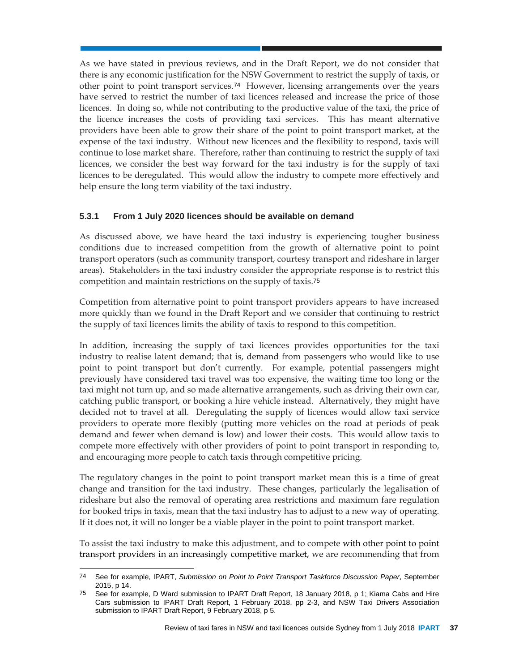As we have stated in previous reviews, and in the Draft Report, we do not consider that there is any economic justification for the NSW Government to restrict the supply of taxis, or other point to point transport services.74 However, licensing arrangements over the years have served to restrict the number of taxi licences released and increase the price of those licences. In doing so, while not contributing to the productive value of the taxi, the price of the licence increases the costs of providing taxi services. This has meant alternative providers have been able to grow their share of the point to point transport market, at the expense of the taxi industry. Without new licences and the flexibility to respond, taxis will continue to lose market share. Therefore, rather than continuing to restrict the supply of taxi licences, we consider the best way forward for the taxi industry is for the supply of taxi licences to be deregulated. This would allow the industry to compete more effectively and help ensure the long term viability of the taxi industry.

## **5.3.1 From 1 July 2020 licences should be available on demand**

As discussed above, we have heard the taxi industry is experiencing tougher business conditions due to increased competition from the growth of alternative point to point transport operators (such as community transport, courtesy transport and rideshare in larger areas). Stakeholders in the taxi industry consider the appropriate response is to restrict this competition and maintain restrictions on the supply of taxis.<sup>75</sup>

Competition from alternative point to point transport providers appears to have increased more quickly than we found in the Draft Report and we consider that continuing to restrict the supply of taxi licences limits the ability of taxis to respond to this competition.

In addition, increasing the supply of taxi licences provides opportunities for the taxi industry to realise latent demand; that is, demand from passengers who would like to use point to point transport but don't currently. For example, potential passengers might previously have considered taxi travel was too expensive, the waiting time too long or the taxi might not turn up, and so made alternative arrangements, such as driving their own car, catching public transport, or booking a hire vehicle instead. Alternatively, they might have decided not to travel at all. Deregulating the supply of licences would allow taxi service providers to operate more flexibly (putting more vehicles on the road at periods of peak demand and fewer when demand is low) and lower their costs. This would allow taxis to compete more effectively with other providers of point to point transport in responding to, and encouraging more people to catch taxis through competitive pricing.

The regulatory changes in the point to point transport market mean this is a time of great change and transition for the taxi industry. These changes, particularly the legalisation of rideshare but also the removal of operating area restrictions and maximum fare regulation for booked trips in taxis, mean that the taxi industry has to adjust to a new way of operating. If it does not, it will no longer be a viable player in the point to point transport market.

To assist the taxi industry to make this adjustment, and to compete with other point to point transport providers in an increasingly competitive market, we are recommending that from

 $\overline{a}$ 

<sup>74</sup> See for example, IPART, *Submission on Point to Point Transport Taskforce Discussion Paper*, September 2015, p 14.

<sup>75</sup> See for example, D Ward submission to IPART Draft Report, 18 January 2018, p 1; Kiama Cabs and Hire Cars submission to IPART Draft Report, 1 February 2018, pp 2-3, and NSW Taxi Drivers Association submission to IPART Draft Report, 9 February 2018, p 5.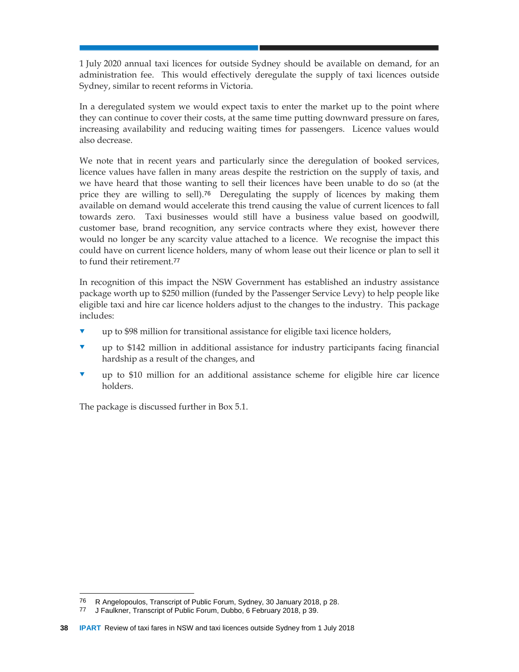1 July 2020 annual taxi licences for outside Sydney should be available on demand, for an administration fee. This would effectively deregulate the supply of taxi licences outside Sydney, similar to recent reforms in Victoria.

In a deregulated system we would expect taxis to enter the market up to the point where they can continue to cover their costs, at the same time putting downward pressure on fares, increasing availability and reducing waiting times for passengers. Licence values would also decrease.

We note that in recent years and particularly since the deregulation of booked services, licence values have fallen in many areas despite the restriction on the supply of taxis, and we have heard that those wanting to sell their licences have been unable to do so (at the price they are willing to sell).76 Deregulating the supply of licences by making them available on demand would accelerate this trend causing the value of current licences to fall towards zero. Taxi businesses would still have a business value based on goodwill, customer base, brand recognition, any service contracts where they exist, however there would no longer be any scarcity value attached to a licence. We recognise the impact this could have on current licence holders, many of whom lease out their licence or plan to sell it to fund their retirement.<sup>77</sup>

In recognition of this impact the NSW Government has established an industry assistance package worth up to \$250 million (funded by the Passenger Service Levy) to help people like eligible taxi and hire car licence holders adjust to the changes to the industry. This package includes:

- up to \$98 million for transitional assistance for eligible taxi licence holders,
- up to \$142 million in additional assistance for industry participants facing financial hardship as a result of the changes, and
- up to \$10 million for an additional assistance scheme for eligible hire car licence holders.

The package is discussed further in Box 5.1.

 $\overline{a}$ 

<sup>76</sup> R Angelopoulos, Transcript of Public Forum, Sydney, 30 January 2018, p 28.

<sup>77</sup> J Faulkner, Transcript of Public Forum, Dubbo, 6 February 2018, p 39.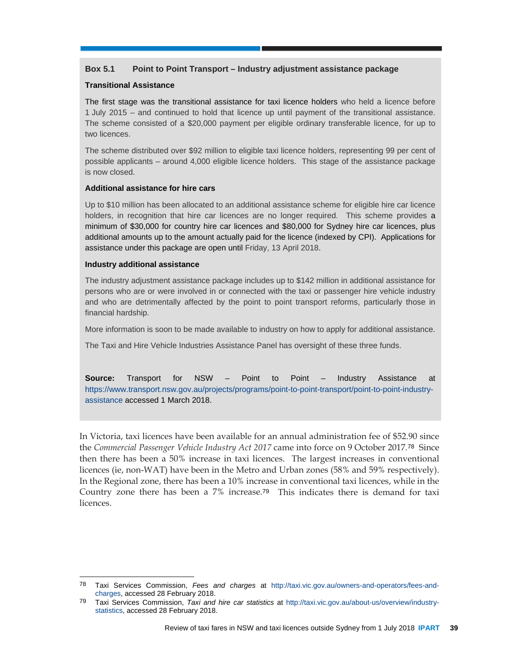#### **Box 5.1 Point to Point Transport – Industry adjustment assistance package**

#### **Transitional Assistance**

The first stage was the transitional assistance for taxi licence holders who held a licence before 1 July 2015 – and continued to hold that licence up until payment of the transitional assistance. The scheme consisted of a \$20,000 payment per eligible ordinary transferable licence, for up to two licences.

The scheme distributed over \$92 million to eligible taxi licence holders, representing 99 per cent of possible applicants – around 4,000 eligible licence holders. This stage of the assistance package is now closed.

#### **Additional assistance for hire cars**

Up to \$10 million has been allocated to an additional assistance scheme for eligible hire car licence holders, in recognition that hire car licences are no longer required. This scheme provides a minimum of \$30,000 for country hire car licences and \$80,000 for Sydney hire car licences, plus additional amounts up to the amount actually paid for the licence (indexed by CPI). Applications for assistance under this package are open until Friday, 13 April 2018.

#### **Industry additional assistance**

 $\overline{a}$ 

The industry adjustment assistance package includes up to \$142 million in additional assistance for persons who are or were involved in or connected with the taxi or passenger hire vehicle industry and who are detrimentally affected by the point to point transport reforms, particularly those in financial hardship.

More information is soon to be made available to industry on how to apply for additional assistance.

The Taxi and Hire Vehicle Industries Assistance Panel has oversight of these three funds.

**Source:** Transport for NSW – Point to Point – Industry Assistance at https://www.transport.nsw.gov.au/projects/programs/point-to-point-transport/point-to-point-industryassistance accessed 1 March 2018.

In Victoria, taxi licences have been available for an annual administration fee of \$52.90 since the *Commercial Passenger Vehicle Industry Act 2017* came into force on 9 October 2017.78 Since then there has been a 50% increase in taxi licences. The largest increases in conventional licences (ie, non-WAT) have been in the Metro and Urban zones (58% and 59% respectively). In the Regional zone, there has been a 10% increase in conventional taxi licences, while in the Country zone there has been a 7% increase.79 This indicates there is demand for taxi licences.

<sup>78</sup> Taxi Services Commission, *Fees and charges* at http://taxi.vic.gov.au/owners-and-operators/fees-andcharges, accessed 28 February 2018.

<sup>79</sup> Taxi Services Commission, *Taxi and hire car statistics* at http://taxi.vic.gov.au/about-us/overview/industrystatistics, accessed 28 February 2018.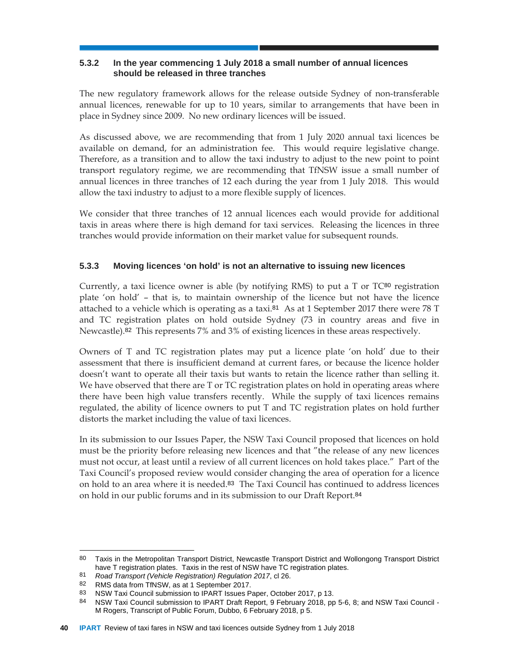## **5.3.2 In the year commencing 1 July 2018 a small number of annual licences should be released in three tranches**

The new regulatory framework allows for the release outside Sydney of non-transferable annual licences, renewable for up to 10 years, similar to arrangements that have been in place in Sydney since 2009. No new ordinary licences will be issued.

As discussed above, we are recommending that from 1 July 2020 annual taxi licences be available on demand, for an administration fee. This would require legislative change. Therefore, as a transition and to allow the taxi industry to adjust to the new point to point transport regulatory regime, we are recommending that TfNSW issue a small number of annual licences in three tranches of 12 each during the year from 1 July 2018. This would allow the taxi industry to adjust to a more flexible supply of licences.

We consider that three tranches of 12 annual licences each would provide for additional taxis in areas where there is high demand for taxi services. Releasing the licences in three tranches would provide information on their market value for subsequent rounds.

## **5.3.3 Moving licences 'on hold' is not an alternative to issuing new licences**

Currently, a taxi licence owner is able (by notifying RMS) to put a  $T$  or  $T\text{C}^{80}$  registration plate 'on hold' – that is, to maintain ownership of the licence but not have the licence attached to a vehicle which is operating as a taxi.<sup>81</sup> As at 1 September 2017 there were 78 T and TC registration plates on hold outside Sydney (73 in country areas and five in Newcastle).82 This represents 7% and 3% of existing licences in these areas respectively.

Owners of T and TC registration plates may put a licence plate 'on hold' due to their assessment that there is insufficient demand at current fares, or because the licence holder doesn't want to operate all their taxis but wants to retain the licence rather than selling it. We have observed that there are T or TC registration plates on hold in operating areas where there have been high value transfers recently. While the supply of taxi licences remains regulated, the ability of licence owners to put T and TC registration plates on hold further distorts the market including the value of taxi licences.

In its submission to our Issues Paper, the NSW Taxi Council proposed that licences on hold must be the priority before releasing new licences and that "the release of any new licences must not occur, at least until a review of all current licences on hold takes place." Part of the Taxi Council's proposed review would consider changing the area of operation for a licence on hold to an area where it is needed.83 The Taxi Council has continued to address licences on hold in our public forums and in its submission to our Draft Report.<sup>84</sup>

<sup>80</sup> Taxis in the Metropolitan Transport District, Newcastle Transport District and Wollongong Transport District have T registration plates. Taxis in the rest of NSW have TC registration plates.

<sup>81</sup> *Road Transport (Vehicle Registration) Regulation 2017*, cl 26.

<sup>82</sup> RMS data from TfNSW, as at 1 September 2017.

<sup>83</sup> NSW Taxi Council submission to IPART Issues Paper, October 2017, p 13.

<sup>84</sup> NSW Taxi Council submission to IPART Draft Report, 9 February 2018, pp 5-6, 8; and NSW Taxi Council -M Rogers, Transcript of Public Forum, Dubbo, 6 February 2018, p 5.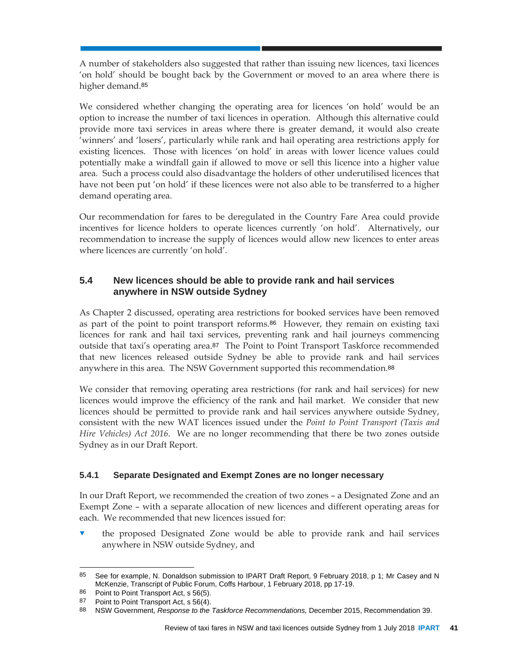A number of stakeholders also suggested that rather than issuing new licences, taxi licences 'on hold' should be bought back by the Government or moved to an area where there is higher demand.<sup>85</sup>

We considered whether changing the operating area for licences 'on hold' would be an option to increase the number of taxi licences in operation. Although this alternative could provide more taxi services in areas where there is greater demand, it would also create 'winners' and 'losers', particularly while rank and hail operating area restrictions apply for existing licences. Those with licences 'on hold' in areas with lower licence values could potentially make a windfall gain if allowed to move or sell this licence into a higher value area. Such a process could also disadvantage the holders of other underutilised licences that have not been put 'on hold' if these licences were not also able to be transferred to a higher demand operating area.

Our recommendation for fares to be deregulated in the Country Fare Area could provide incentives for licence holders to operate licences currently 'on hold'. Alternatively, our recommendation to increase the supply of licences would allow new licences to enter areas where licences are currently 'on hold'.

## **5.4 New licences should be able to provide rank and hail services anywhere in NSW outside Sydney**

As Chapter 2 discussed, operating area restrictions for booked services have been removed as part of the point to point transport reforms.86 However, they remain on existing taxi licences for rank and hail taxi services, preventing rank and hail journeys commencing outside that taxi's operating area.87 The Point to Point Transport Taskforce recommended that new licences released outside Sydney be able to provide rank and hail services anywhere in this area. The NSW Government supported this recommendation.<sup>88</sup>

We consider that removing operating area restrictions (for rank and hail services) for new licences would improve the efficiency of the rank and hail market. We consider that new licences should be permitted to provide rank and hail services anywhere outside Sydney, consistent with the new WAT licences issued under the *Point to Point Transport (Taxis and Hire Vehicles) Act 2016*. We are no longer recommending that there be two zones outside Sydney as in our Draft Report.

## **5.4.1 Separate Designated and Exempt Zones are no longer necessary**

In our Draft Report, we recommended the creation of two zones – a Designated Zone and an Exempt Zone – with a separate allocation of new licences and different operating areas for each. We recommended that new licences issued for:

 the proposed Designated Zone would be able to provide rank and hail services anywhere in NSW outside Sydney, and

 $\overline{a}$ 85 See for example, N. Donaldson submission to IPART Draft Report, 9 February 2018, p 1; Mr Casey and N McKenzie, Transcript of Public Forum, Coffs Harbour, 1 February 2018, pp 17-19.

<sup>86</sup> Point to Point Transport Act, s 56(5).

<sup>87</sup> Point to Point Transport Act, s 56(4).

<sup>88</sup> NSW Government, *Response to the Taskforce Recommendations,* December 2015, Recommendation 39.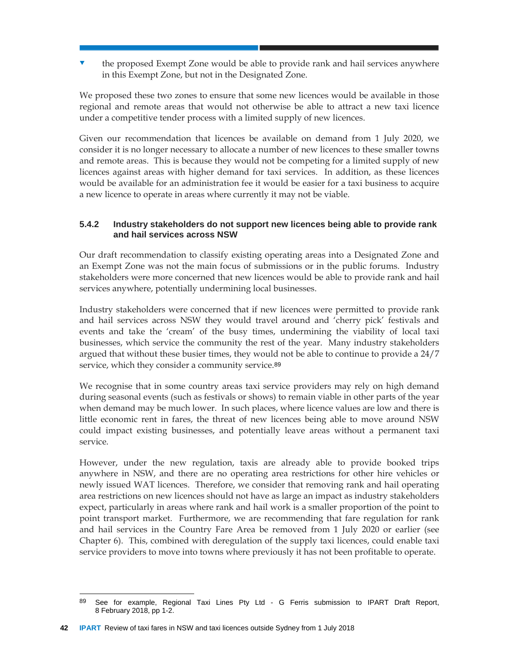the proposed Exempt Zone would be able to provide rank and hail services anywhere in this Exempt Zone, but not in the Designated Zone.

We proposed these two zones to ensure that some new licences would be available in those regional and remote areas that would not otherwise be able to attract a new taxi licence under a competitive tender process with a limited supply of new licences.

Given our recommendation that licences be available on demand from 1 July 2020, we consider it is no longer necessary to allocate a number of new licences to these smaller towns and remote areas. This is because they would not be competing for a limited supply of new licences against areas with higher demand for taxi services. In addition, as these licences would be available for an administration fee it would be easier for a taxi business to acquire a new licence to operate in areas where currently it may not be viable.

## **5.4.2 Industry stakeholders do not support new licences being able to provide rank and hail services across NSW**

Our draft recommendation to classify existing operating areas into a Designated Zone and an Exempt Zone was not the main focus of submissions or in the public forums. Industry stakeholders were more concerned that new licences would be able to provide rank and hail services anywhere, potentially undermining local businesses.

Industry stakeholders were concerned that if new licences were permitted to provide rank and hail services across NSW they would travel around and 'cherry pick' festivals and events and take the 'cream' of the busy times, undermining the viability of local taxi businesses, which service the community the rest of the year. Many industry stakeholders argued that without these busier times, they would not be able to continue to provide a 24/7 service, which they consider a community service.<sup>89</sup>

We recognise that in some country areas taxi service providers may rely on high demand during seasonal events (such as festivals or shows) to remain viable in other parts of the year when demand may be much lower. In such places, where licence values are low and there is little economic rent in fares, the threat of new licences being able to move around NSW could impact existing businesses, and potentially leave areas without a permanent taxi service.

However, under the new regulation, taxis are already able to provide booked trips anywhere in NSW, and there are no operating area restrictions for other hire vehicles or newly issued WAT licences. Therefore, we consider that removing rank and hail operating area restrictions on new licences should not have as large an impact as industry stakeholders expect, particularly in areas where rank and hail work is a smaller proportion of the point to point transport market. Furthermore, we are recommending that fare regulation for rank and hail services in the Country Fare Area be removed from 1 July 2020 or earlier (see Chapter 6). This, combined with deregulation of the supply taxi licences, could enable taxi service providers to move into towns where previously it has not been profitable to operate.

l 89 See for example, Regional Taxi Lines Pty Ltd - G Ferris submission to IPART Draft Report, 8 February 2018, pp 1-2.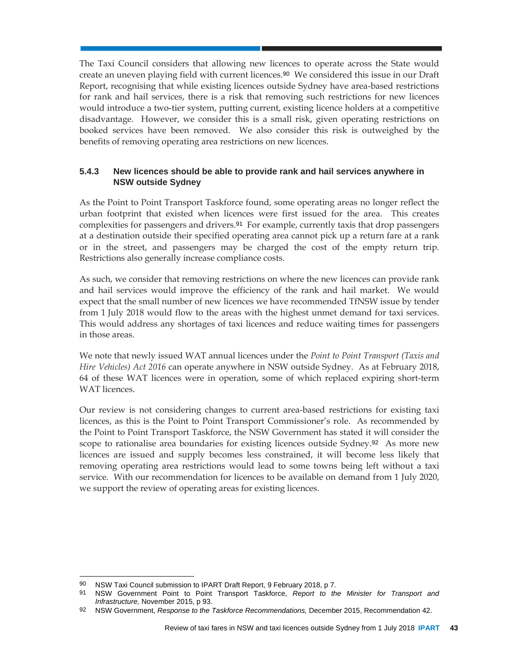The Taxi Council considers that allowing new licences to operate across the State would create an uneven playing field with current licences.90 We considered this issue in our Draft Report, recognising that while existing licences outside Sydney have area-based restrictions for rank and hail services, there is a risk that removing such restrictions for new licences would introduce a two-tier system, putting current, existing licence holders at a competitive disadvantage. However, we consider this is a small risk, given operating restrictions on booked services have been removed. We also consider this risk is outweighed by the benefits of removing operating area restrictions on new licences.

## **5.4.3 New licences should be able to provide rank and hail services anywhere in NSW outside Sydney**

As the Point to Point Transport Taskforce found, some operating areas no longer reflect the urban footprint that existed when licences were first issued for the area. This creates complexities for passengers and drivers.91 For example, currently taxis that drop passengers at a destination outside their specified operating area cannot pick up a return fare at a rank or in the street, and passengers may be charged the cost of the empty return trip. Restrictions also generally increase compliance costs.

As such, we consider that removing restrictions on where the new licences can provide rank and hail services would improve the efficiency of the rank and hail market. We would expect that the small number of new licences we have recommended TfNSW issue by tender from 1 July 2018 would flow to the areas with the highest unmet demand for taxi services. This would address any shortages of taxi licences and reduce waiting times for passengers in those areas.

We note that newly issued WAT annual licences under the *Point to Point Transport (Taxis and Hire Vehicles) Act 2016* can operate anywhere in NSW outside Sydney. As at February 2018, 64 of these WAT licences were in operation, some of which replaced expiring short-term WAT licences.

Our review is not considering changes to current area-based restrictions for existing taxi licences, as this is the Point to Point Transport Commissioner's role. As recommended by the Point to Point Transport Taskforce, the NSW Government has stated it will consider the scope to rationalise area boundaries for existing licences outside Sydney.<sup>92</sup> As more new licences are issued and supply becomes less constrained, it will become less likely that removing operating area restrictions would lead to some towns being left without a taxi service. With our recommendation for licences to be available on demand from 1 July 2020, we support the review of operating areas for existing licences.

<sup>90</sup> NSW Taxi Council submission to IPART Draft Report, 9 February 2018, p 7.

<sup>91</sup> NSW Government Point to Point Transport Taskforce, *Report to the Minister for Transport and Infrastructure,* November 2015, p 93.

<sup>92</sup> NSW Government, *Response to the Taskforce Recommendations,* December 2015, Recommendation 42.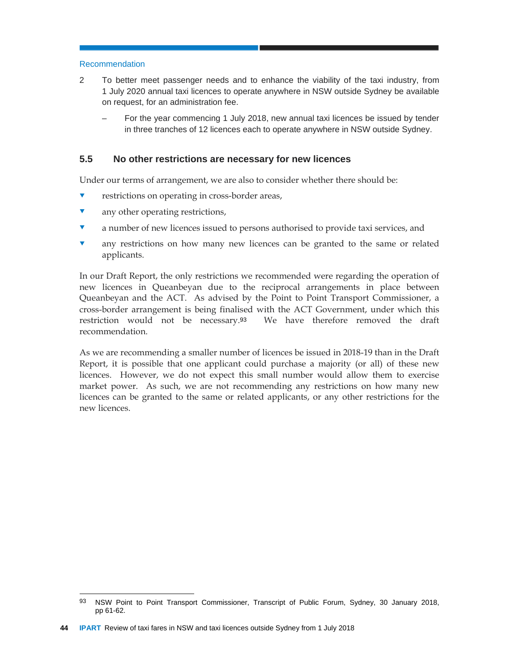#### Recommendation

- 2 To better meet passenger needs and to enhance the viability of the taxi industry, from 1 July 2020 annual taxi licences to operate anywhere in NSW outside Sydney be available on request, for an administration fee.
	- For the year commencing 1 July 2018, new annual taxi licences be issued by tender in three tranches of 12 licences each to operate anywhere in NSW outside Sydney.

## **5.5 No other restrictions are necessary for new licences**

Under our terms of arrangement, we are also to consider whether there should be:

- restrictions on operating in cross-border areas,
- **v** any other operating restrictions,
- a number of new licences issued to persons authorised to provide taxi services, and
- any restrictions on how many new licences can be granted to the same or related applicants.

In our Draft Report, the only restrictions we recommended were regarding the operation of new licences in Queanbeyan due to the reciprocal arrangements in place between Queanbeyan and the ACT. As advised by the Point to Point Transport Commissioner, a cross-border arrangement is being finalised with the ACT Government, under which this restriction would not be necessary.93 We have therefore removed the draft recommendation.

As we are recommending a smaller number of licences be issued in 2018-19 than in the Draft Report, it is possible that one applicant could purchase a majority (or all) of these new licences. However, we do not expect this small number would allow them to exercise market power. As such, we are not recommending any restrictions on how many new licences can be granted to the same or related applicants, or any other restrictions for the new licences.

<sup>93</sup> NSW Point to Point Transport Commissioner, Transcript of Public Forum, Sydney, 30 January 2018, pp 61-62.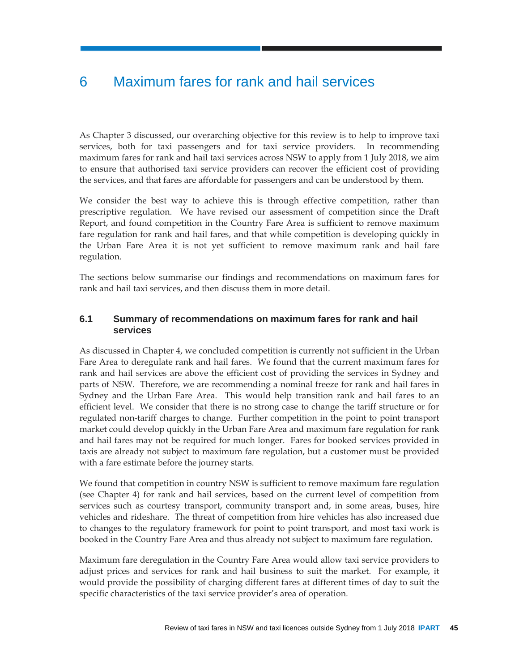# 6 Maximum fares for rank and hail services

As Chapter 3 discussed, our overarching objective for this review is to help to improve taxi services, both for taxi passengers and for taxi service providers. In recommending maximum fares for rank and hail taxi services across NSW to apply from 1 July 2018, we aim to ensure that authorised taxi service providers can recover the efficient cost of providing the services, and that fares are affordable for passengers and can be understood by them.

We consider the best way to achieve this is through effective competition, rather than prescriptive regulation. We have revised our assessment of competition since the Draft Report, and found competition in the Country Fare Area is sufficient to remove maximum fare regulation for rank and hail fares, and that while competition is developing quickly in the Urban Fare Area it is not yet sufficient to remove maximum rank and hail fare regulation.

The sections below summarise our findings and recommendations on maximum fares for rank and hail taxi services, and then discuss them in more detail.

## **6.1 Summary of recommendations on maximum fares for rank and hail services**

As discussed in Chapter 4, we concluded competition is currently not sufficient in the Urban Fare Area to deregulate rank and hail fares. We found that the current maximum fares for rank and hail services are above the efficient cost of providing the services in Sydney and parts of NSW. Therefore, we are recommending a nominal freeze for rank and hail fares in Sydney and the Urban Fare Area. This would help transition rank and hail fares to an efficient level. We consider that there is no strong case to change the tariff structure or for regulated non-tariff charges to change. Further competition in the point to point transport market could develop quickly in the Urban Fare Area and maximum fare regulation for rank and hail fares may not be required for much longer. Fares for booked services provided in taxis are already not subject to maximum fare regulation, but a customer must be provided with a fare estimate before the journey starts.

We found that competition in country NSW is sufficient to remove maximum fare regulation (see Chapter 4) for rank and hail services, based on the current level of competition from services such as courtesy transport, community transport and, in some areas, buses, hire vehicles and rideshare. The threat of competition from hire vehicles has also increased due to changes to the regulatory framework for point to point transport, and most taxi work is booked in the Country Fare Area and thus already not subject to maximum fare regulation.

Maximum fare deregulation in the Country Fare Area would allow taxi service providers to adjust prices and services for rank and hail business to suit the market. For example, it would provide the possibility of charging different fares at different times of day to suit the specific characteristics of the taxi service provider's area of operation.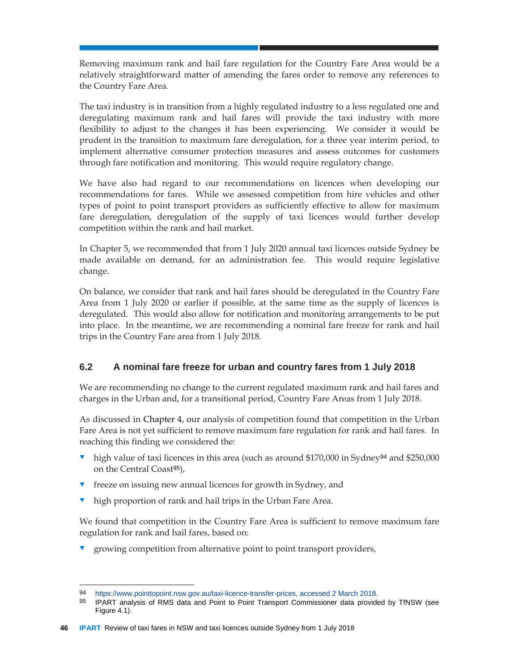Removing maximum rank and hail fare regulation for the Country Fare Area would be a relatively straightforward matter of amending the fares order to remove any references to the Country Fare Area.

The taxi industry is in transition from a highly regulated industry to a less regulated one and deregulating maximum rank and hail fares will provide the taxi industry with more flexibility to adjust to the changes it has been experiencing. We consider it would be prudent in the transition to maximum fare deregulation, for a three year interim period, to implement alternative consumer protection measures and assess outcomes for customers through fare notification and monitoring. This would require regulatory change.

We have also had regard to our recommendations on licences when developing our recommendations for fares. While we assessed competition from hire vehicles and other types of point to point transport providers as sufficiently effective to allow for maximum fare deregulation, deregulation of the supply of taxi licences would further develop competition within the rank and hail market.

In Chapter 5, we recommended that from 1 July 2020 annual taxi licences outside Sydney be made available on demand, for an administration fee. This would require legislative change.

On balance, we consider that rank and hail fares should be deregulated in the Country Fare Area from 1 July 2020 or earlier if possible, at the same time as the supply of licences is deregulated. This would also allow for notification and monitoring arrangements to be put into place. In the meantime, we are recommending a nominal fare freeze for rank and hail trips in the Country Fare area from 1 July 2018.

## **6.2 A nominal fare freeze for urban and country fares from 1 July 2018**

We are recommending no change to the current regulated maximum rank and hail fares and charges in the Urban and, for a transitional period, Country Fare Areas from 1 July 2018.

As discussed in Chapter 4, our analysis of competition found that competition in the Urban Fare Area is not yet sufficient to remove maximum fare regulation for rank and hail fares. In reaching this finding we considered the:

- high value of taxi licences in this area (such as around \$170,000 in Sydney94 and \$250,000 on the Central Coast95),
- freeze on issuing new annual licences for growth in Sydney, and
- high proportion of rank and hail trips in the Urban Fare Area.

We found that competition in the Country Fare Area is sufficient to remove maximum fare regulation for rank and hail fares, based on:

growing competition from alternative point to point transport providers,

 $\overline{a}$ 

<sup>94</sup> https://www.pointtopoint.nsw.gov.au/taxi-licence-transfer-prices, accessed 2 March 2018.<br>95 **IDAPT** applysis of PMS data and Point to Point Transport Commissioner data provide

IPART analysis of RMS data and Point to Point Transport Commissioner data provided by TfNSW (see Figure 4.1).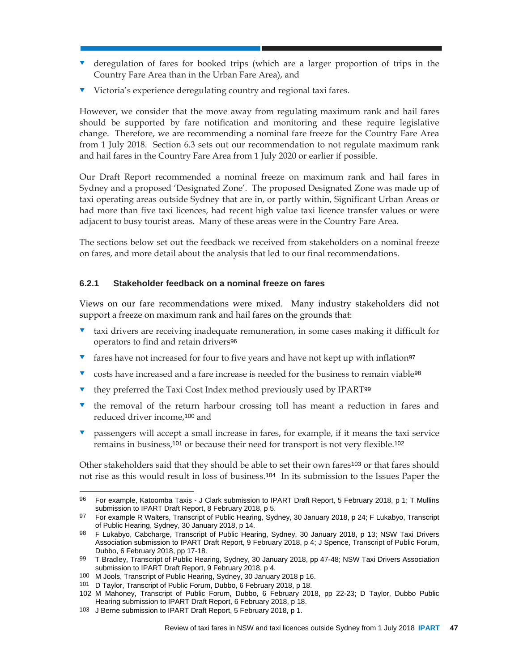- deregulation of fares for booked trips (which are a larger proportion of trips in the Country Fare Area than in the Urban Fare Area), and
- Victoria's experience deregulating country and regional taxi fares.

However, we consider that the move away from regulating maximum rank and hail fares should be supported by fare notification and monitoring and these require legislative change. Therefore, we are recommending a nominal fare freeze for the Country Fare Area from 1 July 2018. Section 6.3 sets out our recommendation to not regulate maximum rank and hail fares in the Country Fare Area from 1 July 2020 or earlier if possible.

Our Draft Report recommended a nominal freeze on maximum rank and hail fares in Sydney and a proposed 'Designated Zone'. The proposed Designated Zone was made up of taxi operating areas outside Sydney that are in, or partly within, Significant Urban Areas or had more than five taxi licences, had recent high value taxi licence transfer values or were adjacent to busy tourist areas. Many of these areas were in the Country Fare Area.

The sections below set out the feedback we received from stakeholders on a nominal freeze on fares, and more detail about the analysis that led to our final recommendations.

#### **6.2.1 Stakeholder feedback on a nominal freeze on fares**

Views on our fare recommendations were mixed. Many industry stakeholders did not support a freeze on maximum rank and hail fares on the grounds that:

- $\bullet$  taxi drivers are receiving inadequate remuneration, in some cases making it difficult for operators to find and retain drivers<sup>96</sup>
- $\bullet$  fares have not increased for four to five years and have not kept up with inflation<sup>97</sup>
- v costs have increased and a fare increase is needed for the business to remain viable<sup>98</sup>
- they preferred the Taxi Cost Index method previously used by IPART<sup>99</sup>
- $\bullet$  the removal of the return harbour crossing toll has meant a reduction in fares and reduced driver income,100 and
- passengers will accept a small increase in fares, for example, if it means the taxi service remains in business,101 or because their need for transport is not very flexible.<sup>102</sup>

Other stakeholders said that they should be able to set their own fares103 or that fares should not rise as this would result in loss of business.104 In its submission to the Issues Paper the

 $\overline{a}$ 96 For example, Katoomba Taxis - J Clark submission to IPART Draft Report, 5 February 2018, p 1; T Mullins submission to IPART Draft Report, 8 February 2018, p 5.

<sup>97</sup> For example R Walters, Transcript of Public Hearing, Sydney, 30 January 2018, p 24; F Lukabyo, Transcript of Public Hearing, Sydney, 30 January 2018, p 14.

<sup>98</sup> F Lukabyo, Cabcharge, Transcript of Public Hearing, Sydney, 30 January 2018, p 13; NSW Taxi Drivers Association submission to IPART Draft Report, 9 February 2018, p 4; J Spence, Transcript of Public Forum, Dubbo, 6 February 2018, pp 17-18.

<sup>99</sup> T Bradley, Transcript of Public Hearing, Sydney, 30 January 2018, pp 47-48; NSW Taxi Drivers Association submission to IPART Draft Report, 9 February 2018, p 4.

<sup>100</sup> M Jools, Transcript of Public Hearing, Sydney, 30 January 2018 p 16.

<sup>101</sup> D Taylor, Transcript of Public Forum, Dubbo, 6 February 2018, p 18.

<sup>102</sup> M Mahoney, Transcript of Public Forum, Dubbo, 6 February 2018, pp 22-23; D Taylor, Dubbo Public Hearing submission to IPART Draft Report, 6 February 2018, p 18.

<sup>103</sup> J Berne submission to IPART Draft Report, 5 February 2018, p 1.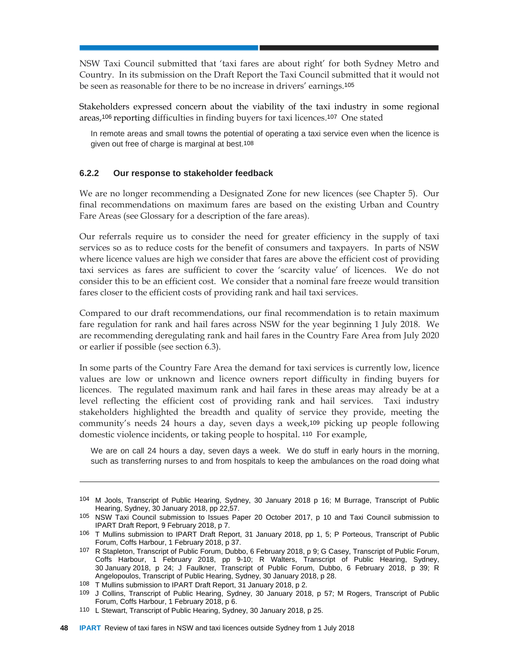NSW Taxi Council submitted that 'taxi fares are about right' for both Sydney Metro and Country. In its submission on the Draft Report the Taxi Council submitted that it would not be seen as reasonable for there to be no increase in drivers' earnings.<sup>105</sup>

Stakeholders expressed concern about the viability of the taxi industry in some regional areas,106 reporting difficulties in finding buyers for taxi licences.107 One stated

In remote areas and small towns the potential of operating a taxi service even when the licence is given out free of charge is marginal at best.108

#### **6.2.2 Our response to stakeholder feedback**

We are no longer recommending a Designated Zone for new licences (see Chapter 5). Our final recommendations on maximum fares are based on the existing Urban and Country Fare Areas (see Glossary for a description of the fare areas).

Our referrals require us to consider the need for greater efficiency in the supply of taxi services so as to reduce costs for the benefit of consumers and taxpayers. In parts of NSW where licence values are high we consider that fares are above the efficient cost of providing taxi services as fares are sufficient to cover the 'scarcity value' of licences. We do not consider this to be an efficient cost. We consider that a nominal fare freeze would transition fares closer to the efficient costs of providing rank and hail taxi services.

Compared to our draft recommendations, our final recommendation is to retain maximum fare regulation for rank and hail fares across NSW for the year beginning 1 July 2018. We are recommending deregulating rank and hail fares in the Country Fare Area from July 2020 or earlier if possible (see section 6.3).

In some parts of the Country Fare Area the demand for taxi services is currently low, licence values are low or unknown and licence owners report difficulty in finding buyers for licences. The regulated maximum rank and hail fares in these areas may already be at a level reflecting the efficient cost of providing rank and hail services. Taxi industry stakeholders highlighted the breadth and quality of service they provide, meeting the community's needs 24 hours a day, seven days a week,109 picking up people following domestic violence incidents, or taking people to hospital. 110 For example,

We are on call 24 hours a day, seven days a week. We do stuff in early hours in the morning, such as transferring nurses to and from hospitals to keep the ambulances on the road doing what

<sup>104</sup> M Jools, Transcript of Public Hearing, Sydney, 30 January 2018 p 16; M Burrage, Transcript of Public Hearing, Sydney, 30 January 2018, pp 22,57.

<sup>105</sup> NSW Taxi Council submission to Issues Paper 20 October 2017, p 10 and Taxi Council submission to IPART Draft Report, 9 February 2018, p 7.

<sup>106</sup> T Mullins submission to IPART Draft Report, 31 January 2018, pp 1, 5; P Porteous, Transcript of Public Forum, Coffs Harbour, 1 February 2018, p 37.

<sup>107</sup> R Stapleton, Transcript of Public Forum, Dubbo, 6 February 2018, p 9; G Casey, Transcript of Public Forum, Coffs Harbour, 1 February 2018, pp 9-10; R Walters, Transcript of Public Hearing, Sydney, 30 January 2018, p 24; J Faulkner, Transcript of Public Forum, Dubbo, 6 February 2018, p 39; R Angelopoulos, Transcript of Public Hearing, Sydney, 30 January 2018, p 28.

<sup>108</sup> T Mullins submission to IPART Draft Report, 31 January 2018, p 2.

<sup>109</sup> J Collins, Transcript of Public Hearing, Sydney, 30 January 2018, p 57; M Rogers, Transcript of Public Forum, Coffs Harbour, 1 February 2018, p 6.

<sup>110</sup> L Stewart, Transcript of Public Hearing, Sydney, 30 January 2018, p 25.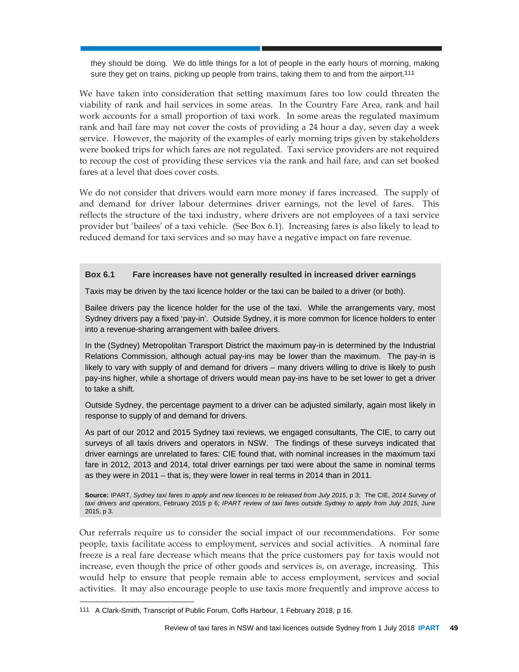they should be doing. We do little things for a lot of people in the early hours of morning, making sure they get on trains, picking up people from trains, taking them to and from the airport.<sup>111</sup>

We have taken into consideration that setting maximum fares too low could threaten the viability of rank and hail services in some areas. In the Country Fare Area, rank and hail work accounts for a small proportion of taxi work. In some areas the regulated maximum rank and hail fare may not cover the costs of providing a 24 hour a day, seven day a week service. However, the majority of the examples of early morning trips given by stakeholders were booked trips for which fares are not regulated. Taxi service providers are not required to recoup the cost of providing these services via the rank and hail fare, and can set booked fares at a level that does cover costs.

We do not consider that drivers would earn more money if fares increased. The supply of and demand for driver labour determines driver earnings, not the level of fares. This reflects the structure of the taxi industry, where drivers are not employees of a taxi service provider but 'bailees' of a taxi vehicle. (See Box 6.1). Increasing fares is also likely to lead to reduced demand for taxi services and so may have a negative impact on fare revenue.

#### **Box 6.1 Fare increases have not generally resulted in increased driver earnings**

Taxis may be driven by the taxi licence holder or the taxi can be bailed to a driver (or both).

Bailee drivers pay the licence holder for the use of the taxi. While the arrangements vary, most Sydney drivers pay a fixed 'pay-in'. Outside Sydney, it is more common for licence holders to enter into a revenue-sharing arrangement with bailee drivers.

In the (Sydney) Metropolitan Transport District the maximum pay-in is determined by the Industrial Relations Commission, although actual pay-ins may be lower than the maximum. The pay-in is likely to vary with supply of and demand for drivers – many drivers willing to drive is likely to push pay-ins higher, while a shortage of drivers would mean pay-ins have to be set lower to get a driver to take a shift.

Outside Sydney, the percentage payment to a driver can be adjusted similarly, again most likely in response to supply of and demand for drivers.

As part of our 2012 and 2015 Sydney taxi reviews, we engaged consultants, The CIE, to carry out surveys of all taxis drivers and operators in NSW. The findings of these surveys indicated that driver earnings are unrelated to fares: CIE found that, with nominal increases in the maximum taxi fare in 2012, 2013 and 2014, total driver earnings per taxi were about the same in nominal terms as they were in 2011 – that is, they were lower in real terms in 2014 than in 2011.

**Source:** IPART, *Sydney taxi fares to apply and new licences to be released from July 2015*, p 3; The CIE, *2014 Survey of taxi drivers and operators*, February 2015 p 6; *IPART review of taxi fares outside Sydney to apply from July 2015*, June 2015, p 3.

Our referrals require us to consider the social impact of our recommendations. For some people, taxis facilitate access to employment, services and social activities. A nominal fare freeze is a real fare decrease which means that the price customers pay for taxis would not increase, even though the price of other goods and services is, on average, increasing. This would help to ensure that people remain able to access employment, services and social activities. It may also encourage people to use taxis more frequently and improve access to

<sup>111</sup> A Clark-Smith, Transcript of Public Forum, Coffs Harbour, 1 February 2018, p 16.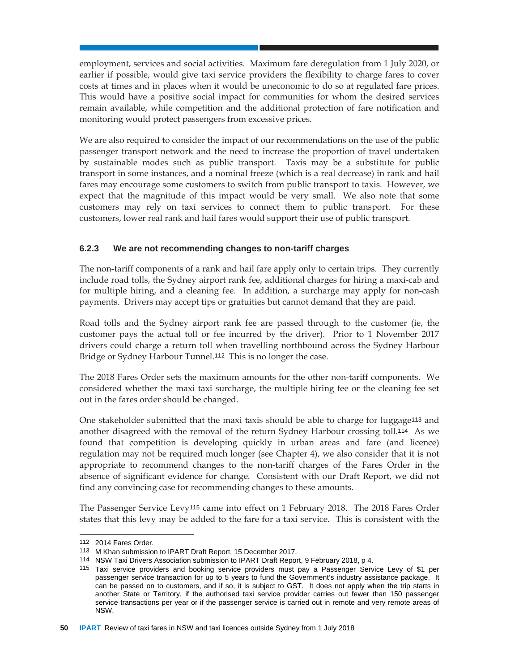employment, services and social activities. Maximum fare deregulation from 1 July 2020, or earlier if possible, would give taxi service providers the flexibility to charge fares to cover costs at times and in places when it would be uneconomic to do so at regulated fare prices. This would have a positive social impact for communities for whom the desired services remain available, while competition and the additional protection of fare notification and monitoring would protect passengers from excessive prices.

We are also required to consider the impact of our recommendations on the use of the public passenger transport network and the need to increase the proportion of travel undertaken by sustainable modes such as public transport. Taxis may be a substitute for public transport in some instances, and a nominal freeze (which is a real decrease) in rank and hail fares may encourage some customers to switch from public transport to taxis. However, we expect that the magnitude of this impact would be very small. We also note that some customers may rely on taxi services to connect them to public transport. For these customers, lower real rank and hail fares would support their use of public transport.

## **6.2.3 We are not recommending changes to non-tariff charges**

The non-tariff components of a rank and hail fare apply only to certain trips. They currently include road tolls, the Sydney airport rank fee, additional charges for hiring a maxi-cab and for multiple hiring, and a cleaning fee. In addition, a surcharge may apply for non-cash payments. Drivers may accept tips or gratuities but cannot demand that they are paid.

Road tolls and the Sydney airport rank fee are passed through to the customer (ie, the customer pays the actual toll or fee incurred by the driver). Prior to 1 November 2017 drivers could charge a return toll when travelling northbound across the Sydney Harbour Bridge or Sydney Harbour Tunnel.112 This is no longer the case.

The 2018 Fares Order sets the maximum amounts for the other non-tariff components. We considered whether the maxi taxi surcharge, the multiple hiring fee or the cleaning fee set out in the fares order should be changed.

One stakeholder submitted that the maxi taxis should be able to charge for luggage113 and another disagreed with the removal of the return Sydney Harbour crossing toll.114 As we found that competition is developing quickly in urban areas and fare (and licence) regulation may not be required much longer (see Chapter 4), we also consider that it is not appropriate to recommend changes to the non-tariff charges of the Fares Order in the absence of significant evidence for change. Consistent with our Draft Report, we did not find any convincing case for recommending changes to these amounts.

The Passenger Service Levy115 came into effect on 1 February 2018. The 2018 Fares Order states that this levy may be added to the fare for a taxi service. This is consistent with the

 $\overline{a}$ 

<sup>112 2014</sup> Fares Order.

<sup>113</sup> M Khan submission to IPART Draft Report, 15 December 2017.

<sup>114</sup> NSW Taxi Drivers Association submission to IPART Draft Report, 9 February 2018, p 4.

<sup>115</sup> Taxi service providers and booking service providers must pay a Passenger Service Levy of \$1 per passenger service transaction for up to 5 years to fund the Government's industry assistance package. It can be passed on to customers, and if so, it is subject to GST. It does not apply when the trip starts in another State or Territory, if the authorised taxi service provider carries out fewer than 150 passenger service transactions per year or if the passenger service is carried out in remote and very remote areas of NSW.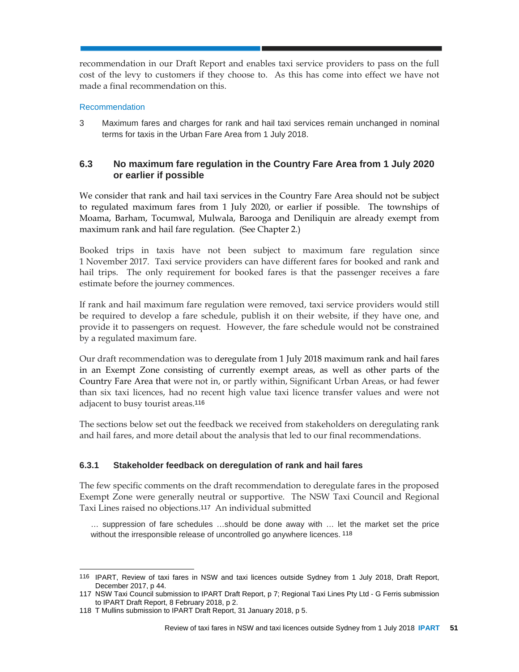recommendation in our Draft Report and enables taxi service providers to pass on the full cost of the levy to customers if they choose to. As this has come into effect we have not made a final recommendation on this.

#### Recommendation

3 Maximum fares and charges for rank and hail taxi services remain unchanged in nominal terms for taxis in the Urban Fare Area from 1 July 2018.

## **6.3 No maximum fare regulation in the Country Fare Area from 1 July 2020 or earlier if possible**

We consider that rank and hail taxi services in the Country Fare Area should not be subject to regulated maximum fares from 1 July 2020, or earlier if possible. The townships of Moama, Barham, Tocumwal, Mulwala, Barooga and Deniliquin are already exempt from maximum rank and hail fare regulation. (See Chapter 2.)

Booked trips in taxis have not been subject to maximum fare regulation since 1 November 2017. Taxi service providers can have different fares for booked and rank and hail trips. The only requirement for booked fares is that the passenger receives a fare estimate before the journey commences.

If rank and hail maximum fare regulation were removed, taxi service providers would still be required to develop a fare schedule, publish it on their website, if they have one, and provide it to passengers on request. However, the fare schedule would not be constrained by a regulated maximum fare.

Our draft recommendation was to deregulate from 1 July 2018 maximum rank and hail fares in an Exempt Zone consisting of currently exempt areas, as well as other parts of the Country Fare Area that were not in, or partly within, Significant Urban Areas, or had fewer than six taxi licences, had no recent high value taxi licence transfer values and were not adjacent to busy tourist areas.<sup>116</sup>

The sections below set out the feedback we received from stakeholders on deregulating rank and hail fares, and more detail about the analysis that led to our final recommendations.

#### **6.3.1 Stakeholder feedback on deregulation of rank and hail fares**

The few specific comments on the draft recommendation to deregulate fares in the proposed Exempt Zone were generally neutral or supportive. The NSW Taxi Council and Regional Taxi Lines raised no objections.117 An individual submitted

… suppression of fare schedules …should be done away with … let the market set the price without the irresponsible release of uncontrolled go anywhere licences. 118

<sup>116</sup> IPART, Review of taxi fares in NSW and taxi licences outside Sydney from 1 July 2018, Draft Report, December 2017, p 44.

<sup>117</sup> NSW Taxi Council submission to IPART Draft Report, p 7; Regional Taxi Lines Pty Ltd - G Ferris submission to IPART Draft Report, 8 February 2018, p 2.

<sup>118</sup> T Mullins submission to IPART Draft Report, 31 January 2018, p 5.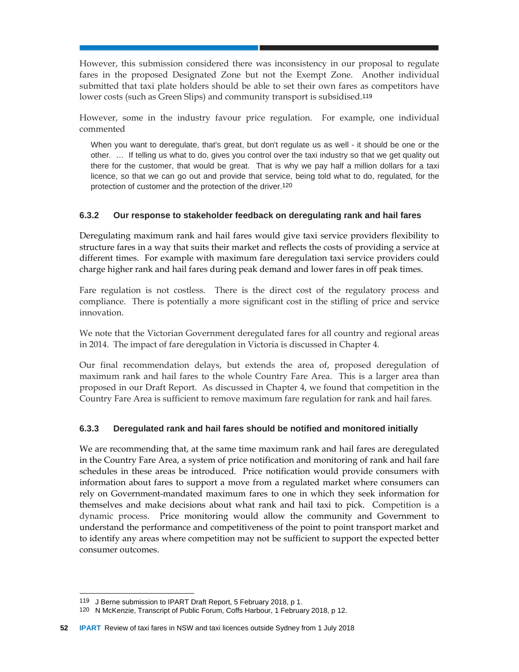However, this submission considered there was inconsistency in our proposal to regulate fares in the proposed Designated Zone but not the Exempt Zone. Another individual submitted that taxi plate holders should be able to set their own fares as competitors have lower costs (such as Green Slips) and community transport is subsidised.<sup>119</sup>

However, some in the industry favour price regulation. For example, one individual commented

When you want to deregulate, that's great, but don't regulate us as well - it should be one or the other. … If telling us what to do, gives you control over the taxi industry so that we get quality out there for the customer, that would be great. That is why we pay half a million dollars for a taxi licence, so that we can go out and provide that service, being told what to do, regulated, for the protection of customer and the protection of the driver.120

#### **6.3.2 Our response to stakeholder feedback on deregulating rank and hail fares**

Deregulating maximum rank and hail fares would give taxi service providers flexibility to structure fares in a way that suits their market and reflects the costs of providing a service at different times. For example with maximum fare deregulation taxi service providers could charge higher rank and hail fares during peak demand and lower fares in off peak times.

Fare regulation is not costless. There is the direct cost of the regulatory process and compliance. There is potentially a more significant cost in the stifling of price and service innovation.

We note that the Victorian Government deregulated fares for all country and regional areas in 2014. The impact of fare deregulation in Victoria is discussed in Chapter 4.

Our final recommendation delays, but extends the area of, proposed deregulation of maximum rank and hail fares to the whole Country Fare Area. This is a larger area than proposed in our Draft Report. As discussed in Chapter 4, we found that competition in the Country Fare Area is sufficient to remove maximum fare regulation for rank and hail fares.

#### **6.3.3 Deregulated rank and hail fares should be notified and monitored initially**

We are recommending that, at the same time maximum rank and hail fares are deregulated in the Country Fare Area, a system of price notification and monitoring of rank and hail fare schedules in these areas be introduced. Price notification would provide consumers with information about fares to support a move from a regulated market where consumers can rely on Government-mandated maximum fares to one in which they seek information for themselves and make decisions about what rank and hail taxi to pick. Competition is a dynamic process. Price monitoring would allow the community and Government to understand the performance and competitiveness of the point to point transport market and to identify any areas where competition may not be sufficient to support the expected better consumer outcomes.

 $\overline{a}$ 

<sup>119</sup> J Berne submission to IPART Draft Report, 5 February 2018, p 1.

<sup>120</sup> N McKenzie, Transcript of Public Forum, Coffs Harbour, 1 February 2018, p 12.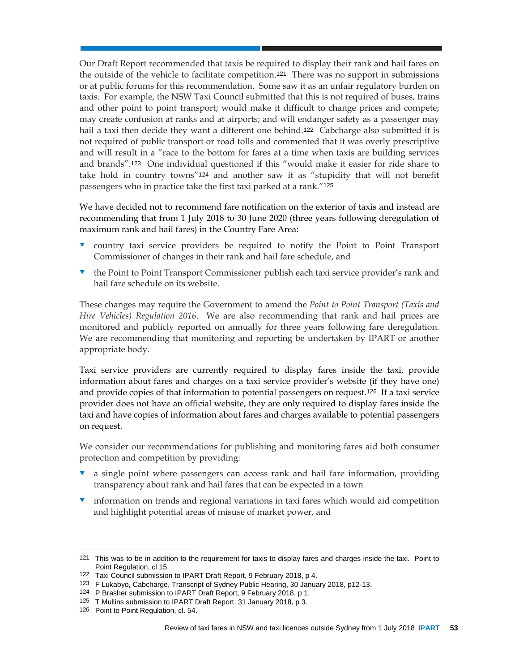Our Draft Report recommended that taxis be required to display their rank and hail fares on the outside of the vehicle to facilitate competition.121 There was no support in submissions or at public forums for this recommendation. Some saw it as an unfair regulatory burden on taxis. For example, the NSW Taxi Council submitted that this is not required of buses, trains and other point to point transport; would make it difficult to change prices and compete; may create confusion at ranks and at airports; and will endanger safety as a passenger may hail a taxi then decide they want a different one behind.<sup>122</sup> Cabcharge also submitted it is not required of public transport or road tolls and commented that it was overly prescriptive and will result in a "race to the bottom for fares at a time when taxis are building services and brands".123 One individual questioned if this "would make it easier for ride share to take hold in country towns"124 and another saw it as "stupidity that will not benefit passengers who in practice take the first taxi parked at a rank."<sup>125</sup>

We have decided not to recommend fare notification on the exterior of taxis and instead are recommending that from 1 July 2018 to 30 June 2020 (three years following deregulation of maximum rank and hail fares) in the Country Fare Area:

- country taxi service providers be required to notify the Point to Point Transport Commissioner of changes in their rank and hail fare schedule, and
- **the Point to Point Transport Commissioner publish each taxi service provider's rank and** hail fare schedule on its website.

These changes may require the Government to amend the *Point to Point Transport (Taxis and Hire Vehicles) Regulation 2016*. We are also recommending that rank and hail prices are monitored and publicly reported on annually for three years following fare deregulation. We are recommending that monitoring and reporting be undertaken by IPART or another appropriate body.

Taxi service providers are currently required to display fares inside the taxi, provide information about fares and charges on a taxi service provider's website (if they have one) and provide copies of that information to potential passengers on request.126 If a taxi service provider does not have an official website, they are only required to display fares inside the taxi and have copies of information about fares and charges available to potential passengers on request.

We consider our recommendations for publishing and monitoring fares aid both consumer protection and competition by providing:

- a single point where passengers can access rank and hail fare information, providing transparency about rank and hail fares that can be expected in a town
- information on trends and regional variations in taxi fares which would aid competition and highlight potential areas of misuse of market power, and

 $\overline{a}$ 

<sup>121</sup> This was to be in addition to the requirement for taxis to display fares and charges inside the taxi. Point to Point Regulation, cl 15.

<sup>122</sup> Taxi Council submission to IPART Draft Report, 9 February 2018, p 4.

<sup>123</sup> F Lukabyo, Cabcharge, Transcript of Sydney Public Hearing, 30 January 2018, p12-13.

<sup>124</sup> P Brasher submission to IPART Draft Report, 9 February 2018, p 1.

<sup>125</sup> T Mullins submission to IPART Draft Report, 31 January 2018, p 3.

<sup>126</sup> Point to Point Regulation, cl. 54.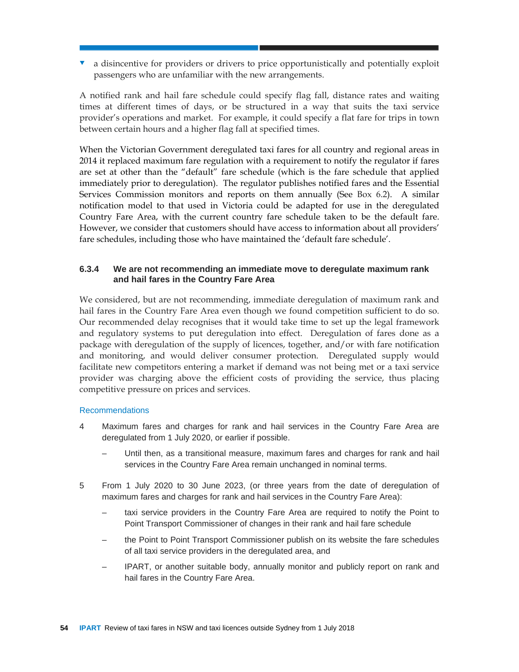**v** a disincentive for providers or drivers to price opportunistically and potentially exploit passengers who are unfamiliar with the new arrangements.

A notified rank and hail fare schedule could specify flag fall, distance rates and waiting times at different times of days, or be structured in a way that suits the taxi service provider's operations and market. For example, it could specify a flat fare for trips in town between certain hours and a higher flag fall at specified times.

When the Victorian Government deregulated taxi fares for all country and regional areas in 2014 it replaced maximum fare regulation with a requirement to notify the regulator if fares are set at other than the "default" fare schedule (which is the fare schedule that applied immediately prior to deregulation). The regulator publishes notified fares and the Essential Services Commission monitors and reports on them annually (See Box 6.2). A similar notification model to that used in Victoria could be adapted for use in the deregulated Country Fare Area, with the current country fare schedule taken to be the default fare. However, we consider that customers should have access to information about all providers' fare schedules, including those who have maintained the 'default fare schedule'.

## **6.3.4 We are not recommending an immediate move to deregulate maximum rank and hail fares in the Country Fare Area**

We considered, but are not recommending, immediate deregulation of maximum rank and hail fares in the Country Fare Area even though we found competition sufficient to do so. Our recommended delay recognises that it would take time to set up the legal framework and regulatory systems to put deregulation into effect. Deregulation of fares done as a package with deregulation of the supply of licences, together, and/or with fare notification and monitoring, and would deliver consumer protection. Deregulated supply would facilitate new competitors entering a market if demand was not being met or a taxi service provider was charging above the efficient costs of providing the service, thus placing competitive pressure on prices and services.

#### Recommendations

- 4 Maximum fares and charges for rank and hail services in the Country Fare Area are deregulated from 1 July 2020, or earlier if possible.
	- Until then, as a transitional measure, maximum fares and charges for rank and hail services in the Country Fare Area remain unchanged in nominal terms.
- 5 From 1 July 2020 to 30 June 2023, (or three years from the date of deregulation of maximum fares and charges for rank and hail services in the Country Fare Area):
	- taxi service providers in the Country Fare Area are required to notify the Point to Point Transport Commissioner of changes in their rank and hail fare schedule
	- the Point to Point Transport Commissioner publish on its website the fare schedules of all taxi service providers in the deregulated area, and
	- IPART, or another suitable body, annually monitor and publicly report on rank and hail fares in the Country Fare Area.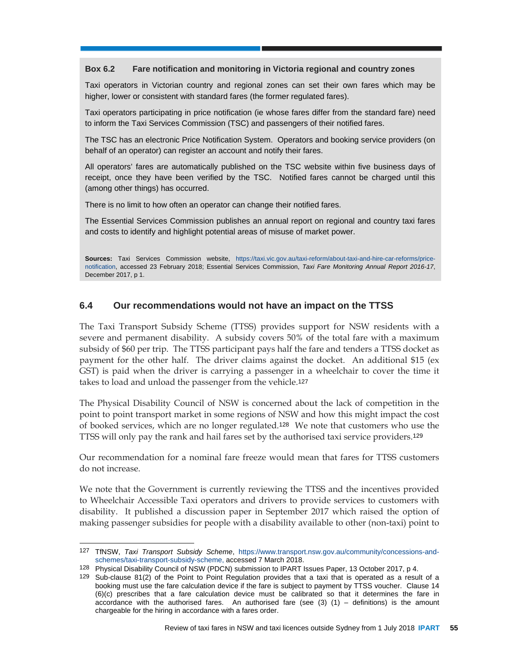#### **Box 6.2 Fare notification and monitoring in Victoria regional and country zones**

Taxi operators in Victorian country and regional zones can set their own fares which may be higher, lower or consistent with standard fares (the former regulated fares).

Taxi operators participating in price notification (ie whose fares differ from the standard fare) need to inform the Taxi Services Commission (TSC) and passengers of their notified fares.

The TSC has an electronic Price Notification System. Operators and booking service providers (on behalf of an operator) can register an account and notify their fares.

All operators' fares are automatically published on the TSC website within five business days of receipt, once they have been verified by the TSC. Notified fares cannot be charged until this (among other things) has occurred.

There is no limit to how often an operator can change their notified fares.

The Essential Services Commission publishes an annual report on regional and country taxi fares and costs to identify and highlight potential areas of misuse of market power.

**Sources:** Taxi Services Commission website, https://taxi.vic.gov.au/taxi-reform/about-taxi-and-hire-car-reforms/pricenotification, accessed 23 February 2018; Essential Services Commission, *Taxi Fare Monitoring Annual Report 2016-17*, December 2017, p 1.

## **6.4 Our recommendations would not have an impact on the TTSS**

The Taxi Transport Subsidy Scheme (TTSS) provides support for NSW residents with a severe and permanent disability. A subsidy covers 50% of the total fare with a maximum subsidy of \$60 per trip. The TTSS participant pays half the fare and tenders a TTSS docket as payment for the other half. The driver claims against the docket. An additional \$15 (ex GST) is paid when the driver is carrying a passenger in a wheelchair to cover the time it takes to load and unload the passenger from the vehicle.<sup>127</sup>

The Physical Disability Council of NSW is concerned about the lack of competition in the point to point transport market in some regions of NSW and how this might impact the cost of booked services, which are no longer regulated.128 We note that customers who use the TTSS will only pay the rank and hail fares set by the authorised taxi service providers.<sup>129</sup>

Our recommendation for a nominal fare freeze would mean that fares for TTSS customers do not increase.

We note that the Government is currently reviewing the TTSS and the incentives provided to Wheelchair Accessible Taxi operators and drivers to provide services to customers with disability. It published a discussion paper in September 2017 which raised the option of making passenger subsidies for people with a disability available to other (non-taxi) point to

<sup>127</sup> TfNSW, *Taxi Transport Subsidy Scheme*, https://www.transport.nsw.gov.au/community/concessions-andschemes/taxi-transport-subsidy-scheme, accessed 7 March 2018.

<sup>128</sup> Physical Disability Council of NSW (PDCN) submission to IPART Issues Paper, 13 October 2017, p 4.

<sup>129</sup> Sub-clause 81(2) of the Point to Point Regulation provides that a taxi that is operated as a result of a booking must use the fare calculation device if the fare is subject to payment by TTSS voucher. Clause 14 (6)(c) prescribes that a fare calculation device must be calibrated so that it determines the fare in accordance with the authorised fares. An authorised fare (see  $(3)$   $(1)$  – definitions) is the amount chargeable for the hiring in accordance with a fares order.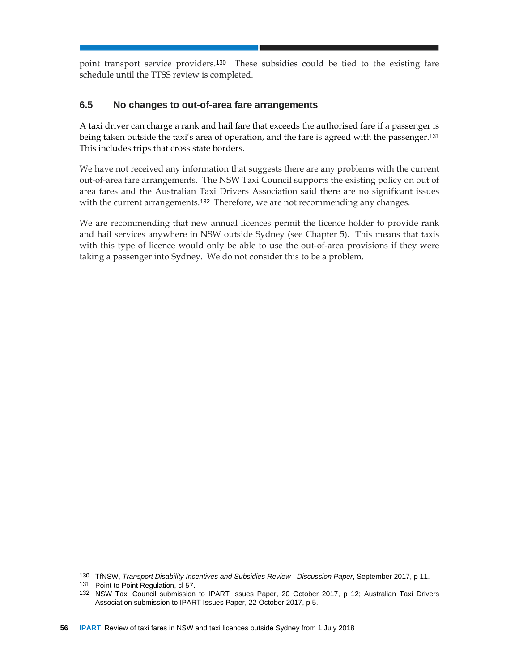point transport service providers.130 These subsidies could be tied to the existing fare schedule until the TTSS review is completed.

## **6.5 No changes to out-of-area fare arrangements**

A taxi driver can charge a rank and hail fare that exceeds the authorised fare if a passenger is being taken outside the taxi's area of operation, and the fare is agreed with the passenger.<sup>131</sup> This includes trips that cross state borders.

We have not received any information that suggests there are any problems with the current out-of-area fare arrangements. The NSW Taxi Council supports the existing policy on out of area fares and the Australian Taxi Drivers Association said there are no significant issues with the current arrangements.<sup>132</sup> Therefore, we are not recommending any changes.

We are recommending that new annual licences permit the licence holder to provide rank and hail services anywhere in NSW outside Sydney (see Chapter 5). This means that taxis with this type of licence would only be able to use the out-of-area provisions if they were taking a passenger into Sydney. We do not consider this to be a problem.

<sup>130</sup> TfNSW, *Transport Disability Incentives and Subsidies Review - Discussion Paper*, September 2017, p 11.

<sup>131</sup> Point to Point Regulation, cl 57.

<sup>132</sup> NSW Taxi Council submission to IPART Issues Paper, 20 October 2017, p 12; Australian Taxi Drivers Association submission to IPART Issues Paper, 22 October 2017, p 5.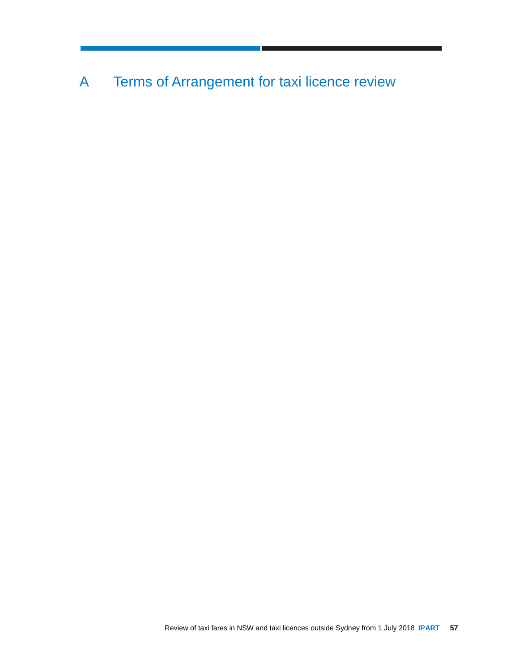A Terms of Arrangement for taxi licence review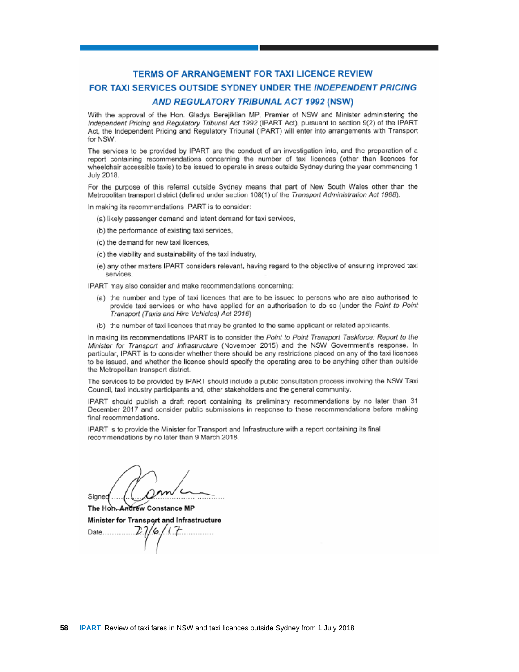## **TERMS OF ARRANGEMENT FOR TAXI LICENCE REVIEW** FOR TAXI SERVICES OUTSIDE SYDNEY UNDER THE INDEPENDENT PRICING **AND REGULATORY TRIBUNAL ACT 1992 (NSW)**

With the approval of the Hon, Gladys Berejiklian MP, Premier of NSW and Minister administering the Independent Pricing and Regulatory Tribunal Act 1992 (IPART Act), pursuant to section 9(2) of the IPART Act, the Independent Pricing and Regulatory Tribunal (IPART) will enter into arrangements with Transport for NSW.

The services to be provided by IPART are the conduct of an investigation into, and the preparation of a report containing recommendations concerning the number of taxi licences (other than licences for wheelchair accessible taxis) to be issued to operate in areas outside Sydney during the year commencing 1 July 2018.

For the purpose of this referral outside Sydney means that part of New South Wales other than the Metropolitan transport district (defined under section 108(1) of the Transport Administration Act 1988).

In making its recommendations IPART is to consider:

- (a) likely passenger demand and latent demand for taxi services,
- (b) the performance of existing taxi services,
- (c) the demand for new taxi licences.
- (d) the viability and sustainability of the taxi industry,
- (e) any other matters IPART considers relevant, having regard to the objective of ensuring improved taxi services.

IPART may also consider and make recommendations concerning:

- (a) the number and type of taxi licences that are to be issued to persons who are also authorised to provide taxi services or who have applied for an authorisation to do so (under the Point to Point Transport (Taxis and Hire Vehicles) Act 2016)
- (b) the number of taxi licences that may be granted to the same applicant or related applicants.

In making its recommendations IPART is to consider the Point to Point Transport Taskforce: Report to the Minister for Transport and Infrastructure (November 2015) and the NSW Government's response. In particular, IPART is to consider whether there should be any restrictions placed on any of the taxi licences to be issued, and whether the licence should specify the operating area to be anything other than outside the Metropolitan transport district.

The services to be provided by IPART should include a public consultation process involving the NSW Taxi Council, taxi industry participants and, other stakeholders and the general community.

IPART should publish a draft report containing its preliminary recommendations by no later than 31 December 2017 and consider public submissions in response to these recommendations before making final recommendations.

IPART is to provide the Minister for Transport and Infrastructure with a report containing its final recommendations by no later than 9 March 2018.

 $\frac{1}{\sqrt{1-\frac{1}{2}}}\left(1-\frac{1}{2}\right)$ Signed

**Andrew Constance MP** The Hon Minister for Transport and Infrastructure

Date........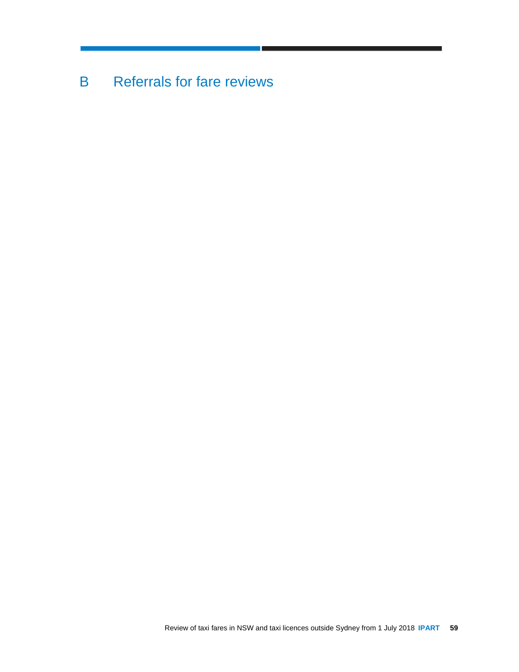B Referrals for fare reviews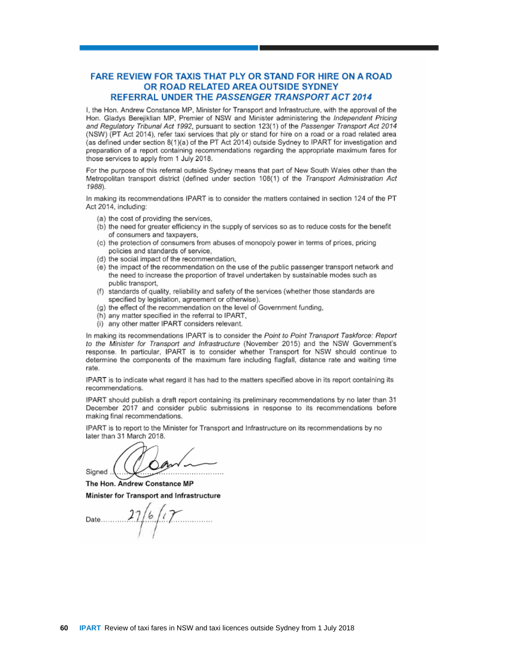#### **FARE REVIEW FOR TAXIS THAT PLY OR STAND FOR HIRE ON A ROAD** OR ROAD RELATED AREA OUTSIDE SYDNEY **REFERRAL UNDER THE PASSENGER TRANSPORT ACT 2014**

I, the Hon, Andrew Constance MP, Minister for Transport and Infrastructure, with the approval of the Hon. Gladys Bereilklian MP, Premier of NSW and Minister administering the Independent Pricing and Regulatory Tribunal Act 1992, pursuant to section 123(1) of the Passenger Transport Act 2014 (NSW) (PT Act 2014), refer taxi services that ply or stand for hire on a road or a road related area (as defined under section 8(1)(a) of the PT Act 2014) outside Sydney to IPART for investigation and preparation of a report containing recommendations regarding the appropriate maximum fares for those services to apply from 1 July 2018.

For the purpose of this referral outside Sydney means that part of New South Wales other than the Metropolitan transport district (defined under section 108(1) of the Transport Administration Act 1988).

In making its recommendations IPART is to consider the matters contained in section 124 of the PT Act 2014, including:

- (a) the cost of providing the services,
- (b) the need for greater efficiency in the supply of services so as to reduce costs for the benefit of consumers and taxpayers,
- (c) the protection of consumers from abuses of monopoly power in terms of prices, pricing policies and standards of service.
- (d) the social impact of the recommendation,
- (e) the impact of the recommendation on the use of the public passenger transport network and the need to increase the proportion of travel undertaken by sustainable modes such as public transport.
- (f) standards of quality, reliability and safety of the services (whether those standards are specified by legislation, agreement or otherwise),
- (g) the effect of the recommendation on the level of Government funding.
- (h) any matter specified in the referral to IPART,
- (i) any other matter IPART considers relevant.

In making its recommendations IPART is to consider the Point to Point Transport Taskforce: Report to the Minister for Transport and Infrastructure (November 2015) and the NSW Government's response, In particular, IPART is to consider whether Transport for NSW should continue to determine the components of the maximum fare including flagfall, distance rate and waiting time rate.

IPART is to indicate what regard it has had to the matters specified above in its report containing its recommendations.

IPART should publish a draft report containing its preliminary recommendations by no later than 31 December 2017 and consider public submissions in response to its recommendations before making final recommendations.

IPART is to report to the Minister for Transport and Infrastructure on its recommendations by no later than 31 March 2018.

Signed

The Hon. Andrew Constance MP Minister for Transport and Infrastructure

 $16/17$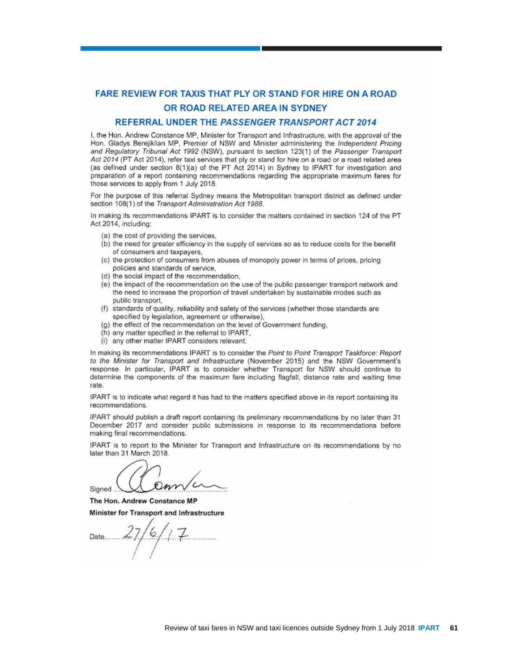## **FARE REVIEW FOR TAXIS THAT PLY OR STAND FOR HIRE ON A ROAD** OR ROAD RELATED AREA IN SYDNEY

#### REFERRAL UNDER THE PASSENGER TRANSPORT ACT 2014

I, the Hon. Andrew Constance MP. Minister for Transport and Infrastructure, with the approval of the Hon. Gladys Berejiklian MP, Premier of NSW and Minister administering the Independent Pricing and Regulatory Tribunal Act 1992 (NSW), pursuant to section 123(1) of the Passenger Transport Act 2014 (PT Act 2014), refer taxi services that ply or stand for hire on a road or a road related area (as defined under section 8(1)(a) of the PT Act 2014) in Sydney to IPART for investigation and preparation of a report containing recommendations regarding the appropriate maximum fares for those services to apply from 1 July 2018.

For the purpose of this referral Sydney means the Metropolitan transport district as defined under section 108(1) of the Transport Administration Act 1988.

In making its recommendations IPART is to consider the matters contained in section 124 of the PT Act 2014, including:

- (a) the cost of providing the services.
- (b) the need for greater efficiency in the supply of services so as to reduce costs for the benefit of consumers and taxpayers,
- (c) the protection of consumers from abuses of monopoly power in terms of prices, pricing policies and standards of service,
- (d) the social impact of the recommendation.
- (e) the impact of the recommendation on the use of the public passenger transport network and the need to increase the proportion of travel undertaken by sustainable modes such as public transport.
- (f) standards of quality, reliability and safety of the services (whether those standards are specified by legislation, agreement or otherwise),
- (g) the effect of the recommendation on the level of Government funding,
- (h) any matter specified in the referral to IPART.
- (i) any other matter IPART considers relevant.

In making its recommendations IPART is to consider the Point to Point Transport Taskforce: Report to the Minister for Transport and Infrastructure (November 2015) and the NSW Government's response. In particular, IPART is to consider whether Transport for NSW should continue to determine the components of the maximum fare including flagfall, distance rate and waiting time rate.

IPART is to indicate what regard it has had to the matters specified above in its report containing its recommendations.

IPART should publish a draft report containing its preliminary recommendations by no later than 31 December 2017 and consider public submissions in response to its recommendations before making final recommendations.

IPART is to report to the Minister for Transport and Infrastructure on its recommendations by no later than 31 March 2018.

Signed

The Hon. Andrew Constance MP Minister for Transport and Infrastructure

Date........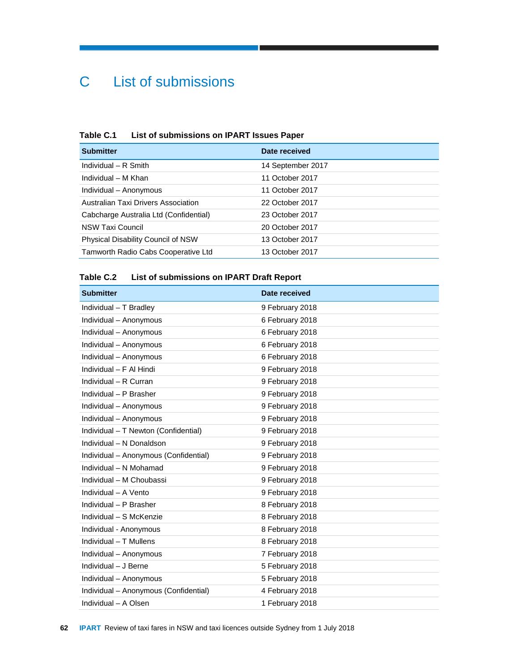# C List of submissions

## **Table C.1 List of submissions on IPART Issues Paper**

| <b>Submitter</b>                       | Date received     |
|----------------------------------------|-------------------|
| Individual $-$ R Smith                 | 14 September 2017 |
| Individual - M Khan                    | 11 October 2017   |
| Individual - Anonymous                 | 11 October 2017   |
| Australian Taxi Drivers Association    | 22 October 2017   |
| Cabcharge Australia Ltd (Confidential) | 23 October 2017   |
| <b>NSW Taxi Council</b>                | 20 October 2017   |
| Physical Disability Council of NSW     | 13 October 2017   |
| Tamworth Radio Cabs Cooperative Ltd    | 13 October 2017   |

## **Table C.2 List of submissions on IPART Draft Report**

| <b>Submitter</b>                      | Date received   |
|---------------------------------------|-----------------|
| Individual - T Bradley                | 9 February 2018 |
| Individual - Anonymous                | 6 February 2018 |
| Individual - Anonymous                | 6 February 2018 |
| Individual - Anonymous                | 6 February 2018 |
| Individual - Anonymous                | 6 February 2018 |
| Individual - F Al Hindi               | 9 February 2018 |
| Individual - R Curran                 | 9 February 2018 |
| Individual - P Brasher                | 9 February 2018 |
| Individual - Anonymous                | 9 February 2018 |
| Individual - Anonymous                | 9 February 2018 |
| Individual - T Newton (Confidential)  | 9 February 2018 |
| Individual - N Donaldson              | 9 February 2018 |
| Individual - Anonymous (Confidential) | 9 February 2018 |
| Individual - N Mohamad                | 9 February 2018 |
| Individual - M Choubassi              | 9 February 2018 |
| Individual - A Vento                  | 9 February 2018 |
| Individual - P Brasher                | 8 February 2018 |
| Individual - S McKenzie               | 8 February 2018 |
| Individual - Anonymous                | 8 February 2018 |
| Individual - T Mullens                | 8 February 2018 |
| Individual - Anonymous                | 7 February 2018 |
| Individual - J Berne                  | 5 February 2018 |
| Individual - Anonymous                | 5 February 2018 |
| Individual - Anonymous (Confidential) | 4 February 2018 |
| Individual - A Olsen                  | 1 February 2018 |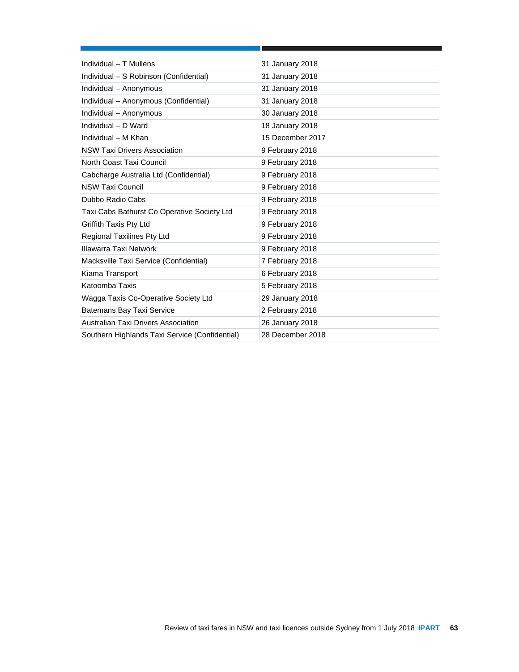| Individual - T Mullens                         | 31 January 2018  |
|------------------------------------------------|------------------|
| Individual - S Robinson (Confidential)         | 31 January 2018  |
| Individual - Anonymous                         | 31 January 2018  |
| Individual - Anonymous (Confidential)          | 31 January 2018  |
| Individual - Anonymous                         | 30 January 2018  |
| Individual - D Ward                            | 18 January 2018  |
| Individual - M Khan                            | 15 December 2017 |
| <b>NSW Taxi Drivers Association</b>            | 9 February 2018  |
| North Coast Taxi Council                       | 9 February 2018  |
| Cabcharge Australia Ltd (Confidential)         | 9 February 2018  |
| <b>NSW Taxi Council</b>                        | 9 February 2018  |
| Dubbo Radio Cabs                               | 9 February 2018  |
| Taxi Cabs Bathurst Co Operative Society Ltd    | 9 February 2018  |
| Griffith Taxis Pty Ltd                         | 9 February 2018  |
| <b>Regional Taxilines Pty Ltd</b>              | 9 February 2018  |
| Illawarra Taxi Network                         | 9 February 2018  |
| Macksville Taxi Service (Confidential)         | 7 February 2018  |
| Kiama Transport                                | 6 February 2018  |
| Katoomba Taxis                                 | 5 February 2018  |
| Wagga Taxis Co-Operative Society Ltd           | 29 January 2018  |
| <b>Batemans Bay Taxi Service</b>               | 2 February 2018  |
| Australian Taxi Drivers Association            | 26 January 2018  |
| Southern Highlands Taxi Service (Confidential) | 28 December 2018 |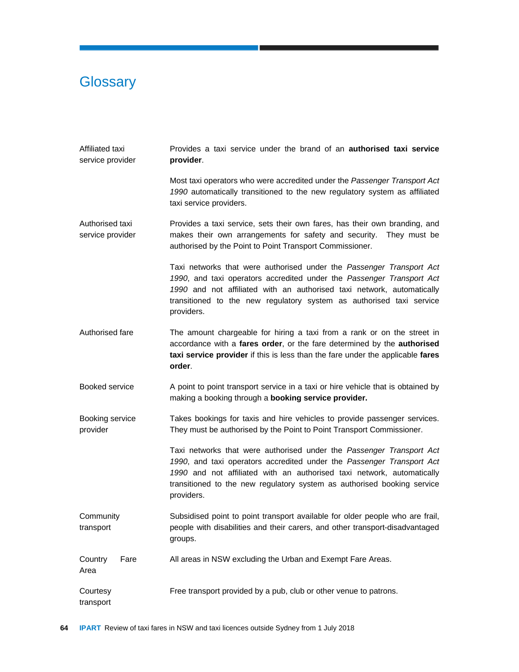## **Glossary**

Area

- Affiliated taxi service provider Provides a taxi service under the brand of an **authorised taxi service provider**.
	- Most taxi operators who were accredited under the *Passenger Transport Act 1990* automatically transitioned to the new regulatory system as affiliated taxi service providers.
- Authorised taxi service provider Provides a taxi service, sets their own fares, has their own branding, and makes their own arrangements for safety and security. They must be authorised by the Point to Point Transport Commissioner.

Taxi networks that were authorised under the *Passenger Transport Act 1990*, and taxi operators accredited under the *Passenger Transport Act 1990* and not affiliated with an authorised taxi network, automatically transitioned to the new regulatory system as authorised taxi service providers.

- Authorised fare The amount chargeable for hiring a taxi from a rank or on the street in accordance with a **fares order**, or the fare determined by the **authorised taxi service provider** if this is less than the fare under the applicable **fares order**.
- Booked service A point to point transport service in a taxi or hire vehicle that is obtained by making a booking through a **booking service provider.**
- Booking service provider Takes bookings for taxis and hire vehicles to provide passenger services. They must be authorised by the Point to Point Transport Commissioner.

Taxi networks that were authorised under the *Passenger Transport Act 1990*, and taxi operators accredited under the *Passenger Transport Act 1990* and not affiliated with an authorised taxi network, automatically transitioned to the new regulatory system as authorised booking service providers.

- **Community** transport Subsidised point to point transport available for older people who are frail, people with disabilities and their carers, and other transport-disadvantaged groups.
- Country Fare All areas in NSW excluding the Urban and Exempt Fare Areas.
- **Courtesy** transport Free transport provided by a pub, club or other venue to patrons.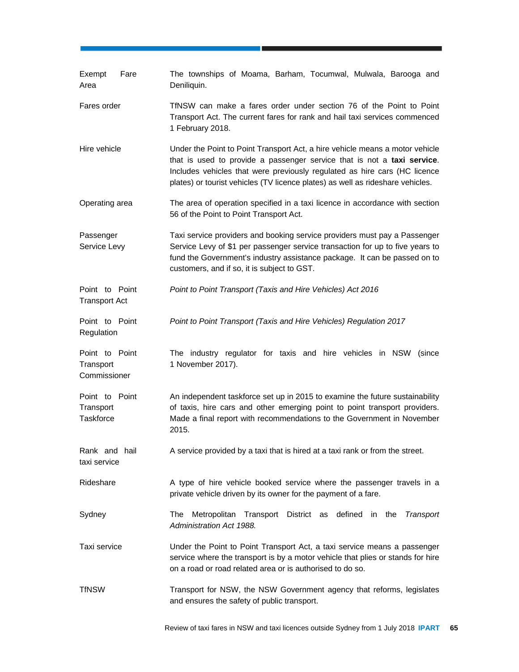| Fare<br>Exempt<br>Area                          | The townships of Moama, Barham, Tocumwal, Mulwala, Barooga and<br>Deniliquin.                                                                                                                                                                                                                                          |
|-------------------------------------------------|------------------------------------------------------------------------------------------------------------------------------------------------------------------------------------------------------------------------------------------------------------------------------------------------------------------------|
| Fares order                                     | TfNSW can make a fares order under section 76 of the Point to Point<br>Transport Act. The current fares for rank and hail taxi services commenced<br>1 February 2018.                                                                                                                                                  |
| Hire vehicle                                    | Under the Point to Point Transport Act, a hire vehicle means a motor vehicle<br>that is used to provide a passenger service that is not a taxi service.<br>Includes vehicles that were previously regulated as hire cars (HC licence<br>plates) or tourist vehicles (TV licence plates) as well as rideshare vehicles. |
| Operating area                                  | The area of operation specified in a taxi licence in accordance with section<br>56 of the Point to Point Transport Act.                                                                                                                                                                                                |
| Passenger<br>Service Levy                       | Taxi service providers and booking service providers must pay a Passenger<br>Service Levy of \$1 per passenger service transaction for up to five years to<br>fund the Government's industry assistance package. It can be passed on to<br>customers, and if so, it is subject to GST.                                 |
| Point to Point<br><b>Transport Act</b>          | Point to Point Transport (Taxis and Hire Vehicles) Act 2016                                                                                                                                                                                                                                                            |
| Point to Point<br>Regulation                    | Point to Point Transport (Taxis and Hire Vehicles) Regulation 2017                                                                                                                                                                                                                                                     |
| Point to Point<br>Transport<br>Commissioner     | The industry regulator for taxis and hire vehicles in NSW<br>(since<br>1 November 2017).                                                                                                                                                                                                                               |
| Point to Point<br>Transport<br><b>Taskforce</b> | An independent taskforce set up in 2015 to examine the future sustainability<br>of taxis, hire cars and other emerging point to point transport providers.<br>Made a final report with recommendations to the Government in November<br>2015.                                                                          |
| Rank and hail<br>taxi service                   | A service provided by a taxi that is hired at a taxi rank or from the street.                                                                                                                                                                                                                                          |
| Rideshare                                       | A type of hire vehicle booked service where the passenger travels in a<br>private vehicle driven by its owner for the payment of a fare.                                                                                                                                                                               |
| Sydney                                          | Metropolitan Transport District as defined in the Transport<br>The<br>Administration Act 1988.                                                                                                                                                                                                                         |
| Taxi service                                    | Under the Point to Point Transport Act, a taxi service means a passenger<br>service where the transport is by a motor vehicle that plies or stands for hire<br>on a road or road related area or is authorised to do so.                                                                                               |
| <b>TfNSW</b>                                    | Transport for NSW, the NSW Government agency that reforms, legislates<br>and ensures the safety of public transport.                                                                                                                                                                                                   |